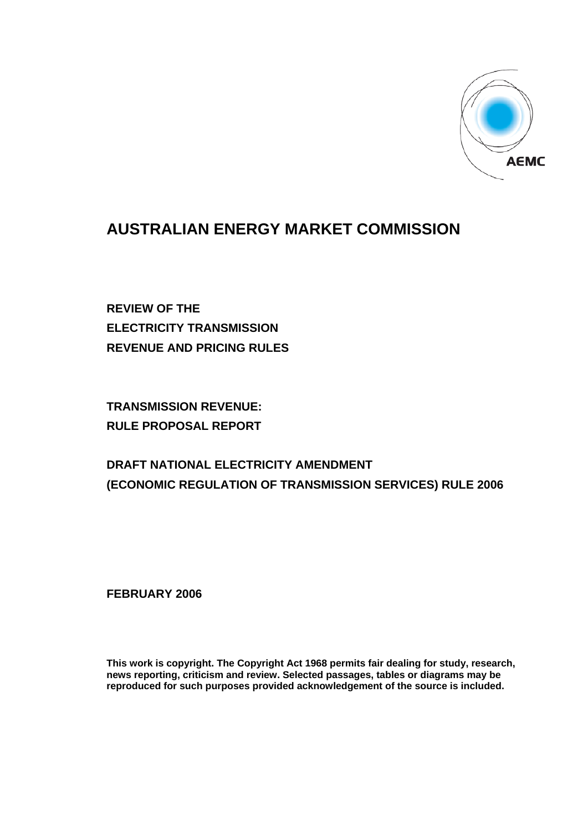

## **AUSTRALIAN ENERGY MARKET COMMISSION**

**REVIEW OF THE ELECTRICITY TRANSMISSION REVENUE AND PRICING RULES** 

**TRANSMISSION REVENUE: RULE PROPOSAL REPORT** 

## **DRAFT NATIONAL ELECTRICITY AMENDMENT (ECONOMIC REGULATION OF TRANSMISSION SERVICES) RULE 2006**

**FEBRUARY 2006** 

**This work is copyright. The Copyright Act 1968 permits fair dealing for study, research, news reporting, criticism and review. Selected passages, tables or diagrams may be reproduced for such purposes provided acknowledgement of the source is included.**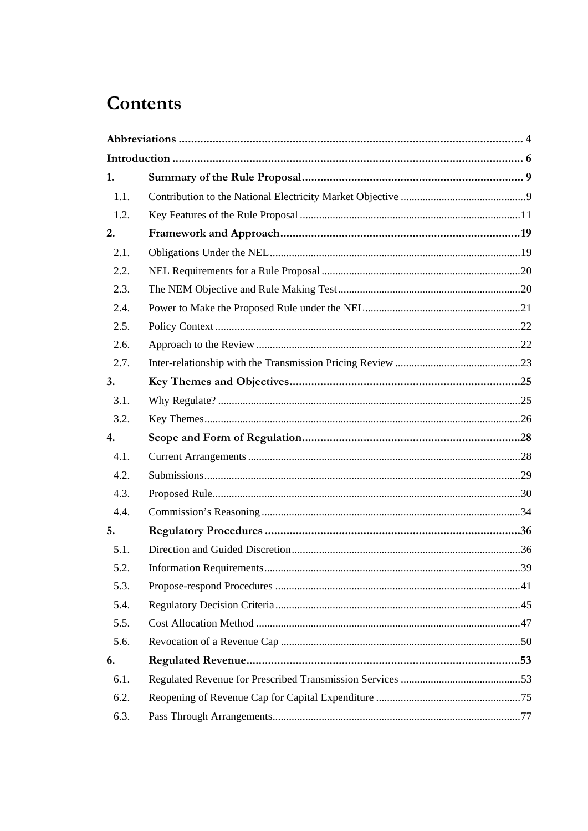# Contents

| 1.   |  |
|------|--|
| 1.1. |  |
| 1.2. |  |
| 2.   |  |
| 2.1. |  |
| 2.2. |  |
| 2.3. |  |
| 2.4. |  |
| 2.5. |  |
| 2.6. |  |
| 2.7. |  |
| 3.   |  |
| 3.1. |  |
| 3.2. |  |
| 4.   |  |
| 4.1. |  |
| 4.2. |  |
| 4.3. |  |
| 4.4. |  |
| 5.   |  |
| 5.1. |  |
| 5.2. |  |
| 5.3. |  |
| 5.4. |  |
| 5.5. |  |
| 5.6. |  |
| 6.   |  |
| 6.1. |  |
| 6.2. |  |
| 6.3. |  |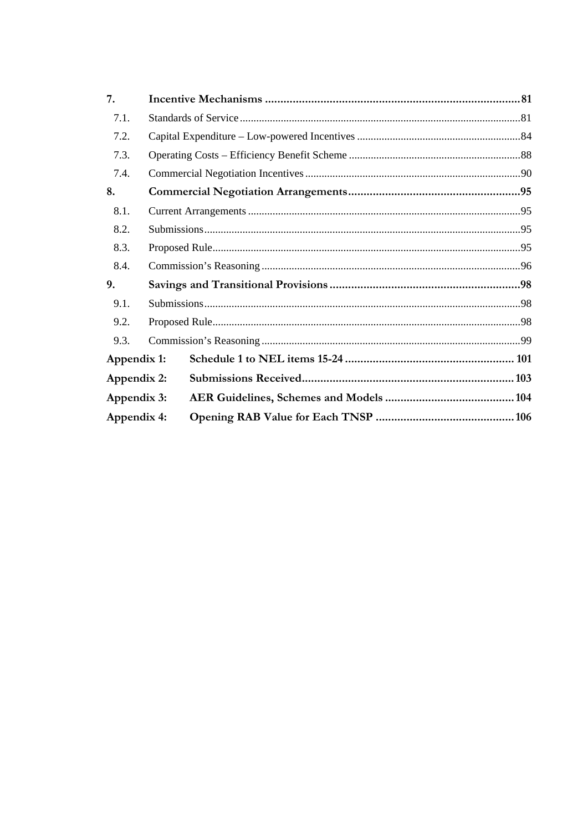| 7.          |  |  |  |  |  |
|-------------|--|--|--|--|--|
| 7.1.        |  |  |  |  |  |
| 7.2.        |  |  |  |  |  |
| 7.3.        |  |  |  |  |  |
| 7.4.        |  |  |  |  |  |
| 8.          |  |  |  |  |  |
| 8.1.        |  |  |  |  |  |
| 8.2.        |  |  |  |  |  |
| 8.3.        |  |  |  |  |  |
| 8.4.        |  |  |  |  |  |
| 9.          |  |  |  |  |  |
| 9.1.        |  |  |  |  |  |
| 9.2.        |  |  |  |  |  |
| 9.3.        |  |  |  |  |  |
| Appendix 1: |  |  |  |  |  |
| Appendix 2: |  |  |  |  |  |
| Appendix 3: |  |  |  |  |  |
| Appendix 4: |  |  |  |  |  |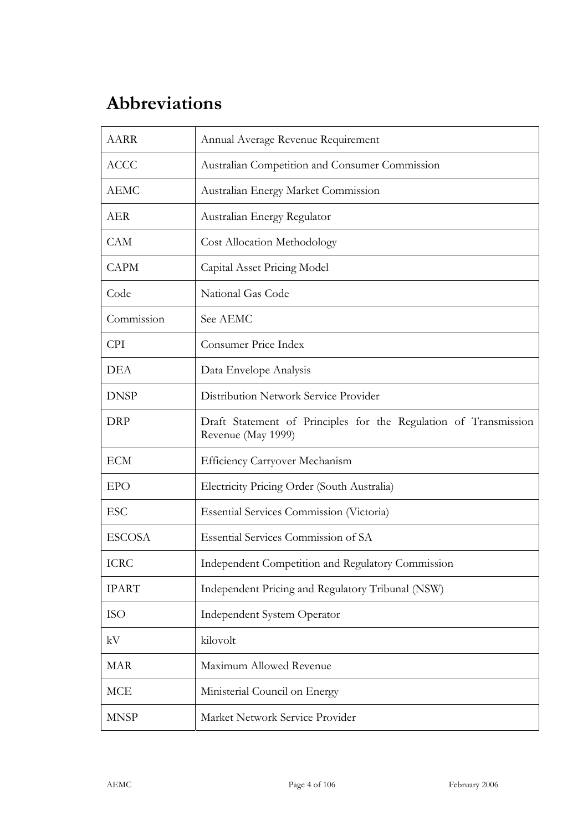# **Abbreviations**

| <b>AARR</b>   | Annual Average Revenue Requirement                                                     |
|---------------|----------------------------------------------------------------------------------------|
| <b>ACCC</b>   | Australian Competition and Consumer Commission                                         |
| AEMC          | Australian Energy Market Commission                                                    |
| <b>AER</b>    | Australian Energy Regulator                                                            |
| <b>CAM</b>    | <b>Cost Allocation Methodology</b>                                                     |
| <b>CAPM</b>   | Capital Asset Pricing Model                                                            |
| Code          | National Gas Code                                                                      |
| Commission    | See AEMC                                                                               |
| <b>CPI</b>    | Consumer Price Index                                                                   |
| <b>DEA</b>    | Data Envelope Analysis                                                                 |
| <b>DNSP</b>   | Distribution Network Service Provider                                                  |
| <b>DRP</b>    | Draft Statement of Principles for the Regulation of Transmission<br>Revenue (May 1999) |
| <b>ECM</b>    | <b>Efficiency Carryover Mechanism</b>                                                  |
| <b>EPO</b>    | Electricity Pricing Order (South Australia)                                            |
| <b>ESC</b>    | <b>Essential Services Commission (Victoria)</b>                                        |
| <b>ESCOSA</b> | <b>Essential Services Commission of SA</b>                                             |
| <b>ICRC</b>   | Independent Competition and Regulatory Commission                                      |
| <b>IPART</b>  | Independent Pricing and Regulatory Tribunal (NSW)                                      |
| <b>ISO</b>    | Independent System Operator                                                            |
| kV            | kilovolt                                                                               |
| <b>MAR</b>    | Maximum Allowed Revenue                                                                |
| <b>MCE</b>    | Ministerial Council on Energy                                                          |
| <b>MNSP</b>   | Market Network Service Provider                                                        |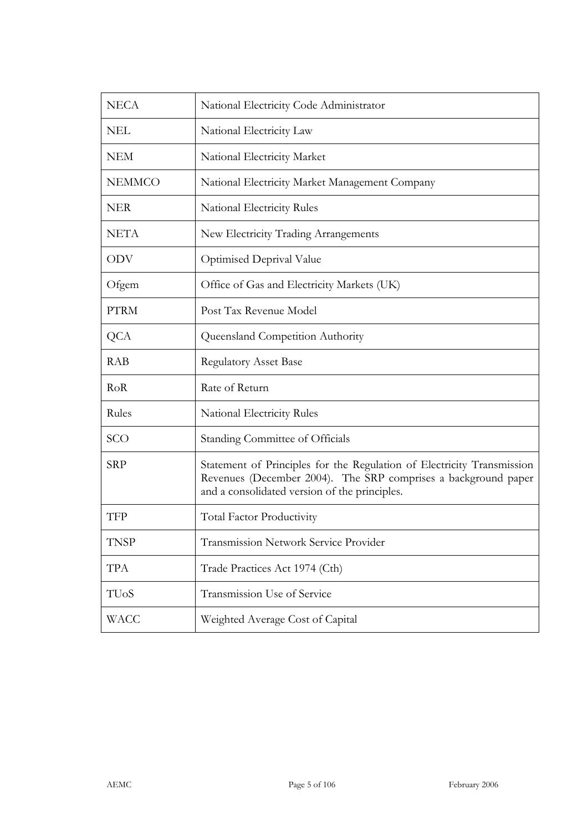| <b>NECA</b>       | National Electricity Code Administrator                                                                                                                                                   |
|-------------------|-------------------------------------------------------------------------------------------------------------------------------------------------------------------------------------------|
| <b>NEL</b>        | National Electricity Law                                                                                                                                                                  |
| <b>NEM</b>        | National Electricity Market                                                                                                                                                               |
| <b>NEMMCO</b>     | National Electricity Market Management Company                                                                                                                                            |
| <b>NER</b>        | National Electricity Rules                                                                                                                                                                |
| <b>NETA</b>       | New Electricity Trading Arrangements                                                                                                                                                      |
| <b>ODV</b>        | Optimised Deprival Value                                                                                                                                                                  |
| Ofgem             | Office of Gas and Electricity Markets (UK)                                                                                                                                                |
| <b>PTRM</b>       | Post Tax Revenue Model                                                                                                                                                                    |
| <b>QCA</b>        | Queensland Competition Authority                                                                                                                                                          |
| <b>RAB</b>        | <b>Regulatory Asset Base</b>                                                                                                                                                              |
| RoR               | Rate of Return                                                                                                                                                                            |
| Rules             | National Electricity Rules                                                                                                                                                                |
| SCO               | Standing Committee of Officials                                                                                                                                                           |
| <b>SRP</b>        | Statement of Principles for the Regulation of Electricity Transmission<br>Revenues (December 2004). The SRP comprises a background paper<br>and a consolidated version of the principles. |
| <b>TFP</b>        | <b>Total Factor Productivity</b>                                                                                                                                                          |
| <b>TNSP</b>       | <b>Transmission Network Service Provider</b>                                                                                                                                              |
| <b>TPA</b>        | Trade Practices Act 1974 (Cth)                                                                                                                                                            |
| TU <sub>o</sub> S | Transmission Use of Service                                                                                                                                                               |
| WACC              | Weighted Average Cost of Capital                                                                                                                                                          |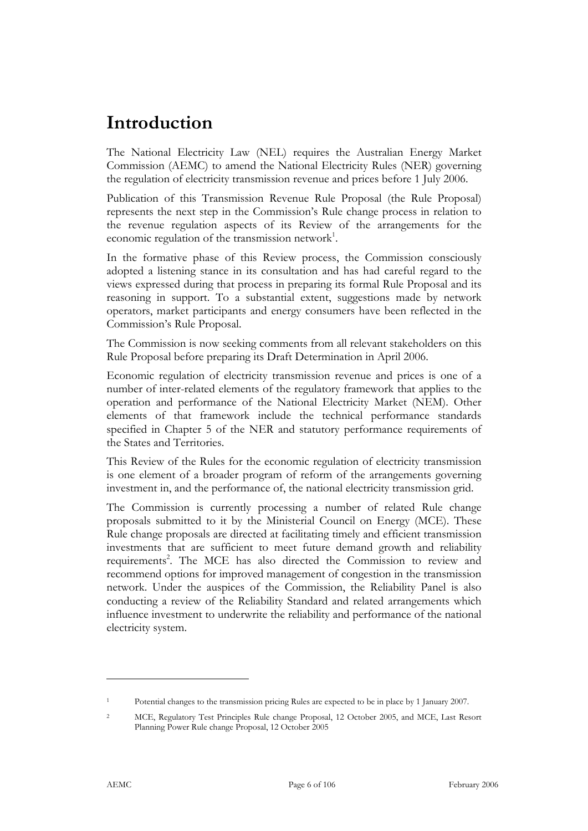## **Introduction**

The National Electricity Law (NEL) requires the Australian Energy Market Commission (AEMC) to amend the National Electricity Rules (NER) governing the regulation of electricity transmission revenue and prices before 1 July 2006.

Publication of this Transmission Revenue Rule Proposal (the Rule Proposal) represents the next step in the Commission's Rule change process in relation to the revenue regulation aspects of its Review of the arrangements for the economic regulation of the transmission network<sup>1</sup>.

In the formative phase of this Review process, the Commission consciously adopted a listening stance in its consultation and has had careful regard to the views expressed during that process in preparing its formal Rule Proposal and its reasoning in support. To a substantial extent, suggestions made by network operators, market participants and energy consumers have been reflected in the Commission's Rule Proposal.

The Commission is now seeking comments from all relevant stakeholders on this Rule Proposal before preparing its Draft Determination in April 2006.

Economic regulation of electricity transmission revenue and prices is one of a number of inter-related elements of the regulatory framework that applies to the operation and performance of the National Electricity Market (NEM). Other elements of that framework include the technical performance standards specified in Chapter 5 of the NER and statutory performance requirements of the States and Territories.

This Review of the Rules for the economic regulation of electricity transmission is one element of a broader program of reform of the arrangements governing investment in, and the performance of, the national electricity transmission grid.

The Commission is currently processing a number of related Rule change proposals submitted to it by the Ministerial Council on Energy (MCE). These Rule change proposals are directed at facilitating timely and efficient transmission investments that are sufficient to meet future demand growth and reliability requirements<sup>2</sup>. The MCE has also directed the Commission to review and recommend options for improved management of congestion in the transmission network. Under the auspices of the Commission, the Reliability Panel is also conducting a review of the Reliability Standard and related arrangements which influence investment to underwrite the reliability and performance of the national electricity system.

-

<sup>1</sup> Potential changes to the transmission pricing Rules are expected to be in place by 1 January 2007.

<sup>2</sup> MCE, Regulatory Test Principles Rule change Proposal, 12 October 2005, and MCE, Last Resort Planning Power Rule change Proposal, 12 October 2005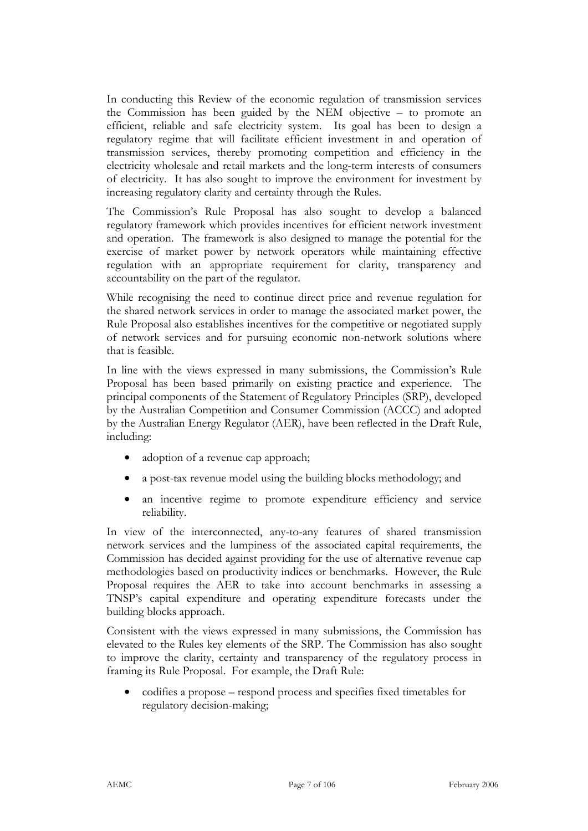In conducting this Review of the economic regulation of transmission services the Commission has been guided by the NEM objective – to promote an efficient, reliable and safe electricity system. Its goal has been to design a regulatory regime that will facilitate efficient investment in and operation of transmission services, thereby promoting competition and efficiency in the electricity wholesale and retail markets and the long-term interests of consumers of electricity. It has also sought to improve the environment for investment by increasing regulatory clarity and certainty through the Rules.

The Commission's Rule Proposal has also sought to develop a balanced regulatory framework which provides incentives for efficient network investment and operation. The framework is also designed to manage the potential for the exercise of market power by network operators while maintaining effective regulation with an appropriate requirement for clarity, transparency and accountability on the part of the regulator.

While recognising the need to continue direct price and revenue regulation for the shared network services in order to manage the associated market power, the Rule Proposal also establishes incentives for the competitive or negotiated supply of network services and for pursuing economic non-network solutions where that is feasible.

In line with the views expressed in many submissions, the Commission's Rule Proposal has been based primarily on existing practice and experience. The principal components of the Statement of Regulatory Principles (SRP), developed by the Australian Competition and Consumer Commission (ACCC) and adopted by the Australian Energy Regulator (AER), have been reflected in the Draft Rule, including:

- adoption of a revenue cap approach;
- a post-tax revenue model using the building blocks methodology; and
- an incentive regime to promote expenditure efficiency and service reliability.

In view of the interconnected, any-to-any features of shared transmission network services and the lumpiness of the associated capital requirements, the Commission has decided against providing for the use of alternative revenue cap methodologies based on productivity indices or benchmarks. However, the Rule Proposal requires the AER to take into account benchmarks in assessing a TNSP's capital expenditure and operating expenditure forecasts under the building blocks approach.

Consistent with the views expressed in many submissions, the Commission has elevated to the Rules key elements of the SRP. The Commission has also sought to improve the clarity, certainty and transparency of the regulatory process in framing its Rule Proposal. For example, the Draft Rule:

• codifies a propose – respond process and specifies fixed timetables for regulatory decision-making;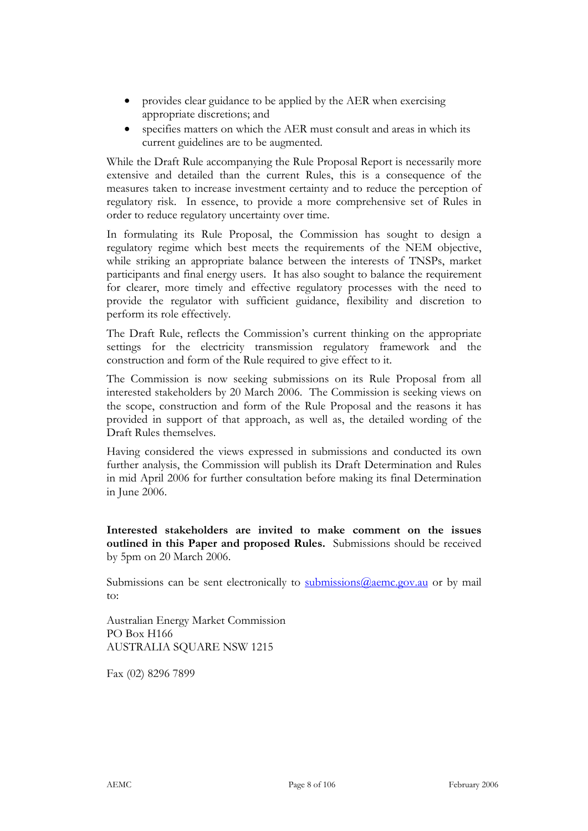- provides clear guidance to be applied by the AER when exercising appropriate discretions; and
- specifies matters on which the AER must consult and areas in which its current guidelines are to be augmented.

While the Draft Rule accompanying the Rule Proposal Report is necessarily more extensive and detailed than the current Rules, this is a consequence of the measures taken to increase investment certainty and to reduce the perception of regulatory risk. In essence, to provide a more comprehensive set of Rules in order to reduce regulatory uncertainty over time.

In formulating its Rule Proposal, the Commission has sought to design a regulatory regime which best meets the requirements of the NEM objective, while striking an appropriate balance between the interests of TNSPs, market participants and final energy users. It has also sought to balance the requirement for clearer, more timely and effective regulatory processes with the need to provide the regulator with sufficient guidance, flexibility and discretion to perform its role effectively.

The Draft Rule, reflects the Commission's current thinking on the appropriate settings for the electricity transmission regulatory framework and the construction and form of the Rule required to give effect to it.

The Commission is now seeking submissions on its Rule Proposal from all interested stakeholders by 20 March 2006. The Commission is seeking views on the scope, construction and form of the Rule Proposal and the reasons it has provided in support of that approach, as well as, the detailed wording of the Draft Rules themselves.

Having considered the views expressed in submissions and conducted its own further analysis, the Commission will publish its Draft Determination and Rules in mid April 2006 for further consultation before making its final Determination in June 2006.

**Interested stakeholders are invited to make comment on the issues outlined in this Paper and proposed Rules.** Submissions should be received by 5pm on 20 March 2006.

Submissions can be sent electronically to submissions  $@$  aeme.gov.au or by mail to:

Australian Energy Market Commission PO Box H166 AUSTRALIA SQUARE NSW 1215

Fax (02) 8296 7899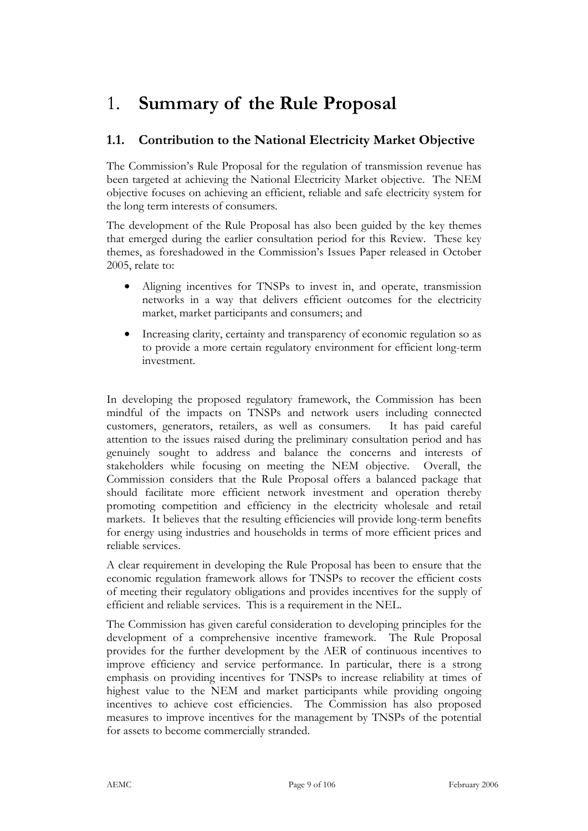## 1. **Summary of the Rule Proposal**

## **1.1. Contribution to the National Electricity Market Objective**

The Commission's Rule Proposal for the regulation of transmission revenue has been targeted at achieving the National Electricity Market objective. The NEM objective focuses on achieving an efficient, reliable and safe electricity system for the long term interests of consumers.

The development of the Rule Proposal has also been guided by the key themes that emerged during the earlier consultation period for this Review. These key themes, as foreshadowed in the Commission's Issues Paper released in October 2005, relate to:

- Aligning incentives for TNSPs to invest in, and operate, transmission networks in a way that delivers efficient outcomes for the electricity market, market participants and consumers; and
- Increasing clarity, certainty and transparency of economic regulation so as to provide a more certain regulatory environment for efficient long-term investment.

In developing the proposed regulatory framework, the Commission has been mindful of the impacts on TNSPs and network users including connected customers, generators, retailers, as well as consumers. It has paid careful attention to the issues raised during the preliminary consultation period and has genuinely sought to address and balance the concerns and interests of stakeholders while focusing on meeting the NEM objective. Overall, the Commission considers that the Rule Proposal offers a balanced package that should facilitate more efficient network investment and operation thereby promoting competition and efficiency in the electricity wholesale and retail markets. It believes that the resulting efficiencies will provide long-term benefits for energy using industries and households in terms of more efficient prices and reliable services.

A clear requirement in developing the Rule Proposal has been to ensure that the economic regulation framework allows for TNSPs to recover the efficient costs of meeting their regulatory obligations and provides incentives for the supply of efficient and reliable services. This is a requirement in the NEL.

The Commission has given careful consideration to developing principles for the development of a comprehensive incentive framework. The Rule Proposal provides for the further development by the AER of continuous incentives to improve efficiency and service performance. In particular, there is a strong emphasis on providing incentives for TNSPs to increase reliability at times of highest value to the NEM and market participants while providing ongoing incentives to achieve cost efficiencies. The Commission has also proposed measures to improve incentives for the management by TNSPs of the potential for assets to become commercially stranded.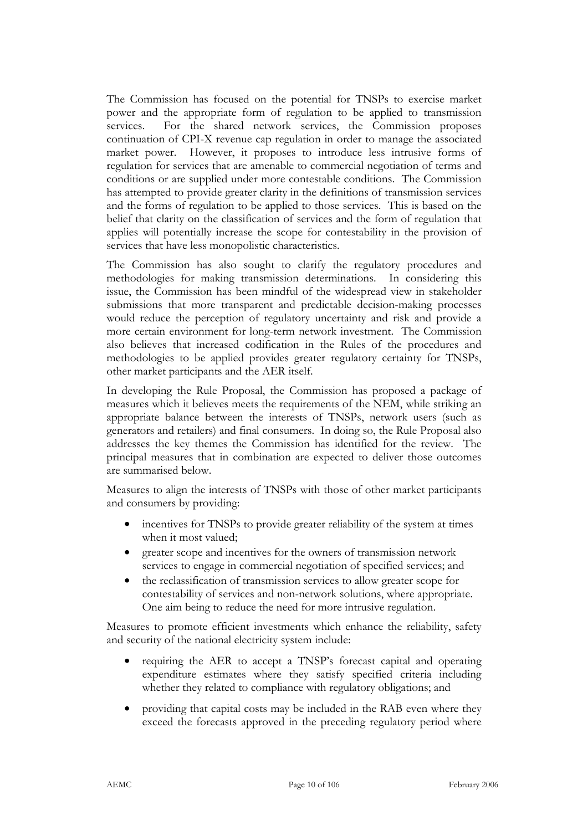The Commission has focused on the potential for TNSPs to exercise market power and the appropriate form of regulation to be applied to transmission services. For the shared network services, the Commission proposes continuation of CPI-X revenue cap regulation in order to manage the associated market power. However, it proposes to introduce less intrusive forms of regulation for services that are amenable to commercial negotiation of terms and conditions or are supplied under more contestable conditions. The Commission has attempted to provide greater clarity in the definitions of transmission services and the forms of regulation to be applied to those services. This is based on the belief that clarity on the classification of services and the form of regulation that applies will potentially increase the scope for contestability in the provision of services that have less monopolistic characteristics.

The Commission has also sought to clarify the regulatory procedures and methodologies for making transmission determinations. In considering this issue, the Commission has been mindful of the widespread view in stakeholder submissions that more transparent and predictable decision-making processes would reduce the perception of regulatory uncertainty and risk and provide a more certain environment for long-term network investment. The Commission also believes that increased codification in the Rules of the procedures and methodologies to be applied provides greater regulatory certainty for TNSPs, other market participants and the AER itself.

In developing the Rule Proposal, the Commission has proposed a package of measures which it believes meets the requirements of the NEM, while striking an appropriate balance between the interests of TNSPs, network users (such as generators and retailers) and final consumers. In doing so, the Rule Proposal also addresses the key themes the Commission has identified for the review. The principal measures that in combination are expected to deliver those outcomes are summarised below.

Measures to align the interests of TNSPs with those of other market participants and consumers by providing:

- incentives for TNSPs to provide greater reliability of the system at times when it most valued;
- greater scope and incentives for the owners of transmission network services to engage in commercial negotiation of specified services; and
- the reclassification of transmission services to allow greater scope for contestability of services and non-network solutions, where appropriate. One aim being to reduce the need for more intrusive regulation.

Measures to promote efficient investments which enhance the reliability, safety and security of the national electricity system include:

- requiring the AER to accept a TNSP's forecast capital and operating expenditure estimates where they satisfy specified criteria including whether they related to compliance with regulatory obligations; and
- providing that capital costs may be included in the RAB even where they exceed the forecasts approved in the preceding regulatory period where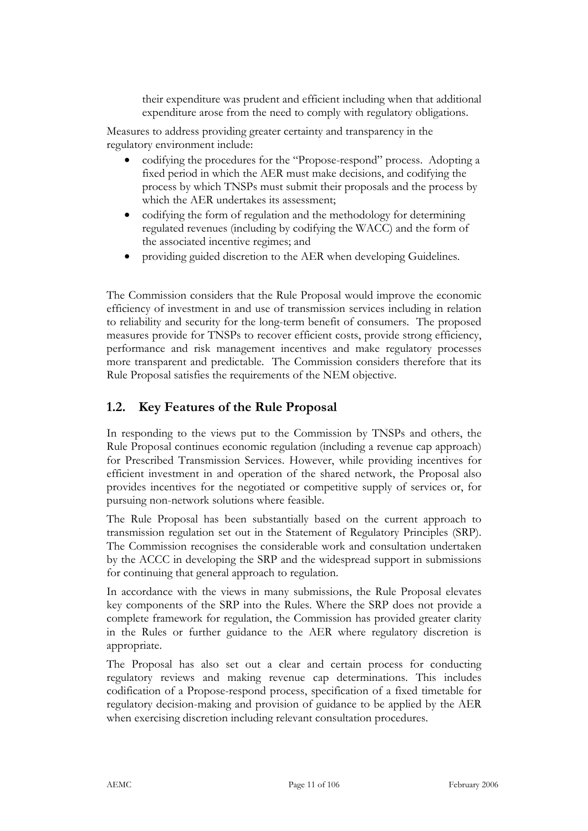their expenditure was prudent and efficient including when that additional expenditure arose from the need to comply with regulatory obligations.

Measures to address providing greater certainty and transparency in the regulatory environment include:

- codifying the procedures for the "Propose-respond" process. Adopting a fixed period in which the AER must make decisions, and codifying the process by which TNSPs must submit their proposals and the process by which the AER undertakes its assessment;
- codifying the form of regulation and the methodology for determining regulated revenues (including by codifying the WACC) and the form of the associated incentive regimes; and
- providing guided discretion to the AER when developing Guidelines.

The Commission considers that the Rule Proposal would improve the economic efficiency of investment in and use of transmission services including in relation to reliability and security for the long-term benefit of consumers. The proposed measures provide for TNSPs to recover efficient costs, provide strong efficiency, performance and risk management incentives and make regulatory processes more transparent and predictable. The Commission considers therefore that its Rule Proposal satisfies the requirements of the NEM objective.

### **1.2. Key Features of the Rule Proposal**

In responding to the views put to the Commission by TNSPs and others, the Rule Proposal continues economic regulation (including a revenue cap approach) for Prescribed Transmission Services. However, while providing incentives for efficient investment in and operation of the shared network, the Proposal also provides incentives for the negotiated or competitive supply of services or, for pursuing non-network solutions where feasible.

The Rule Proposal has been substantially based on the current approach to transmission regulation set out in the Statement of Regulatory Principles (SRP). The Commission recognises the considerable work and consultation undertaken by the ACCC in developing the SRP and the widespread support in submissions for continuing that general approach to regulation.

In accordance with the views in many submissions, the Rule Proposal elevates key components of the SRP into the Rules. Where the SRP does not provide a complete framework for regulation, the Commission has provided greater clarity in the Rules or further guidance to the AER where regulatory discretion is appropriate.

The Proposal has also set out a clear and certain process for conducting regulatory reviews and making revenue cap determinations. This includes codification of a Propose-respond process, specification of a fixed timetable for regulatory decision-making and provision of guidance to be applied by the AER when exercising discretion including relevant consultation procedures.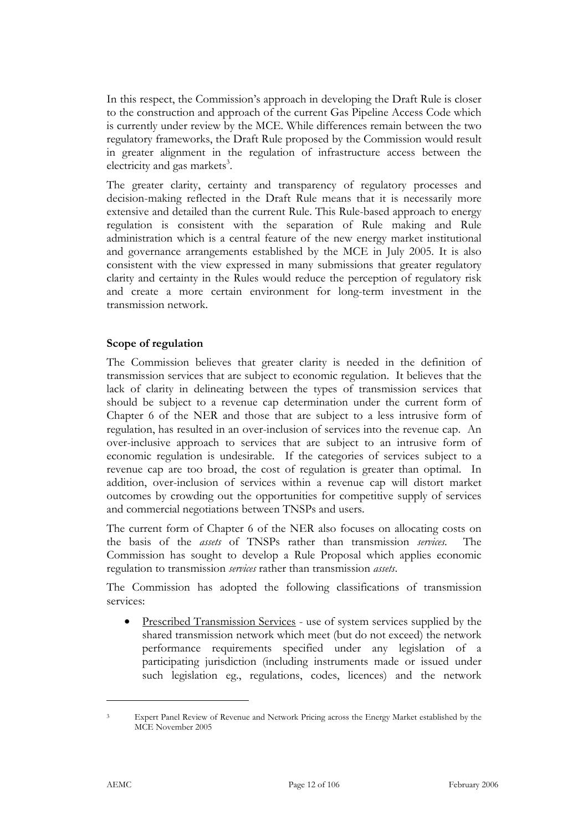In this respect, the Commission's approach in developing the Draft Rule is closer to the construction and approach of the current Gas Pipeline Access Code which is currently under review by the MCE. While differences remain between the two regulatory frameworks, the Draft Rule proposed by the Commission would result in greater alignment in the regulation of infrastructure access between the electricity and gas markets<sup>3</sup>.

The greater clarity, certainty and transparency of regulatory processes and decision-making reflected in the Draft Rule means that it is necessarily more extensive and detailed than the current Rule. This Rule-based approach to energy regulation is consistent with the separation of Rule making and Rule administration which is a central feature of the new energy market institutional and governance arrangements established by the MCE in July 2005. It is also consistent with the view expressed in many submissions that greater regulatory clarity and certainty in the Rules would reduce the perception of regulatory risk and create a more certain environment for long-term investment in the transmission network.

### **Scope of regulation**

The Commission believes that greater clarity is needed in the definition of transmission services that are subject to economic regulation. It believes that the lack of clarity in delineating between the types of transmission services that should be subject to a revenue cap determination under the current form of Chapter 6 of the NER and those that are subject to a less intrusive form of regulation, has resulted in an over-inclusion of services into the revenue cap. An over-inclusive approach to services that are subject to an intrusive form of economic regulation is undesirable. If the categories of services subject to a revenue cap are too broad, the cost of regulation is greater than optimal. In addition, over-inclusion of services within a revenue cap will distort market outcomes by crowding out the opportunities for competitive supply of services and commercial negotiations between TNSPs and users.

The current form of Chapter 6 of the NER also focuses on allocating costs on the basis of the *assets* of TNSPs rather than transmission *services*. The Commission has sought to develop a Rule Proposal which applies economic regulation to transmission *services* rather than transmission *assets*.

The Commission has adopted the following classifications of transmission services:

• Prescribed Transmission Services - use of system services supplied by the shared transmission network which meet (but do not exceed) the network performance requirements specified under any legislation of a participating jurisdiction (including instruments made or issued under such legislation eg., regulations, codes, licences) and the network

Expert Panel Review of Revenue and Network Pricing across the Energy Market established by the MCE November 2005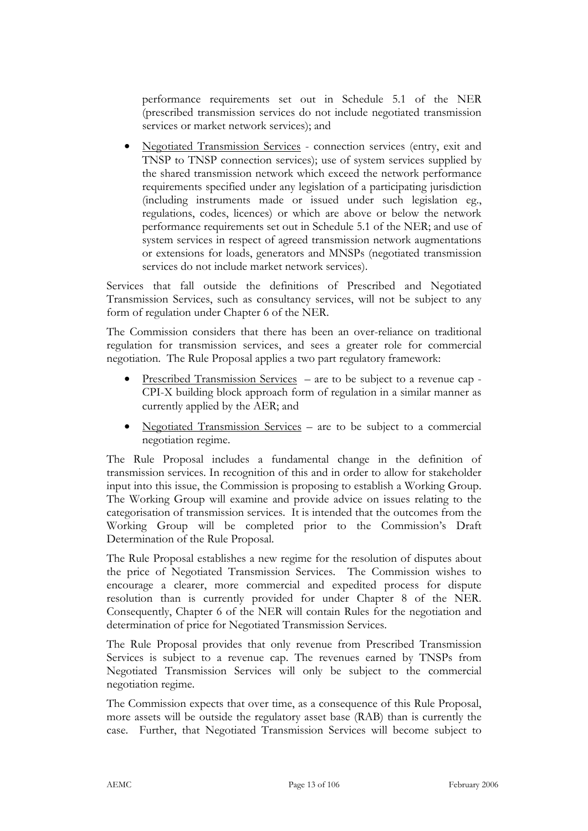performance requirements set out in Schedule 5.1 of the NER (prescribed transmission services do not include negotiated transmission services or market network services); and

• Negotiated Transmission Services - connection services (entry, exit and TNSP to TNSP connection services); use of system services supplied by the shared transmission network which exceed the network performance requirements specified under any legislation of a participating jurisdiction (including instruments made or issued under such legislation eg., regulations, codes, licences) or which are above or below the network performance requirements set out in Schedule 5.1 of the NER; and use of system services in respect of agreed transmission network augmentations or extensions for loads, generators and MNSPs (negotiated transmission services do not include market network services).

Services that fall outside the definitions of Prescribed and Negotiated Transmission Services, such as consultancy services, will not be subject to any form of regulation under Chapter 6 of the NER.

The Commission considers that there has been an over-reliance on traditional regulation for transmission services, and sees a greater role for commercial negotiation. The Rule Proposal applies a two part regulatory framework:

- Prescribed Transmission Services are to be subject to a revenue cap CPI-X building block approach form of regulation in a similar manner as currently applied by the AER; and
- Negotiated Transmission Services are to be subject to a commercial negotiation regime.

The Rule Proposal includes a fundamental change in the definition of transmission services. In recognition of this and in order to allow for stakeholder input into this issue, the Commission is proposing to establish a Working Group. The Working Group will examine and provide advice on issues relating to the categorisation of transmission services. It is intended that the outcomes from the Working Group will be completed prior to the Commission's Draft Determination of the Rule Proposal.

The Rule Proposal establishes a new regime for the resolution of disputes about the price of Negotiated Transmission Services. The Commission wishes to encourage a clearer, more commercial and expedited process for dispute resolution than is currently provided for under Chapter 8 of the NER. Consequently, Chapter 6 of the NER will contain Rules for the negotiation and determination of price for Negotiated Transmission Services.

The Rule Proposal provides that only revenue from Prescribed Transmission Services is subject to a revenue cap. The revenues earned by TNSPs from Negotiated Transmission Services will only be subject to the commercial negotiation regime.

The Commission expects that over time, as a consequence of this Rule Proposal, more assets will be outside the regulatory asset base (RAB) than is currently the case. Further, that Negotiated Transmission Services will become subject to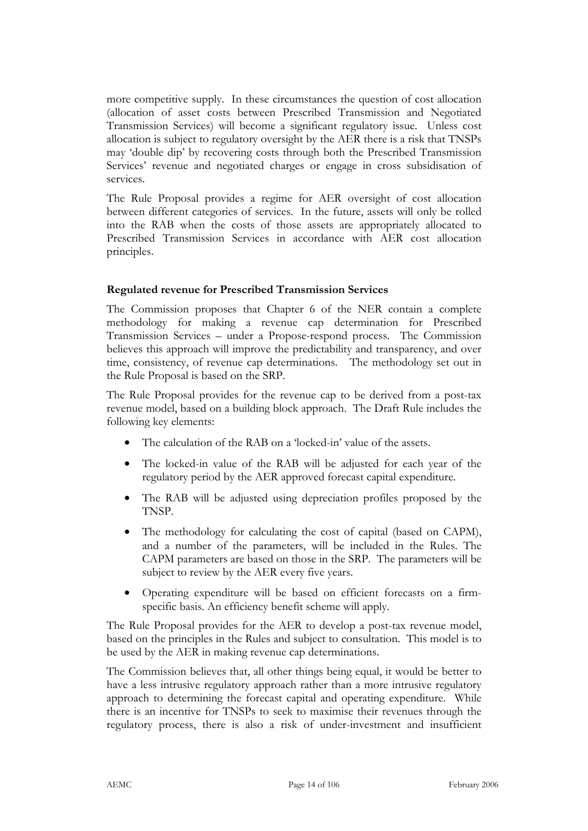more competitive supply. In these circumstances the question of cost allocation (allocation of asset costs between Prescribed Transmission and Negotiated Transmission Services) will become a significant regulatory issue. Unless cost allocation is subject to regulatory oversight by the AER there is a risk that TNSPs may 'double dip' by recovering costs through both the Prescribed Transmission Services' revenue and negotiated charges or engage in cross subsidisation of services.

The Rule Proposal provides a regime for AER oversight of cost allocation between different categories of services. In the future, assets will only be rolled into the RAB when the costs of those assets are appropriately allocated to Prescribed Transmission Services in accordance with AER cost allocation principles.

### **Regulated revenue for Prescribed Transmission Services**

The Commission proposes that Chapter 6 of the NER contain a complete methodology for making a revenue cap determination for Prescribed Transmission Services – under a Propose-respond process. The Commission believes this approach will improve the predictability and transparency, and over time, consistency, of revenue cap determinations. The methodology set out in the Rule Proposal is based on the SRP.

The Rule Proposal provides for the revenue cap to be derived from a post-tax revenue model, based on a building block approach. The Draft Rule includes the following key elements:

- The calculation of the RAB on a 'locked-in' value of the assets.
- The locked-in value of the RAB will be adjusted for each year of the regulatory period by the AER approved forecast capital expenditure.
- The RAB will be adjusted using depreciation profiles proposed by the TNSP.
- The methodology for calculating the cost of capital (based on CAPM), and a number of the parameters, will be included in the Rules. The CAPM parameters are based on those in the SRP. The parameters will be subject to review by the AER every five years.
- Operating expenditure will be based on efficient forecasts on a firmspecific basis. An efficiency benefit scheme will apply.

The Rule Proposal provides for the AER to develop a post-tax revenue model, based on the principles in the Rules and subject to consultation. This model is to be used by the AER in making revenue cap determinations.

The Commission believes that, all other things being equal, it would be better to have a less intrusive regulatory approach rather than a more intrusive regulatory approach to determining the forecast capital and operating expenditure. While there is an incentive for TNSPs to seek to maximise their revenues through the regulatory process, there is also a risk of under-investment and insufficient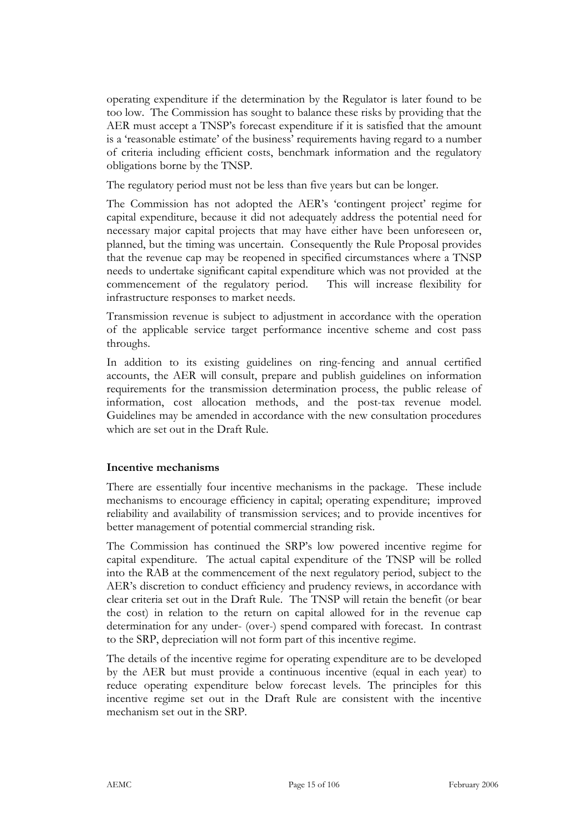operating expenditure if the determination by the Regulator is later found to be too low. The Commission has sought to balance these risks by providing that the AER must accept a TNSP's forecast expenditure if it is satisfied that the amount is a 'reasonable estimate' of the business' requirements having regard to a number of criteria including efficient costs, benchmark information and the regulatory obligations borne by the TNSP.

The regulatory period must not be less than five years but can be longer.

The Commission has not adopted the AER's 'contingent project' regime for capital expenditure, because it did not adequately address the potential need for necessary major capital projects that may have either have been unforeseen or, planned, but the timing was uncertain. Consequently the Rule Proposal provides that the revenue cap may be reopened in specified circumstances where a TNSP needs to undertake significant capital expenditure which was not provided at the commencement of the regulatory period. This will increase flexibility for infrastructure responses to market needs.

Transmission revenue is subject to adjustment in accordance with the operation of the applicable service target performance incentive scheme and cost pass throughs.

In addition to its existing guidelines on ring-fencing and annual certified accounts, the AER will consult, prepare and publish guidelines on information requirements for the transmission determination process, the public release of information, cost allocation methods, and the post-tax revenue model. Guidelines may be amended in accordance with the new consultation procedures which are set out in the Draft Rule.

### **Incentive mechanisms**

There are essentially four incentive mechanisms in the package. These include mechanisms to encourage efficiency in capital; operating expenditure; improved reliability and availability of transmission services; and to provide incentives for better management of potential commercial stranding risk.

The Commission has continued the SRP's low powered incentive regime for capital expenditure. The actual capital expenditure of the TNSP will be rolled into the RAB at the commencement of the next regulatory period, subject to the AER's discretion to conduct efficiency and prudency reviews, in accordance with clear criteria set out in the Draft Rule. The TNSP will retain the benefit (or bear the cost) in relation to the return on capital allowed for in the revenue cap determination for any under- (over-) spend compared with forecast. In contrast to the SRP, depreciation will not form part of this incentive regime.

The details of the incentive regime for operating expenditure are to be developed by the AER but must provide a continuous incentive (equal in each year) to reduce operating expenditure below forecast levels. The principles for this incentive regime set out in the Draft Rule are consistent with the incentive mechanism set out in the SRP.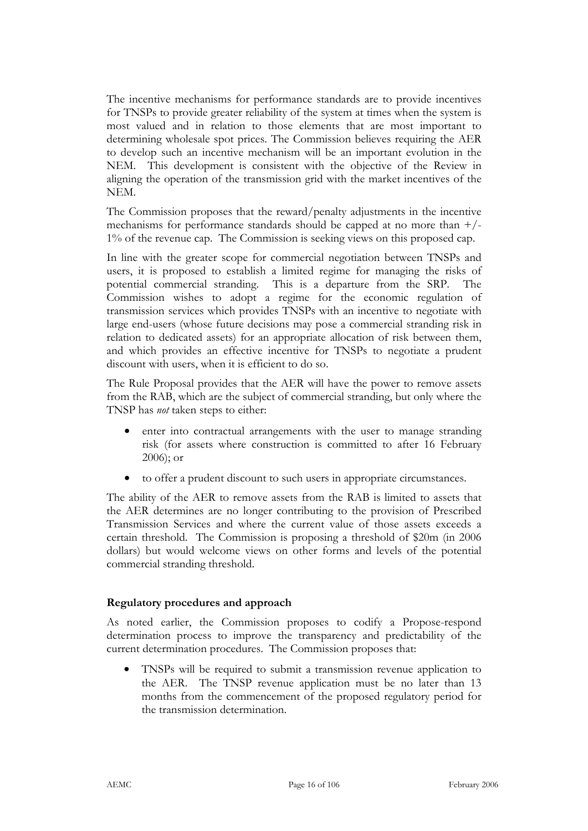The incentive mechanisms for performance standards are to provide incentives for TNSPs to provide greater reliability of the system at times when the system is most valued and in relation to those elements that are most important to determining wholesale spot prices. The Commission believes requiring the AER to develop such an incentive mechanism will be an important evolution in the NEM. This development is consistent with the objective of the Review in aligning the operation of the transmission grid with the market incentives of the NEM.

The Commission proposes that the reward/penalty adjustments in the incentive mechanisms for performance standards should be capped at no more than +/- 1% of the revenue cap. The Commission is seeking views on this proposed cap.

In line with the greater scope for commercial negotiation between TNSPs and users, it is proposed to establish a limited regime for managing the risks of potential commercial stranding. This is a departure from the SRP. The Commission wishes to adopt a regime for the economic regulation of transmission services which provides TNSPs with an incentive to negotiate with large end-users (whose future decisions may pose a commercial stranding risk in relation to dedicated assets) for an appropriate allocation of risk between them, and which provides an effective incentive for TNSPs to negotiate a prudent discount with users, when it is efficient to do so.

The Rule Proposal provides that the AER will have the power to remove assets from the RAB, which are the subject of commercial stranding, but only where the TNSP has *not* taken steps to either:

- enter into contractual arrangements with the user to manage stranding risk (for assets where construction is committed to after 16 February 2006); or
- to offer a prudent discount to such users in appropriate circumstances.

The ability of the AER to remove assets from the RAB is limited to assets that the AER determines are no longer contributing to the provision of Prescribed Transmission Services and where the current value of those assets exceeds a certain threshold. The Commission is proposing a threshold of \$20m (in 2006 dollars) but would welcome views on other forms and levels of the potential commercial stranding threshold.

### **Regulatory procedures and approach**

As noted earlier, the Commission proposes to codify a Propose-respond determination process to improve the transparency and predictability of the current determination procedures. The Commission proposes that:

• TNSPs will be required to submit a transmission revenue application to the AER. The TNSP revenue application must be no later than 13 months from the commencement of the proposed regulatory period for the transmission determination.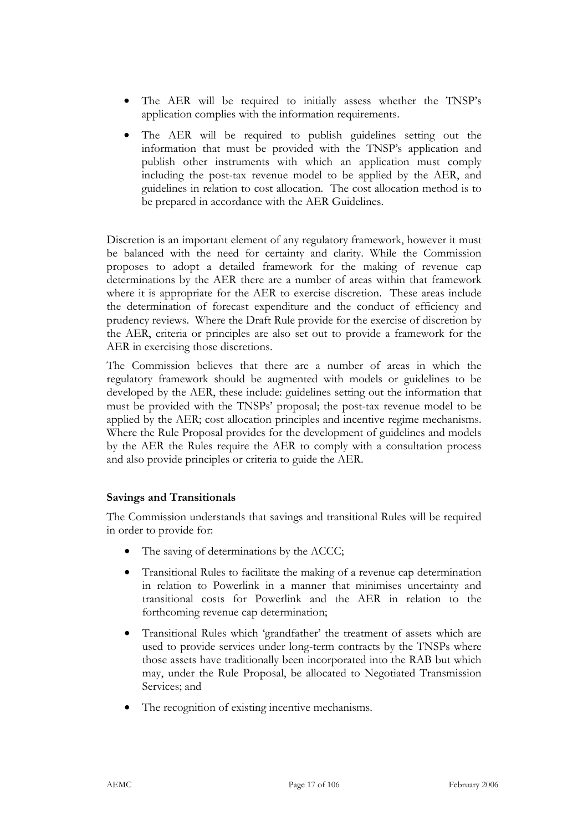- The AER will be required to initially assess whether the TNSP's application complies with the information requirements.
- The AER will be required to publish guidelines setting out the information that must be provided with the TNSP's application and publish other instruments with which an application must comply including the post-tax revenue model to be applied by the AER, and guidelines in relation to cost allocation. The cost allocation method is to be prepared in accordance with the AER Guidelines.

Discretion is an important element of any regulatory framework, however it must be balanced with the need for certainty and clarity. While the Commission proposes to adopt a detailed framework for the making of revenue cap determinations by the AER there are a number of areas within that framework where it is appropriate for the AER to exercise discretion. These areas include the determination of forecast expenditure and the conduct of efficiency and prudency reviews. Where the Draft Rule provide for the exercise of discretion by the AER, criteria or principles are also set out to provide a framework for the AER in exercising those discretions.

The Commission believes that there are a number of areas in which the regulatory framework should be augmented with models or guidelines to be developed by the AER, these include: guidelines setting out the information that must be provided with the TNSPs' proposal; the post-tax revenue model to be applied by the AER; cost allocation principles and incentive regime mechanisms. Where the Rule Proposal provides for the development of guidelines and models by the AER the Rules require the AER to comply with a consultation process and also provide principles or criteria to guide the AER.

### **Savings and Transitionals**

The Commission understands that savings and transitional Rules will be required in order to provide for:

- The saving of determinations by the ACCC;
- Transitional Rules to facilitate the making of a revenue cap determination in relation to Powerlink in a manner that minimises uncertainty and transitional costs for Powerlink and the AER in relation to the forthcoming revenue cap determination;
- Transitional Rules which 'grandfather' the treatment of assets which are used to provide services under long-term contracts by the TNSPs where those assets have traditionally been incorporated into the RAB but which may, under the Rule Proposal, be allocated to Negotiated Transmission Services; and
- The recognition of existing incentive mechanisms.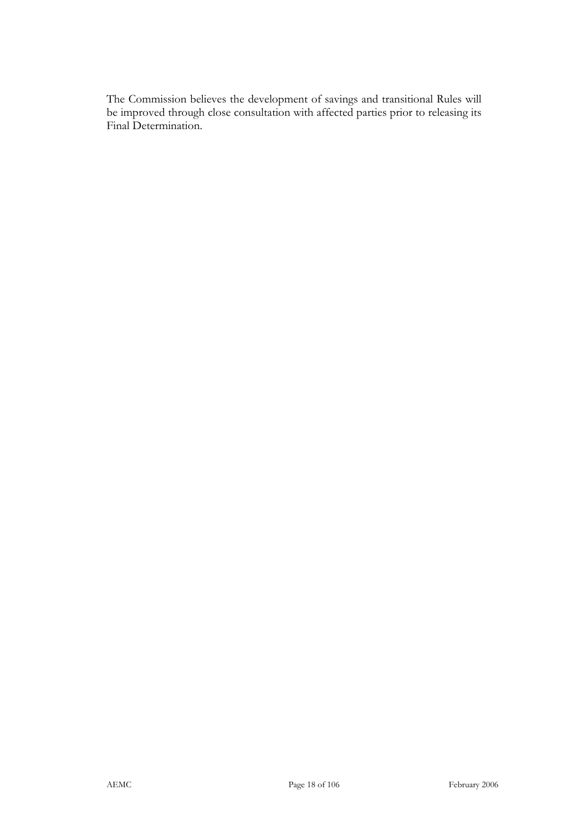The Commission believes the development of savings and transitional Rules will be improved through close consultation with affected parties prior to releasing its Final Determination.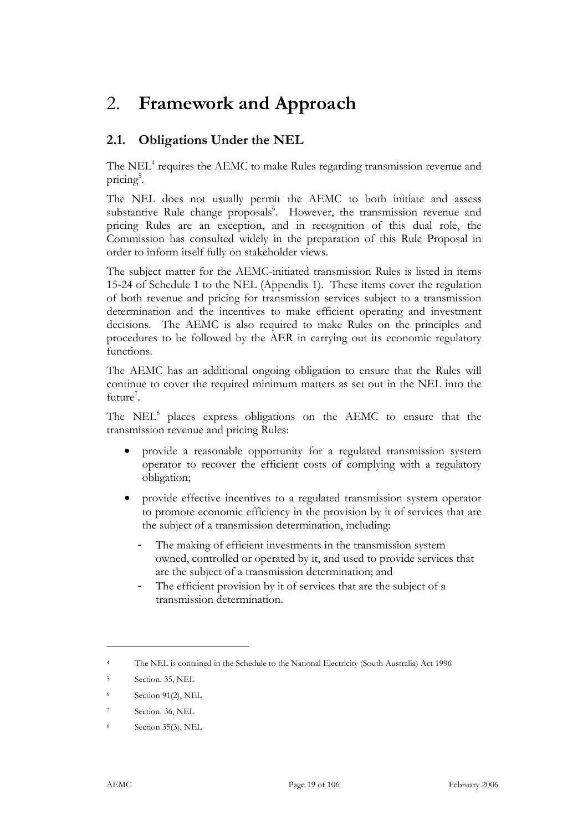## 2. **Framework and Approach**

## **2.1. Obligations Under the NEL**

The NEL<sup>4</sup> requires the AEMC to make Rules regarding transmission revenue and pricing<sup>5</sup>.

The NEL does not usually permit the AEMC to both initiate and assess substantive Rule change proposals<sup>6</sup>. However, the transmission revenue and pricing Rules are an exception, and in recognition of this dual role, the Commission has consulted widely in the preparation of this Rule Proposal in order to inform itself fully on stakeholder views.

The subject matter for the AEMC-initiated transmission Rules is listed in items 15-24 of Schedule 1 to the NEL (Appendix 1). These items cover the regulation of both revenue and pricing for transmission services subject to a transmission determination and the incentives to make efficient operating and investment decisions. The AEMC is also required to make Rules on the principles and procedures to be followed by the AER in carrying out its economic regulatory functions.

The AEMC has an additional ongoing obligation to ensure that the Rules will continue to cover the required minimum matters as set out in the NEL into the future<sup>7</sup>.

The NEL<sup>8</sup> places express obligations on the AEMC to ensure that the transmission revenue and pricing Rules:

- provide a reasonable opportunity for a regulated transmission system operator to recover the efficient costs of complying with a regulatory obligation;
- provide effective incentives to a regulated transmission system operator to promote economic efficiency in the provision by it of services that are the subject of a transmission determination, including:
	- The making of efficient investments in the transmission system owned, controlled or operated by it, and used to provide services that are the subject of a transmission determination; and
	- The efficient provision by it of services that are the subject of a transmission determination.

<sup>4</sup> The NEL is contained in the Schedule to the National Electricity (South Australia) Act 1996

<sup>5</sup> Section. 35, NEL

<sup>6</sup> Section 91(2), NEL

Section. 36, NEL

Section 35(3), NEL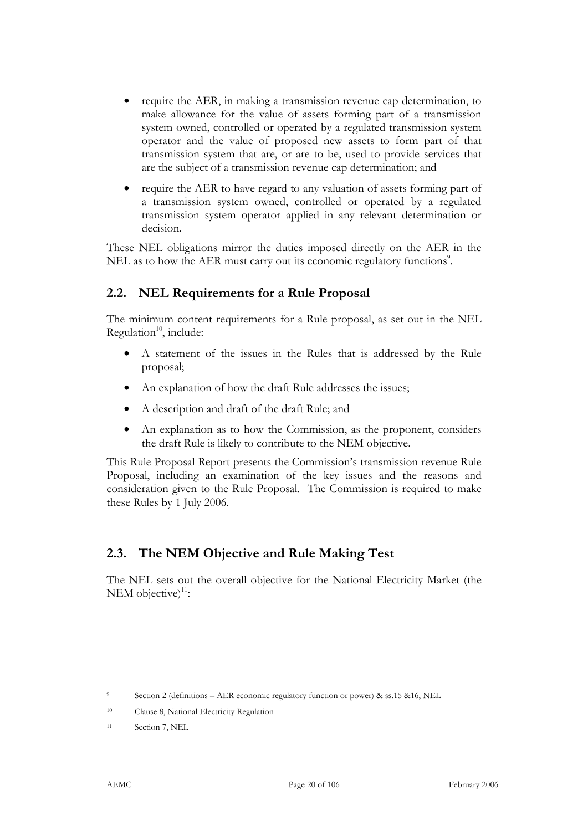- require the AER, in making a transmission revenue cap determination, to make allowance for the value of assets forming part of a transmission system owned, controlled or operated by a regulated transmission system operator and the value of proposed new assets to form part of that transmission system that are, or are to be, used to provide services that are the subject of a transmission revenue cap determination; and
- require the AER to have regard to any valuation of assets forming part of a transmission system owned, controlled or operated by a regulated transmission system operator applied in any relevant determination or decision.

These NEL obligations mirror the duties imposed directly on the AER in the NEL as to how the AER must carry out its economic regulatory functions<sup>9</sup>.

### **2.2. NEL Requirements for a Rule Proposal**

The minimum content requirements for a Rule proposal, as set out in the NEL Regulation $10$ , include:

- A statement of the issues in the Rules that is addressed by the Rule proposal;
- An explanation of how the draft Rule addresses the issues;
- A description and draft of the draft Rule; and
- An explanation as to how the Commission, as the proponent, considers the draft Rule is likely to contribute to the NEM objective.

This Rule Proposal Report presents the Commission's transmission revenue Rule Proposal, including an examination of the key issues and the reasons and consideration given to the Rule Proposal. The Commission is required to make these Rules by 1 July 2006.

### **2.3. The NEM Objective and Rule Making Test**

The NEL sets out the overall objective for the National Electricity Market (the NEM objective) $11$ :

-

<sup>9</sup> Section 2 (definitions – AER economic regulatory function or power) & ss.15 &16, NEL

<sup>10</sup> Clause 8, National Electricity Regulation

<sup>11</sup> Section 7, NEL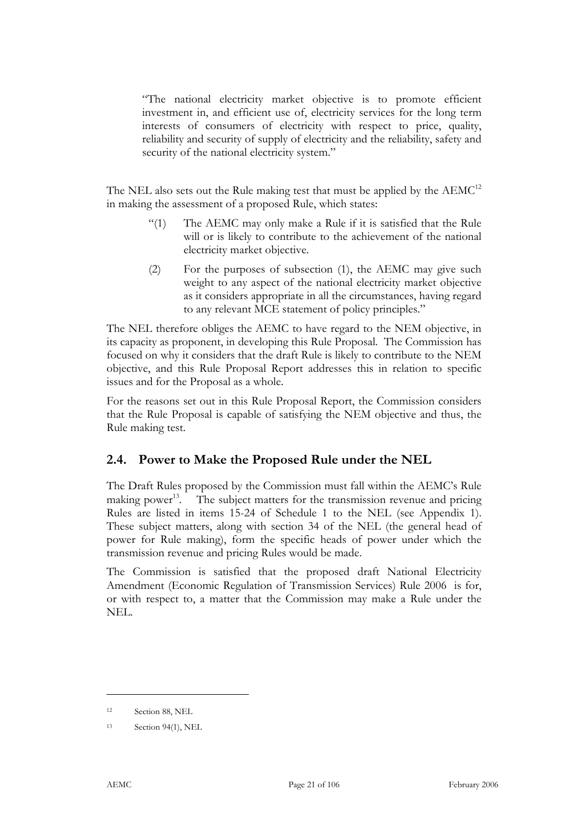"The national electricity market objective is to promote efficient investment in, and efficient use of, electricity services for the long term interests of consumers of electricity with respect to price, quality, reliability and security of supply of electricity and the reliability, safety and security of the national electricity system."

The NEL also sets out the Rule making test that must be applied by the AEMC<sup>12</sup> in making the assessment of a proposed Rule, which states:

- "(1) The AEMC may only make a Rule if it is satisfied that the Rule will or is likely to contribute to the achievement of the national electricity market objective.
- (2) For the purposes of subsection (1), the AEMC may give such weight to any aspect of the national electricity market objective as it considers appropriate in all the circumstances, having regard to any relevant MCE statement of policy principles."

The NEL therefore obliges the AEMC to have regard to the NEM objective, in its capacity as proponent, in developing this Rule Proposal. The Commission has focused on why it considers that the draft Rule is likely to contribute to the NEM objective, and this Rule Proposal Report addresses this in relation to specific issues and for the Proposal as a whole.

For the reasons set out in this Rule Proposal Report, the Commission considers that the Rule Proposal is capable of satisfying the NEM objective and thus, the Rule making test.

### **2.4. Power to Make the Proposed Rule under the NEL**

The Draft Rules proposed by the Commission must fall within the AEMC's Rule making power<sup>13</sup>. The subject matters for the transmission revenue and pricing Rules are listed in items 15-24 of Schedule 1 to the NEL (see Appendix 1). These subject matters, along with section 34 of the NEL (the general head of power for Rule making), form the specific heads of power under which the transmission revenue and pricing Rules would be made.

The Commission is satisfied that the proposed draft National Electricity Amendment (Economic Regulation of Transmission Services) Rule 2006 is for, or with respect to, a matter that the Commission may make a Rule under the NEL.

<sup>12</sup> Section 88, NEL

<sup>13</sup> Section 94(1), NEL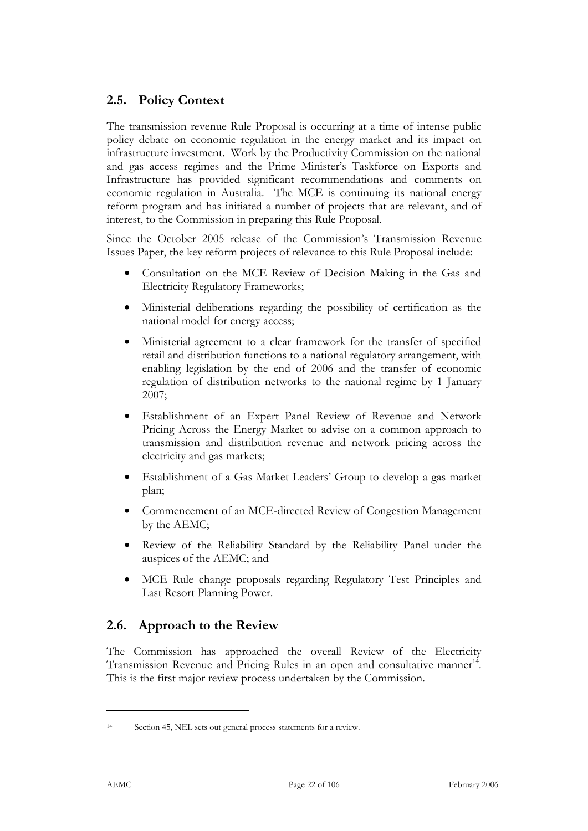## **2.5. Policy Context**

The transmission revenue Rule Proposal is occurring at a time of intense public policy debate on economic regulation in the energy market and its impact on infrastructure investment. Work by the Productivity Commission on the national and gas access regimes and the Prime Minister's Taskforce on Exports and Infrastructure has provided significant recommendations and comments on economic regulation in Australia. The MCE is continuing its national energy reform program and has initiated a number of projects that are relevant, and of interest, to the Commission in preparing this Rule Proposal.

Since the October 2005 release of the Commission's Transmission Revenue Issues Paper, the key reform projects of relevance to this Rule Proposal include:

- Consultation on the MCE Review of Decision Making in the Gas and Electricity Regulatory Frameworks;
- Ministerial deliberations regarding the possibility of certification as the national model for energy access;
- Ministerial agreement to a clear framework for the transfer of specified retail and distribution functions to a national regulatory arrangement, with enabling legislation by the end of 2006 and the transfer of economic regulation of distribution networks to the national regime by 1 January 2007;
- Establishment of an Expert Panel Review of Revenue and Network Pricing Across the Energy Market to advise on a common approach to transmission and distribution revenue and network pricing across the electricity and gas markets;
- Establishment of a Gas Market Leaders' Group to develop a gas market plan;
- Commencement of an MCE-directed Review of Congestion Management by the AEMC;
- Review of the Reliability Standard by the Reliability Panel under the auspices of the AEMC; and
- MCE Rule change proposals regarding Regulatory Test Principles and Last Resort Planning Power.

## **2.6. Approach to the Review**

The Commission has approached the overall Review of the Electricity Transmission Revenue and Pricing Rules in an open and consultative manner<sup>14</sup>. This is the first major review process undertaken by the Commission.

<sup>14</sup> Section 45, NEL sets out general process statements for a review.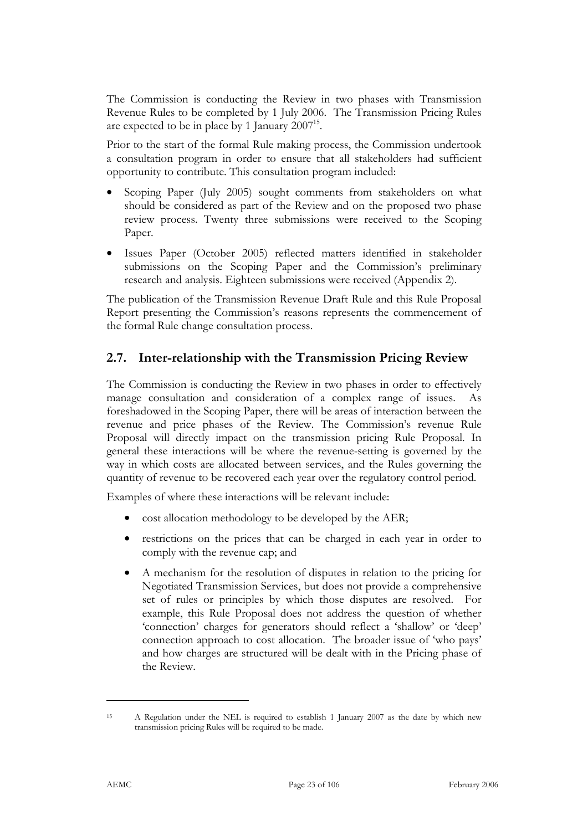The Commission is conducting the Review in two phases with Transmission Revenue Rules to be completed by 1 July 2006. The Transmission Pricing Rules are expected to be in place by 1 January 2007<sup>15</sup>.

Prior to the start of the formal Rule making process, the Commission undertook a consultation program in order to ensure that all stakeholders had sufficient opportunity to contribute. This consultation program included:

- Scoping Paper (July 2005) sought comments from stakeholders on what should be considered as part of the Review and on the proposed two phase review process. Twenty three submissions were received to the Scoping Paper.
- Issues Paper (October 2005) reflected matters identified in stakeholder submissions on the Scoping Paper and the Commission's preliminary research and analysis. Eighteen submissions were received (Appendix 2).

The publication of the Transmission Revenue Draft Rule and this Rule Proposal Report presenting the Commission's reasons represents the commencement of the formal Rule change consultation process.

### **2.7. Inter-relationship with the Transmission Pricing Review**

The Commission is conducting the Review in two phases in order to effectively manage consultation and consideration of a complex range of issues. As foreshadowed in the Scoping Paper, there will be areas of interaction between the revenue and price phases of the Review. The Commission's revenue Rule Proposal will directly impact on the transmission pricing Rule Proposal. In general these interactions will be where the revenue-setting is governed by the way in which costs are allocated between services, and the Rules governing the quantity of revenue to be recovered each year over the regulatory control period.

Examples of where these interactions will be relevant include:

- cost allocation methodology to be developed by the AER;
- restrictions on the prices that can be charged in each year in order to comply with the revenue cap; and
- A mechanism for the resolution of disputes in relation to the pricing for Negotiated Transmission Services, but does not provide a comprehensive set of rules or principles by which those disputes are resolved. For example, this Rule Proposal does not address the question of whether 'connection' charges for generators should reflect a 'shallow' or 'deep' connection approach to cost allocation. The broader issue of 'who pays' and how charges are structured will be dealt with in the Pricing phase of the Review.

<sup>15</sup> A Regulation under the NEL is required to establish 1 January 2007 as the date by which new transmission pricing Rules will be required to be made.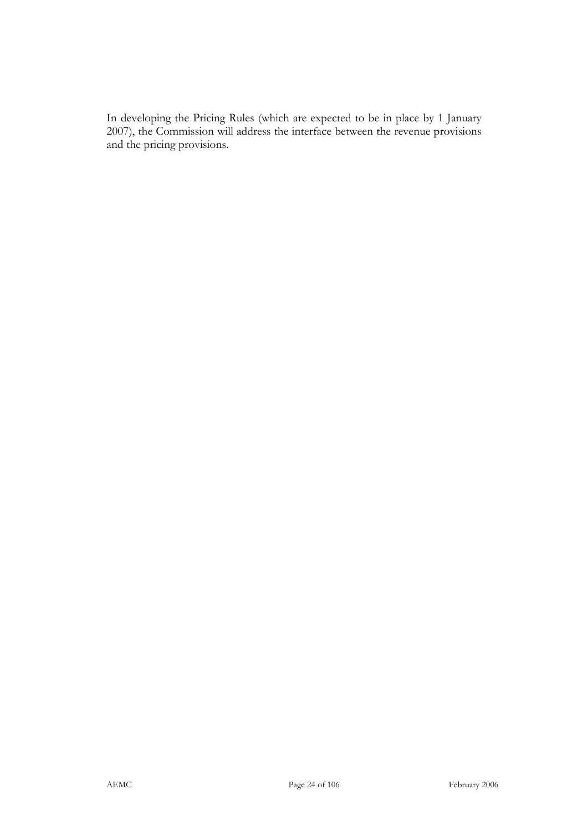In developing the Pricing Rules (which are expected to be in place by 1 January 2007), the Commission will address the interface between the revenue provisions and the pricing provisions.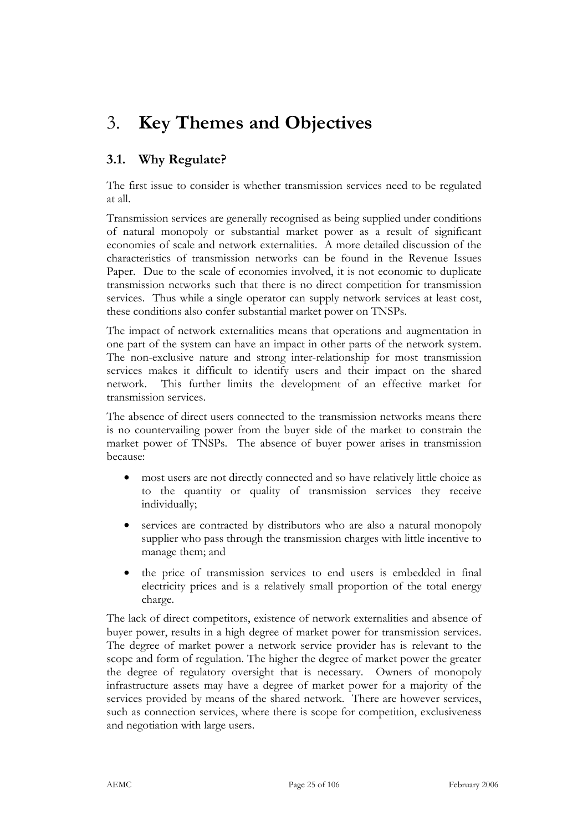## 3. **Key Themes and Objectives**

## **3.1. Why Regulate?**

The first issue to consider is whether transmission services need to be regulated at all.

Transmission services are generally recognised as being supplied under conditions of natural monopoly or substantial market power as a result of significant economies of scale and network externalities. A more detailed discussion of the characteristics of transmission networks can be found in the Revenue Issues Paper. Due to the scale of economies involved, it is not economic to duplicate transmission networks such that there is no direct competition for transmission services. Thus while a single operator can supply network services at least cost, these conditions also confer substantial market power on TNSPs.

The impact of network externalities means that operations and augmentation in one part of the system can have an impact in other parts of the network system. The non-exclusive nature and strong inter-relationship for most transmission services makes it difficult to identify users and their impact on the shared network. This further limits the development of an effective market for transmission services.

The absence of direct users connected to the transmission networks means there is no countervailing power from the buyer side of the market to constrain the market power of TNSPs. The absence of buyer power arises in transmission because:

- most users are not directly connected and so have relatively little choice as to the quantity or quality of transmission services they receive individually;
- services are contracted by distributors who are also a natural monopoly supplier who pass through the transmission charges with little incentive to manage them; and
- the price of transmission services to end users is embedded in final electricity prices and is a relatively small proportion of the total energy charge.

The lack of direct competitors, existence of network externalities and absence of buyer power, results in a high degree of market power for transmission services. The degree of market power a network service provider has is relevant to the scope and form of regulation. The higher the degree of market power the greater the degree of regulatory oversight that is necessary. Owners of monopoly infrastructure assets may have a degree of market power for a majority of the services provided by means of the shared network. There are however services, such as connection services, where there is scope for competition, exclusiveness and negotiation with large users.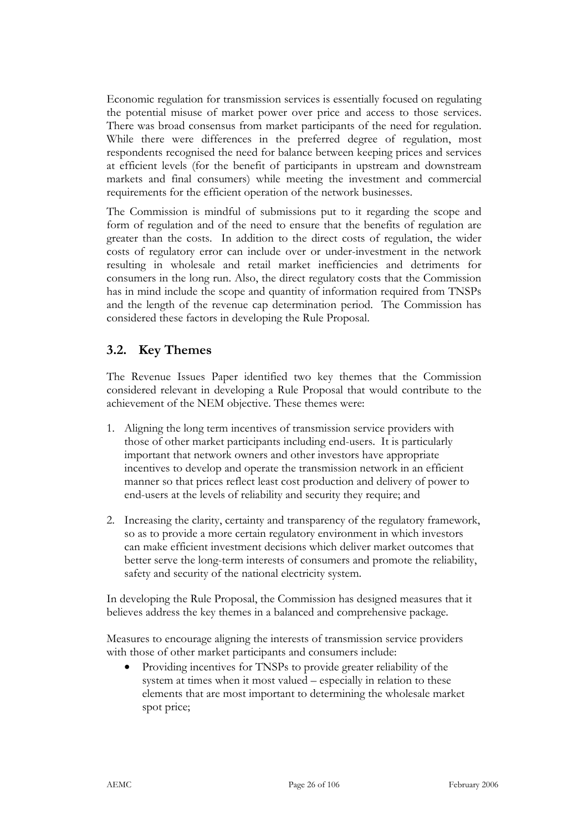Economic regulation for transmission services is essentially focused on regulating the potential misuse of market power over price and access to those services. There was broad consensus from market participants of the need for regulation. While there were differences in the preferred degree of regulation, most respondents recognised the need for balance between keeping prices and services at efficient levels (for the benefit of participants in upstream and downstream markets and final consumers) while meeting the investment and commercial requirements for the efficient operation of the network businesses.

The Commission is mindful of submissions put to it regarding the scope and form of regulation and of the need to ensure that the benefits of regulation are greater than the costs. In addition to the direct costs of regulation, the wider costs of regulatory error can include over or under-investment in the network resulting in wholesale and retail market inefficiencies and detriments for consumers in the long run. Also, the direct regulatory costs that the Commission has in mind include the scope and quantity of information required from TNSPs and the length of the revenue cap determination period. The Commission has considered these factors in developing the Rule Proposal.

### **3.2. Key Themes**

The Revenue Issues Paper identified two key themes that the Commission considered relevant in developing a Rule Proposal that would contribute to the achievement of the NEM objective. These themes were:

- 1. Aligning the long term incentives of transmission service providers with those of other market participants including end-users. It is particularly important that network owners and other investors have appropriate incentives to develop and operate the transmission network in an efficient manner so that prices reflect least cost production and delivery of power to end-users at the levels of reliability and security they require; and
- 2. Increasing the clarity, certainty and transparency of the regulatory framework, so as to provide a more certain regulatory environment in which investors can make efficient investment decisions which deliver market outcomes that better serve the long-term interests of consumers and promote the reliability, safety and security of the national electricity system.

In developing the Rule Proposal, the Commission has designed measures that it believes address the key themes in a balanced and comprehensive package.

Measures to encourage aligning the interests of transmission service providers with those of other market participants and consumers include:

• Providing incentives for TNSPs to provide greater reliability of the system at times when it most valued – especially in relation to these elements that are most important to determining the wholesale market spot price;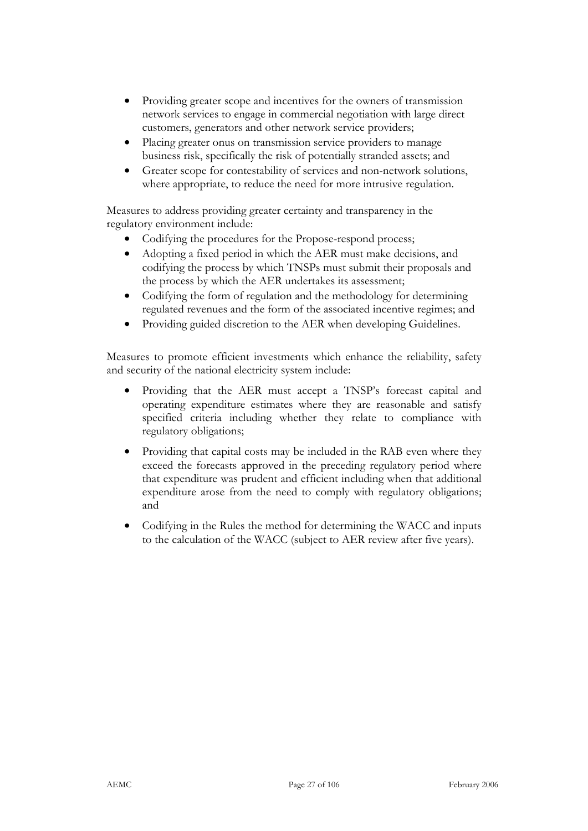- Providing greater scope and incentives for the owners of transmission network services to engage in commercial negotiation with large direct customers, generators and other network service providers;
- Placing greater onus on transmission service providers to manage business risk, specifically the risk of potentially stranded assets; and
- Greater scope for contestability of services and non-network solutions, where appropriate, to reduce the need for more intrusive regulation.

Measures to address providing greater certainty and transparency in the regulatory environment include:

- Codifying the procedures for the Propose-respond process;
- Adopting a fixed period in which the AER must make decisions, and codifying the process by which TNSPs must submit their proposals and the process by which the AER undertakes its assessment;
- Codifying the form of regulation and the methodology for determining regulated revenues and the form of the associated incentive regimes; and
- Providing guided discretion to the AER when developing Guidelines.

Measures to promote efficient investments which enhance the reliability, safety and security of the national electricity system include:

- Providing that the AER must accept a TNSP's forecast capital and operating expenditure estimates where they are reasonable and satisfy specified criteria including whether they relate to compliance with regulatory obligations;
- Providing that capital costs may be included in the RAB even where they exceed the forecasts approved in the preceding regulatory period where that expenditure was prudent and efficient including when that additional expenditure arose from the need to comply with regulatory obligations; and
- Codifying in the Rules the method for determining the WACC and inputs to the calculation of the WACC (subject to AER review after five years).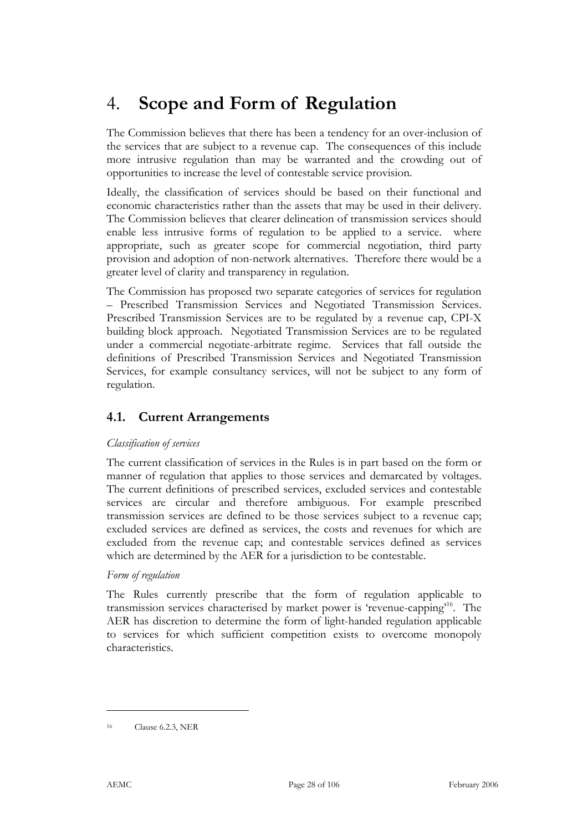## 4. **Scope and Form of Regulation**

The Commission believes that there has been a tendency for an over-inclusion of the services that are subject to a revenue cap. The consequences of this include more intrusive regulation than may be warranted and the crowding out of opportunities to increase the level of contestable service provision.

Ideally, the classification of services should be based on their functional and economic characteristics rather than the assets that may be used in their delivery. The Commission believes that clearer delineation of transmission services should enable less intrusive forms of regulation to be applied to a service. where appropriate, such as greater scope for commercial negotiation, third party provision and adoption of non-network alternatives. Therefore there would be a greater level of clarity and transparency in regulation.

The Commission has proposed two separate categories of services for regulation – Prescribed Transmission Services and Negotiated Transmission Services. Prescribed Transmission Services are to be regulated by a revenue cap, CPI-X building block approach. Negotiated Transmission Services are to be regulated under a commercial negotiate-arbitrate regime. Services that fall outside the definitions of Prescribed Transmission Services and Negotiated Transmission Services, for example consultancy services, will not be subject to any form of regulation.

### **4.1. Current Arrangements**

### *Classification of services*

The current classification of services in the Rules is in part based on the form or manner of regulation that applies to those services and demarcated by voltages. The current definitions of prescribed services, excluded services and contestable services are circular and therefore ambiguous. For example prescribed transmission services are defined to be those services subject to a revenue cap; excluded services are defined as services, the costs and revenues for which are excluded from the revenue cap; and contestable services defined as services which are determined by the AER for a jurisdiction to be contestable.

### *Form of regulation*

The Rules currently prescribe that the form of regulation applicable to transmission services characterised by market power is 'revenue-capping'16. The AER has discretion to determine the form of light-handed regulation applicable to services for which sufficient competition exists to overcome monopoly characteristics.

<sup>16</sup> Clause 6.2.3, NER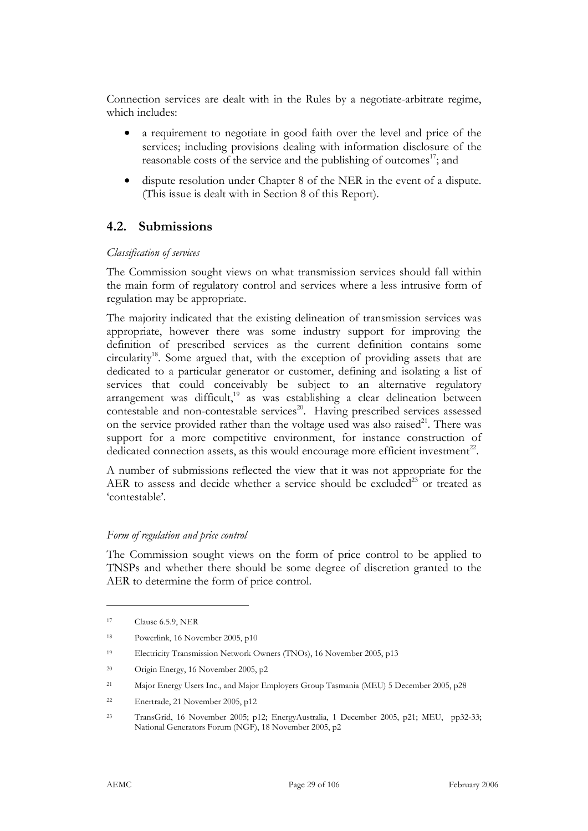Connection services are dealt with in the Rules by a negotiate-arbitrate regime, which includes:

- a requirement to negotiate in good faith over the level and price of the services; including provisions dealing with information disclosure of the reasonable costs of the service and the publishing of outcomes<sup>17</sup>; and
- dispute resolution under Chapter 8 of the NER in the event of a dispute. (This issue is dealt with in Section 8 of this Report).

### **4.2. Submissions**

#### *Classification of services*

The Commission sought views on what transmission services should fall within the main form of regulatory control and services where a less intrusive form of regulation may be appropriate.

The majority indicated that the existing delineation of transmission services was appropriate, however there was some industry support for improving the definition of prescribed services as the current definition contains some  $circularity<sup>18</sup>$ . Some argued that, with the exception of providing assets that are dedicated to a particular generator or customer, defining and isolating a list of services that could conceivably be subject to an alternative regulatory arrangement was difficult,<sup>19</sup> as was establishing a clear delineation between contestable and non-contestable services<sup>20</sup>. Having prescribed services assessed on the service provided rather than the voltage used was also raised $^{21}$ . There was support for a more competitive environment, for instance construction of dedicated connection assets, as this would encourage more efficient investment<sup>22</sup>.

A number of submissions reflected the view that it was not appropriate for the AER to assess and decide whether a service should be excluded<sup>23</sup> or treated as 'contestable'.

### *Form of regulation and price control*

The Commission sought views on the form of price control to be applied to TNSPs and whether there should be some degree of discretion granted to the AER to determine the form of price control.

- 19 Electricity Transmission Network Owners (TNOs), 16 November 2005, p13
- 20 Origin Energy, 16 November 2005, p2
- 21 Major Energy Users Inc., and Major Employers Group Tasmania (MEU) 5 December 2005, p28
- 22 Enertrade, 21 November 2005, p12
- 23 TransGrid, 16 November 2005; p12; EnergyAustralia, 1 December 2005, p21; MEU, pp32-33; National Generators Forum (NGF), 18 November 2005, p2

-

<sup>17</sup> Clause 6.5.9, NER

<sup>18</sup> Powerlink, 16 November 2005, p10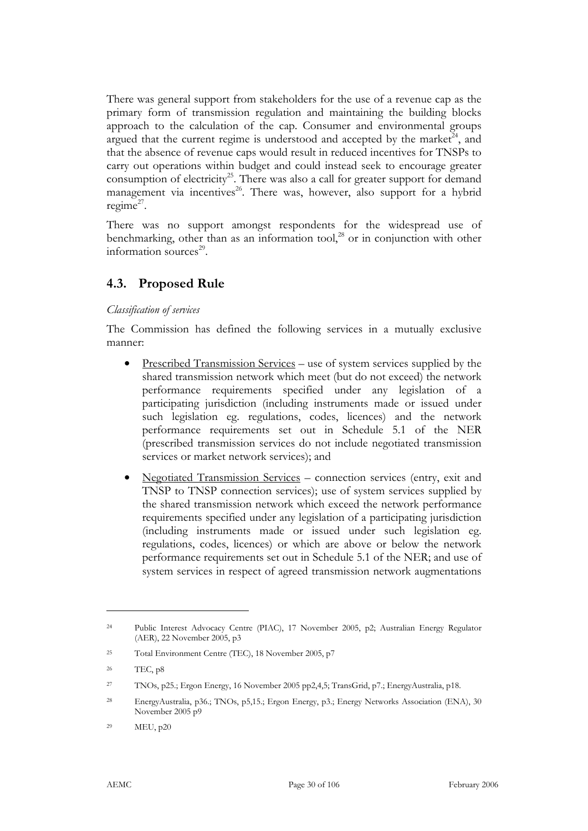There was general support from stakeholders for the use of a revenue cap as the primary form of transmission regulation and maintaining the building blocks approach to the calculation of the cap. Consumer and environmental groups argued that the current regime is understood and accepted by the market<sup>24</sup>, and that the absence of revenue caps would result in reduced incentives for TNSPs to carry out operations within budget and could instead seek to encourage greater consumption of electricity<sup>25</sup>. There was also a call for greater support for demand management via incentives<sup>26</sup>. There was, however, also support for a hybrid regime<sup>27</sup>.

There was no support amongst respondents for the widespread use of benchmarking, other than as an information tool,<sup>28</sup> or in conjunction with other information sources $^{29}$ .

### **4.3. Proposed Rule**

### *Classification of services*

The Commission has defined the following services in a mutually exclusive manner:

- Prescribed Transmission Services use of system services supplied by the shared transmission network which meet (but do not exceed) the network performance requirements specified under any legislation of a participating jurisdiction (including instruments made or issued under such legislation eg. regulations, codes, licences) and the network performance requirements set out in Schedule 5.1 of the NER (prescribed transmission services do not include negotiated transmission services or market network services); and
- Negotiated Transmission Services connection services (entry, exit and TNSP to TNSP connection services); use of system services supplied by the shared transmission network which exceed the network performance requirements specified under any legislation of a participating jurisdiction (including instruments made or issued under such legislation eg. regulations, codes, licences) or which are above or below the network performance requirements set out in Schedule 5.1 of the NER; and use of system services in respect of agreed transmission network augmentations

-

<sup>24</sup> Public Interest Advocacy Centre (PIAC), 17 November 2005, p2; Australian Energy Regulator (AER), 22 November 2005, p3

<sup>25</sup> Total Environment Centre (TEC), 18 November 2005, p7

<sup>26</sup> TEC, p8

<sup>27</sup> TNOs, p25.; Ergon Energy, 16 November 2005 pp2,4,5; TransGrid, p7.; EnergyAustralia, p18.

<sup>28</sup> EnergyAustralia, p36.; TNOs, p5,15.; Ergon Energy, p3.; Energy Networks Association (ENA), 30 November 2005 p9

<sup>29</sup> MEU, p20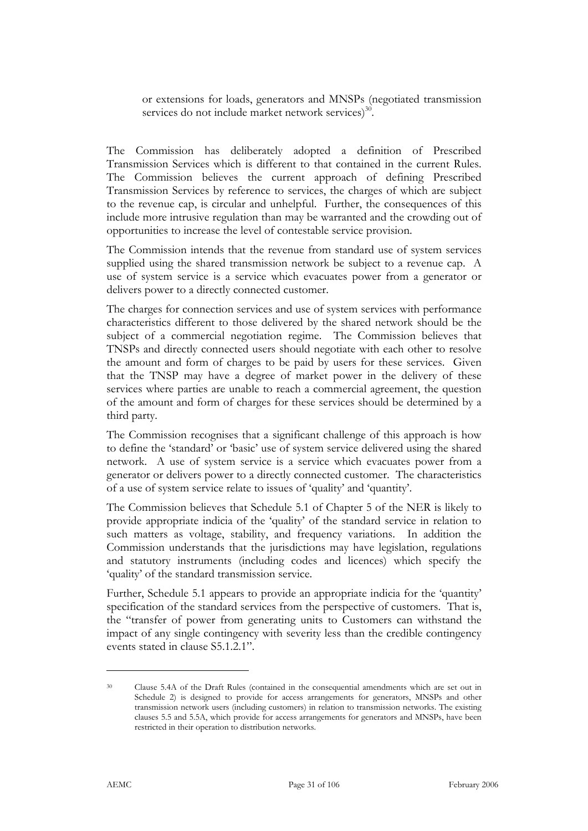or extensions for loads, generators and MNSPs (negotiated transmission services do not include market network services) $30$ .

The Commission has deliberately adopted a definition of Prescribed Transmission Services which is different to that contained in the current Rules. The Commission believes the current approach of defining Prescribed Transmission Services by reference to services, the charges of which are subject to the revenue cap, is circular and unhelpful. Further, the consequences of this include more intrusive regulation than may be warranted and the crowding out of opportunities to increase the level of contestable service provision.

The Commission intends that the revenue from standard use of system services supplied using the shared transmission network be subject to a revenue cap. A use of system service is a service which evacuates power from a generator or delivers power to a directly connected customer.

The charges for connection services and use of system services with performance characteristics different to those delivered by the shared network should be the subject of a commercial negotiation regime. The Commission believes that TNSPs and directly connected users should negotiate with each other to resolve the amount and form of charges to be paid by users for these services. Given that the TNSP may have a degree of market power in the delivery of these services where parties are unable to reach a commercial agreement, the question of the amount and form of charges for these services should be determined by a third party.

The Commission recognises that a significant challenge of this approach is how to define the 'standard' or 'basic' use of system service delivered using the shared network. A use of system service is a service which evacuates power from a generator or delivers power to a directly connected customer. The characteristics of a use of system service relate to issues of 'quality' and 'quantity'.

The Commission believes that Schedule 5.1 of Chapter 5 of the NER is likely to provide appropriate indicia of the 'quality' of the standard service in relation to such matters as voltage, stability, and frequency variations. In addition the Commission understands that the jurisdictions may have legislation, regulations and statutory instruments (including codes and licences) which specify the 'quality' of the standard transmission service.

Further, Schedule 5.1 appears to provide an appropriate indicia for the 'quantity' specification of the standard services from the perspective of customers. That is, the "transfer of power from generating units to Customers can withstand the impact of any single contingency with severity less than the credible contingency events stated in clause S5.1.2.1".

<sup>30</sup> Clause 5.4A of the Draft Rules (contained in the consequential amendments which are set out in Schedule 2) is designed to provide for access arrangements for generators, MNSPs and other transmission network users (including customers) in relation to transmission networks. The existing clauses 5.5 and 5.5A, which provide for access arrangements for generators and MNSPs, have been restricted in their operation to distribution networks.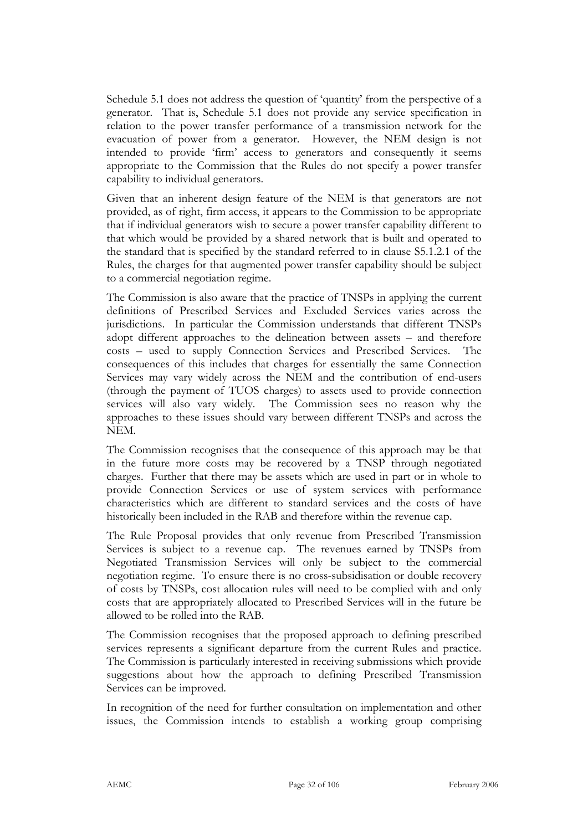Schedule 5.1 does not address the question of 'quantity' from the perspective of a generator. That is, Schedule 5.1 does not provide any service specification in relation to the power transfer performance of a transmission network for the evacuation of power from a generator. However, the NEM design is not intended to provide 'firm' access to generators and consequently it seems appropriate to the Commission that the Rules do not specify a power transfer capability to individual generators.

Given that an inherent design feature of the NEM is that generators are not provided, as of right, firm access, it appears to the Commission to be appropriate that if individual generators wish to secure a power transfer capability different to that which would be provided by a shared network that is built and operated to the standard that is specified by the standard referred to in clause S5.1.2.1 of the Rules, the charges for that augmented power transfer capability should be subject to a commercial negotiation regime.

The Commission is also aware that the practice of TNSPs in applying the current definitions of Prescribed Services and Excluded Services varies across the jurisdictions. In particular the Commission understands that different TNSPs adopt different approaches to the delineation between assets – and therefore costs – used to supply Connection Services and Prescribed Services. The consequences of this includes that charges for essentially the same Connection Services may vary widely across the NEM and the contribution of end-users (through the payment of TUOS charges) to assets used to provide connection services will also vary widely. The Commission sees no reason why the approaches to these issues should vary between different TNSPs and across the NEM.

The Commission recognises that the consequence of this approach may be that in the future more costs may be recovered by a TNSP through negotiated charges. Further that there may be assets which are used in part or in whole to provide Connection Services or use of system services with performance characteristics which are different to standard services and the costs of have historically been included in the RAB and therefore within the revenue cap.

The Rule Proposal provides that only revenue from Prescribed Transmission Services is subject to a revenue cap. The revenues earned by TNSPs from Negotiated Transmission Services will only be subject to the commercial negotiation regime. To ensure there is no cross-subsidisation or double recovery of costs by TNSPs, cost allocation rules will need to be complied with and only costs that are appropriately allocated to Prescribed Services will in the future be allowed to be rolled into the RAB.

The Commission recognises that the proposed approach to defining prescribed services represents a significant departure from the current Rules and practice. The Commission is particularly interested in receiving submissions which provide suggestions about how the approach to defining Prescribed Transmission Services can be improved.

In recognition of the need for further consultation on implementation and other issues, the Commission intends to establish a working group comprising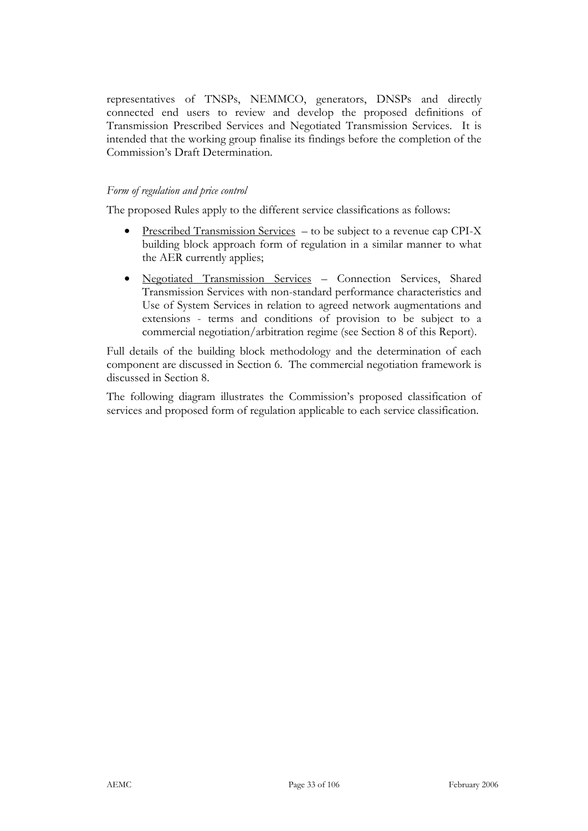representatives of TNSPs, NEMMCO, generators, DNSPs and directly connected end users to review and develop the proposed definitions of Transmission Prescribed Services and Negotiated Transmission Services. It is intended that the working group finalise its findings before the completion of the Commission's Draft Determination.

### *Form of regulation and price control*

The proposed Rules apply to the different service classifications as follows:

- Prescribed Transmission Services to be subject to a revenue cap CPI-X building block approach form of regulation in a similar manner to what the AER currently applies;
- Negotiated Transmission Services Connection Services, Shared Transmission Services with non-standard performance characteristics and Use of System Services in relation to agreed network augmentations and extensions - terms and conditions of provision to be subject to a commercial negotiation/arbitration regime (see Section 8 of this Report).

Full details of the building block methodology and the determination of each component are discussed in Section 6. The commercial negotiation framework is discussed in Section 8.

The following diagram illustrates the Commission's proposed classification of services and proposed form of regulation applicable to each service classification.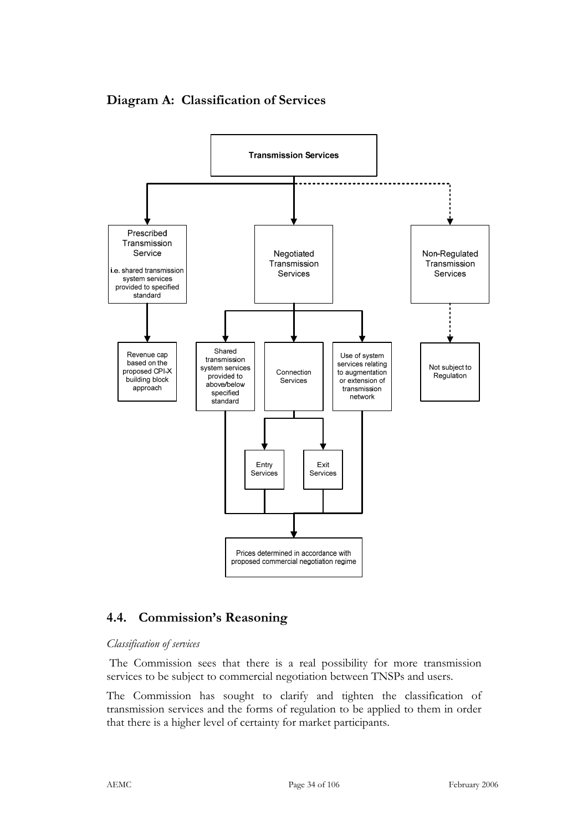

**Diagram A: Classification of Services** 

### **4.4. Commission's Reasoning**

### *Classification of services*

 The Commission sees that there is a real possibility for more transmission services to be subject to commercial negotiation between TNSPs and users.

The Commission has sought to clarify and tighten the classification of transmission services and the forms of regulation to be applied to them in order that there is a higher level of certainty for market participants.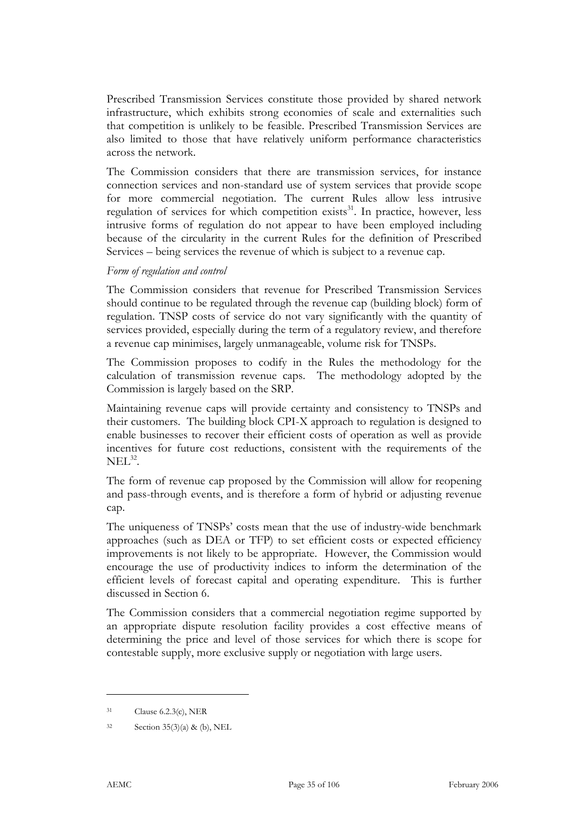Prescribed Transmission Services constitute those provided by shared network infrastructure, which exhibits strong economies of scale and externalities such that competition is unlikely to be feasible. Prescribed Transmission Services are also limited to those that have relatively uniform performance characteristics across the network.

The Commission considers that there are transmission services, for instance connection services and non-standard use of system services that provide scope for more commercial negotiation. The current Rules allow less intrusive regulation of services for which competition exists $31$ . In practice, however, less intrusive forms of regulation do not appear to have been employed including because of the circularity in the current Rules for the definition of Prescribed Services – being services the revenue of which is subject to a revenue cap.

#### *Form of regulation and control*

The Commission considers that revenue for Prescribed Transmission Services should continue to be regulated through the revenue cap (building block) form of regulation. TNSP costs of service do not vary significantly with the quantity of services provided, especially during the term of a regulatory review, and therefore a revenue cap minimises, largely unmanageable, volume risk for TNSPs.

The Commission proposes to codify in the Rules the methodology for the calculation of transmission revenue caps. The methodology adopted by the Commission is largely based on the SRP.

Maintaining revenue caps will provide certainty and consistency to TNSPs and their customers. The building block CPI-X approach to regulation is designed to enable businesses to recover their efficient costs of operation as well as provide incentives for future cost reductions, consistent with the requirements of the  $NEL^{32}$ .

The form of revenue cap proposed by the Commission will allow for reopening and pass-through events, and is therefore a form of hybrid or adjusting revenue cap.

The uniqueness of TNSPs' costs mean that the use of industry-wide benchmark approaches (such as DEA or TFP) to set efficient costs or expected efficiency improvements is not likely to be appropriate. However, the Commission would encourage the use of productivity indices to inform the determination of the efficient levels of forecast capital and operating expenditure. This is further discussed in Section 6.

The Commission considers that a commercial negotiation regime supported by an appropriate dispute resolution facility provides a cost effective means of determining the price and level of those services for which there is scope for contestable supply, more exclusive supply or negotiation with large users.

<sup>31</sup> Clause 6.2.3(c), NER

<sup>32</sup> Section 35(3)(a) & (b), NEL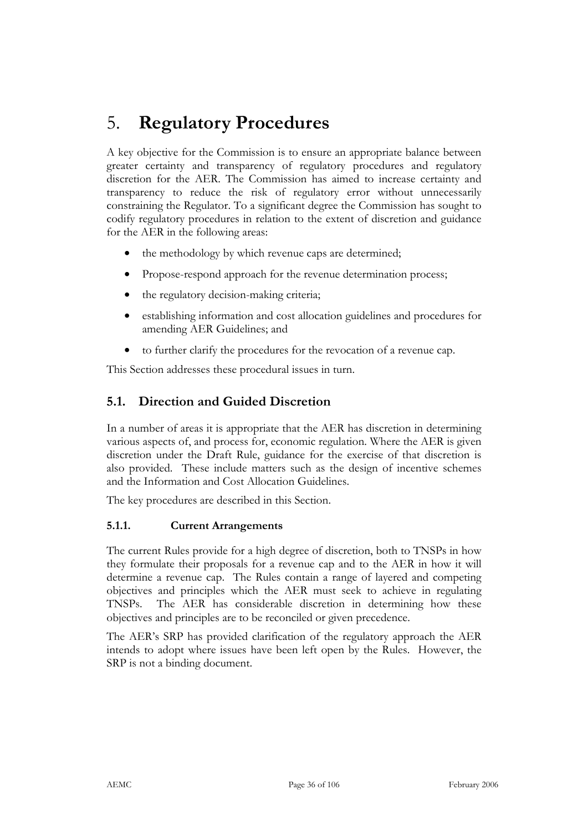## 5. **Regulatory Procedures**

A key objective for the Commission is to ensure an appropriate balance between greater certainty and transparency of regulatory procedures and regulatory discretion for the AER. The Commission has aimed to increase certainty and transparency to reduce the risk of regulatory error without unnecessarily constraining the Regulator. To a significant degree the Commission has sought to codify regulatory procedures in relation to the extent of discretion and guidance for the AER in the following areas:

- the methodology by which revenue caps are determined;
- Propose-respond approach for the revenue determination process;
- the regulatory decision-making criteria;
- establishing information and cost allocation guidelines and procedures for amending AER Guidelines; and
- to further clarify the procedures for the revocation of a revenue cap.

This Section addresses these procedural issues in turn.

## **5.1. Direction and Guided Discretion**

In a number of areas it is appropriate that the AER has discretion in determining various aspects of, and process for, economic regulation. Where the AER is given discretion under the Draft Rule, guidance for the exercise of that discretion is also provided. These include matters such as the design of incentive schemes and the Information and Cost Allocation Guidelines.

The key procedures are described in this Section.

### **5.1.1. Current Arrangements**

The current Rules provide for a high degree of discretion, both to TNSPs in how they formulate their proposals for a revenue cap and to the AER in how it will determine a revenue cap. The Rules contain a range of layered and competing objectives and principles which the AER must seek to achieve in regulating TNSPs. The AER has considerable discretion in determining how these objectives and principles are to be reconciled or given precedence.

The AER's SRP has provided clarification of the regulatory approach the AER intends to adopt where issues have been left open by the Rules. However, the SRP is not a binding document.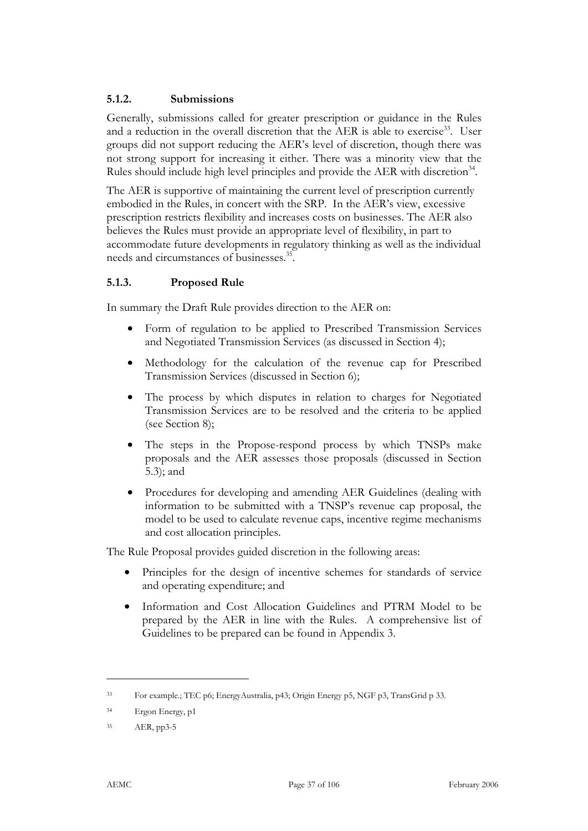### **5.1.2. Submissions**

Generally, submissions called for greater prescription or guidance in the Rules and a reduction in the overall discretion that the AER is able to exercise<sup>33</sup>. User groups did not support reducing the AER's level of discretion, though there was not strong support for increasing it either. There was a minority view that the Rules should include high level principles and provide the AER with discretion<sup>34</sup>.

The AER is supportive of maintaining the current level of prescription currently embodied in the Rules, in concert with the SRP. In the AER's view, excessive prescription restricts flexibility and increases costs on businesses. The AER also believes the Rules must provide an appropriate level of flexibility, in part to accommodate future developments in regulatory thinking as well as the individual needs and circumstances of businesses.<sup>35</sup>.

## **5.1.3. Proposed Rule**

In summary the Draft Rule provides direction to the AER on:

- Form of regulation to be applied to Prescribed Transmission Services and Negotiated Transmission Services (as discussed in Section 4);
- Methodology for the calculation of the revenue cap for Prescribed Transmission Services (discussed in Section 6);
- The process by which disputes in relation to charges for Negotiated Transmission Services are to be resolved and the criteria to be applied (see Section 8);
- The steps in the Propose-respond process by which TNSPs make proposals and the AER assesses those proposals (discussed in Section 5.3); and
- Procedures for developing and amending AER Guidelines (dealing with information to be submitted with a TNSP's revenue cap proposal, the model to be used to calculate revenue caps, incentive regime mechanisms and cost allocation principles.

The Rule Proposal provides guided discretion in the following areas:

- Principles for the design of incentive schemes for standards of service and operating expenditure; and
- Information and Cost Allocation Guidelines and PTRM Model to be prepared by the AER in line with the Rules. A comprehensive list of Guidelines to be prepared can be found in Appendix 3.

<sup>33</sup> For example.; TEC p6; EnergyAustralia, p43; Origin Energy p5, NGF p3, TransGrid p 33.

<sup>34</sup> Ergon Energy, p1

<sup>35</sup> AER, pp3-5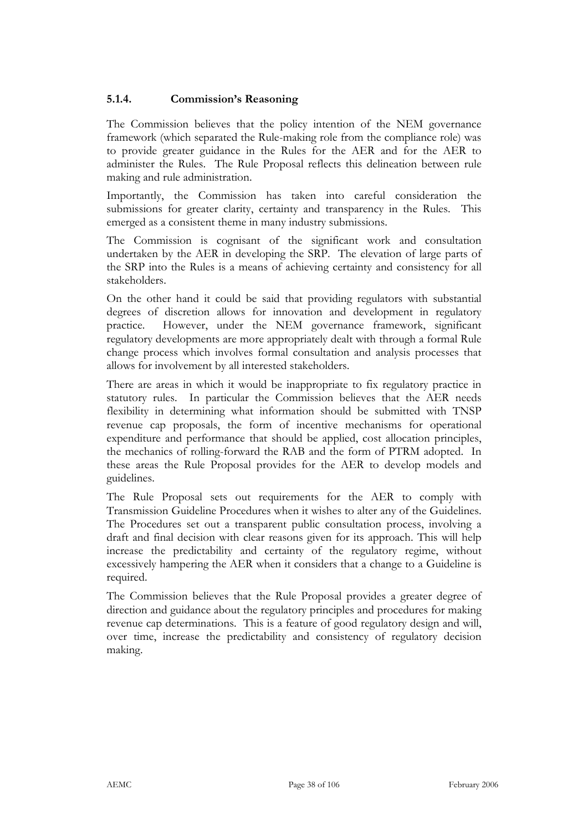## **5.1.4. Commission's Reasoning**

The Commission believes that the policy intention of the NEM governance framework (which separated the Rule-making role from the compliance role) was to provide greater guidance in the Rules for the AER and for the AER to administer the Rules. The Rule Proposal reflects this delineation between rule making and rule administration.

Importantly, the Commission has taken into careful consideration the submissions for greater clarity, certainty and transparency in the Rules. This emerged as a consistent theme in many industry submissions.

The Commission is cognisant of the significant work and consultation undertaken by the AER in developing the SRP. The elevation of large parts of the SRP into the Rules is a means of achieving certainty and consistency for all stakeholders.

On the other hand it could be said that providing regulators with substantial degrees of discretion allows for innovation and development in regulatory practice. However, under the NEM governance framework, significant regulatory developments are more appropriately dealt with through a formal Rule change process which involves formal consultation and analysis processes that allows for involvement by all interested stakeholders.

There are areas in which it would be inappropriate to fix regulatory practice in statutory rules. In particular the Commission believes that the AER needs flexibility in determining what information should be submitted with TNSP revenue cap proposals, the form of incentive mechanisms for operational expenditure and performance that should be applied, cost allocation principles, the mechanics of rolling-forward the RAB and the form of PTRM adopted. In these areas the Rule Proposal provides for the AER to develop models and guidelines.

The Rule Proposal sets out requirements for the AER to comply with Transmission Guideline Procedures when it wishes to alter any of the Guidelines. The Procedures set out a transparent public consultation process, involving a draft and final decision with clear reasons given for its approach. This will help increase the predictability and certainty of the regulatory regime, without excessively hampering the AER when it considers that a change to a Guideline is required.

The Commission believes that the Rule Proposal provides a greater degree of direction and guidance about the regulatory principles and procedures for making revenue cap determinations. This is a feature of good regulatory design and will, over time, increase the predictability and consistency of regulatory decision making.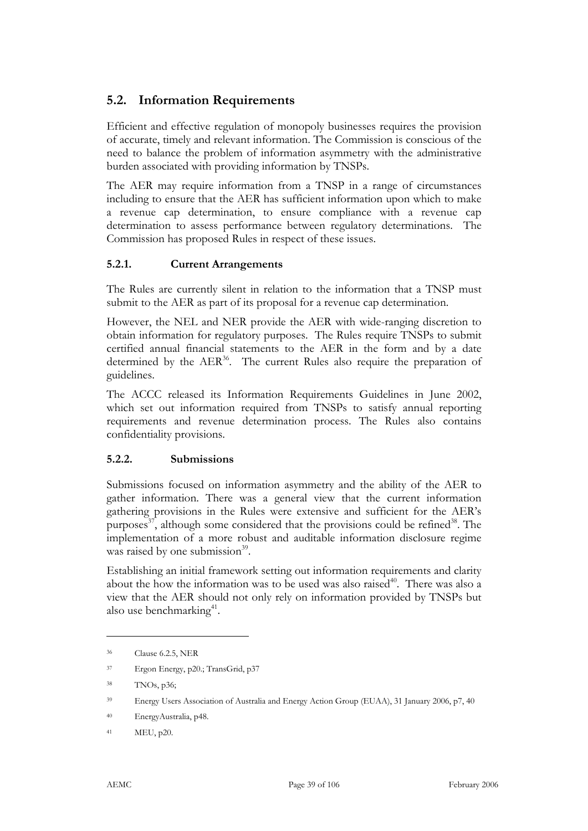# **5.2. Information Requirements**

Efficient and effective regulation of monopoly businesses requires the provision of accurate, timely and relevant information. The Commission is conscious of the need to balance the problem of information asymmetry with the administrative burden associated with providing information by TNSPs.

The AER may require information from a TNSP in a range of circumstances including to ensure that the AER has sufficient information upon which to make a revenue cap determination, to ensure compliance with a revenue cap determination to assess performance between regulatory determinations. The Commission has proposed Rules in respect of these issues.

### **5.2.1. Current Arrangements**

The Rules are currently silent in relation to the information that a TNSP must submit to the AER as part of its proposal for a revenue cap determination.

However, the NEL and NER provide the AER with wide-ranging discretion to obtain information for regulatory purposes. The Rules require TNSPs to submit certified annual financial statements to the AER in the form and by a date determined by the  $AER^{36}$ . The current Rules also require the preparation of guidelines.

The ACCC released its Information Requirements Guidelines in June 2002, which set out information required from TNSPs to satisfy annual reporting requirements and revenue determination process. The Rules also contains confidentiality provisions.

## **5.2.2. Submissions**

Submissions focused on information asymmetry and the ability of the AER to gather information. There was a general view that the current information gathering provisions in the Rules were extensive and sufficient for the AER's purposes $^{37}$ , although some considered that the provisions could be refined $^{38}$ . The implementation of a more robust and auditable information disclosure regime was raised by one submission<sup>39</sup>.

Establishing an initial framework setting out information requirements and clarity about the how the information was to be used was also raised<sup>40</sup>. There was also a view that the AER should not only rely on information provided by TNSPs but also use benchmarking $41$ .

<sup>36</sup> Clause 6.2.5, NER

<sup>37</sup> Ergon Energy, p20.; TransGrid, p37

<sup>38</sup> TNOs, p36;

<sup>39</sup> Energy Users Association of Australia and Energy Action Group (EUAA), 31 January 2006, p7, 40

<sup>40</sup> EnergyAustralia, p48.

<sup>41</sup> MEU, p20.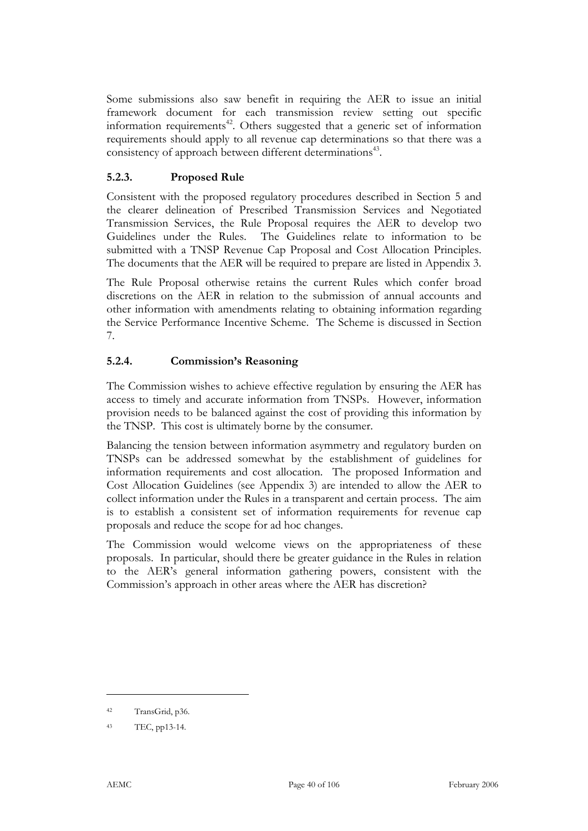Some submissions also saw benefit in requiring the AER to issue an initial framework document for each transmission review setting out specific information requirements<sup>42</sup>. Others suggested that a generic set of information requirements should apply to all revenue cap determinations so that there was a consistency of approach between different determinations<sup>43</sup>.

## **5.2.3. Proposed Rule**

Consistent with the proposed regulatory procedures described in Section 5 and the clearer delineation of Prescribed Transmission Services and Negotiated Transmission Services, the Rule Proposal requires the AER to develop two Guidelines under the Rules. The Guidelines relate to information to be submitted with a TNSP Revenue Cap Proposal and Cost Allocation Principles. The documents that the AER will be required to prepare are listed in Appendix 3.

The Rule Proposal otherwise retains the current Rules which confer broad discretions on the AER in relation to the submission of annual accounts and other information with amendments relating to obtaining information regarding the Service Performance Incentive Scheme. The Scheme is discussed in Section 7.

### **5.2.4. Commission's Reasoning**

The Commission wishes to achieve effective regulation by ensuring the AER has access to timely and accurate information from TNSPs. However, information provision needs to be balanced against the cost of providing this information by the TNSP. This cost is ultimately borne by the consumer.

Balancing the tension between information asymmetry and regulatory burden on TNSPs can be addressed somewhat by the establishment of guidelines for information requirements and cost allocation. The proposed Information and Cost Allocation Guidelines (see Appendix 3) are intended to allow the AER to collect information under the Rules in a transparent and certain process. The aim is to establish a consistent set of information requirements for revenue cap proposals and reduce the scope for ad hoc changes.

The Commission would welcome views on the appropriateness of these proposals. In particular, should there be greater guidance in the Rules in relation to the AER's general information gathering powers, consistent with the Commission's approach in other areas where the AER has discretion?

<sup>42</sup> TransGrid, p36.

<sup>43</sup> TEC, pp13-14.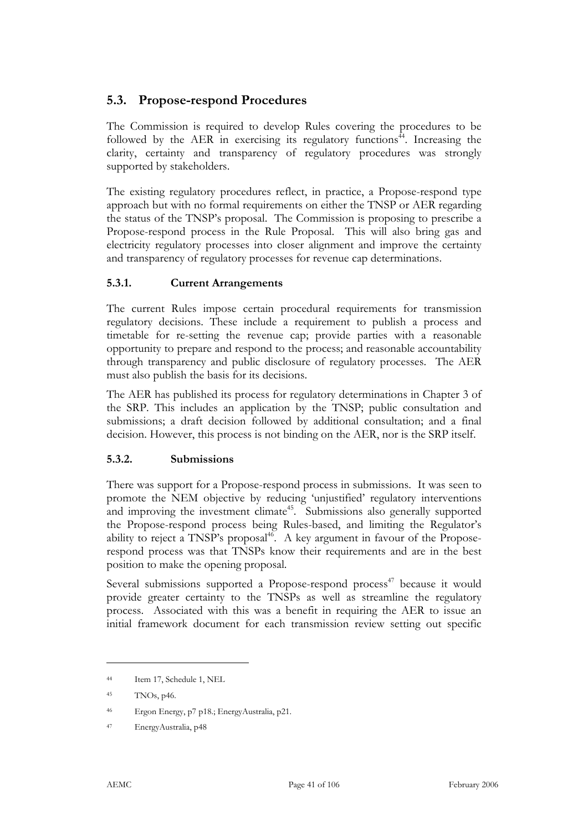# **5.3. Propose-respond Procedures**

The Commission is required to develop Rules covering the procedures to be followed by the AER in exercising its regulatory functions<sup>44</sup>. Increasing the clarity, certainty and transparency of regulatory procedures was strongly supported by stakeholders.

The existing regulatory procedures reflect, in practice, a Propose-respond type approach but with no formal requirements on either the TNSP or AER regarding the status of the TNSP's proposal. The Commission is proposing to prescribe a Propose-respond process in the Rule Proposal. This will also bring gas and electricity regulatory processes into closer alignment and improve the certainty and transparency of regulatory processes for revenue cap determinations.

### **5.3.1. Current Arrangements**

The current Rules impose certain procedural requirements for transmission regulatory decisions. These include a requirement to publish a process and timetable for re-setting the revenue cap; provide parties with a reasonable opportunity to prepare and respond to the process; and reasonable accountability through transparency and public disclosure of regulatory processes. The AER must also publish the basis for its decisions.

The AER has published its process for regulatory determinations in Chapter 3 of the SRP. This includes an application by the TNSP; public consultation and submissions; a draft decision followed by additional consultation; and a final decision. However, this process is not binding on the AER, nor is the SRP itself.

## **5.3.2. Submissions**

There was support for a Propose-respond process in submissions. It was seen to promote the NEM objective by reducing 'unjustified' regulatory interventions and improving the investment climate<sup>45</sup>. Submissions also generally supported the Propose-respond process being Rules-based, and limiting the Regulator's ability to reject a TNSP's proposal $46$ . A key argument in favour of the Proposerespond process was that TNSPs know their requirements and are in the best position to make the opening proposal.

Several submissions supported a Propose-respond process<sup>47</sup> because it would provide greater certainty to the TNSPs as well as streamline the regulatory process. Associated with this was a benefit in requiring the AER to issue an initial framework document for each transmission review setting out specific

<sup>44</sup> Item 17, Schedule 1, NEL

<sup>45</sup> TNOs, p46.

<sup>46</sup> Ergon Energy, p7 p18.; EnergyAustralia, p21.

<sup>47</sup> EnergyAustralia, p48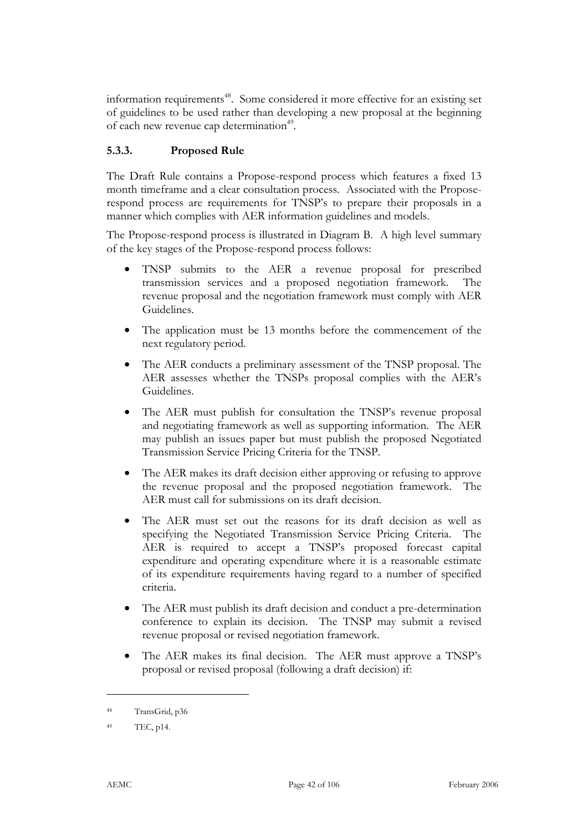information requirements<sup>48</sup>. Some considered it more effective for an existing set of guidelines to be used rather than developing a new proposal at the beginning of each new revenue cap determination<sup>49</sup>.

## **5.3.3. Proposed Rule**

The Draft Rule contains a Propose-respond process which features a fixed 13 month timeframe and a clear consultation process. Associated with the Proposerespond process are requirements for TNSP's to prepare their proposals in a manner which complies with AER information guidelines and models.

The Propose-respond process is illustrated in Diagram B. A high level summary of the key stages of the Propose-respond process follows:

- TNSP submits to the AER a revenue proposal for prescribed transmission services and a proposed negotiation framework. The revenue proposal and the negotiation framework must comply with AER Guidelines.
- The application must be 13 months before the commencement of the next regulatory period.
- The AER conducts a preliminary assessment of the TNSP proposal. The AER assesses whether the TNSPs proposal complies with the AER's Guidelines.
- The AER must publish for consultation the TNSP's revenue proposal and negotiating framework as well as supporting information. The AER may publish an issues paper but must publish the proposed Negotiated Transmission Service Pricing Criteria for the TNSP.
- The AER makes its draft decision either approving or refusing to approve the revenue proposal and the proposed negotiation framework. The AER must call for submissions on its draft decision.
- The AER must set out the reasons for its draft decision as well as specifying the Negotiated Transmission Service Pricing Criteria. The AER is required to accept a TNSP's proposed forecast capital expenditure and operating expenditure where it is a reasonable estimate of its expenditure requirements having regard to a number of specified criteria.
- The AER must publish its draft decision and conduct a pre-determination conference to explain its decision. The TNSP may submit a revised revenue proposal or revised negotiation framework.
- The AER makes its final decision. The AER must approve a TNSP's proposal or revised proposal (following a draft decision) if:

<sup>48</sup> TransGrid, p36

<sup>49</sup> TEC, p14.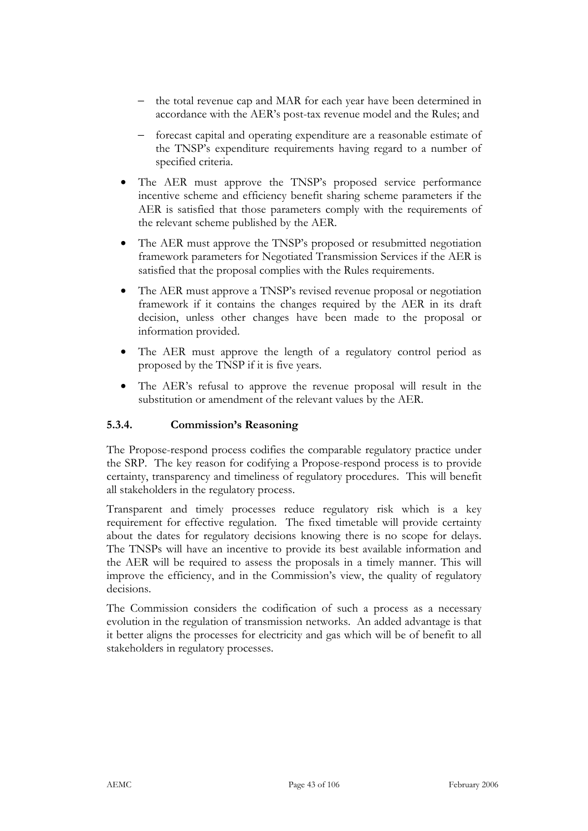- − the total revenue cap and MAR for each year have been determined in accordance with the AER's post-tax revenue model and the Rules; and
- − forecast capital and operating expenditure are a reasonable estimate of the TNSP's expenditure requirements having regard to a number of specified criteria.
- The AER must approve the TNSP's proposed service performance incentive scheme and efficiency benefit sharing scheme parameters if the AER is satisfied that those parameters comply with the requirements of the relevant scheme published by the AER.
- The AER must approve the TNSP's proposed or resubmitted negotiation framework parameters for Negotiated Transmission Services if the AER is satisfied that the proposal complies with the Rules requirements.
- The AER must approve a TNSP's revised revenue proposal or negotiation framework if it contains the changes required by the AER in its draft decision, unless other changes have been made to the proposal or information provided.
- The AER must approve the length of a regulatory control period as proposed by the TNSP if it is five years.
- The AER's refusal to approve the revenue proposal will result in the substitution or amendment of the relevant values by the AER.

## **5.3.4. Commission's Reasoning**

The Propose-respond process codifies the comparable regulatory practice under the SRP. The key reason for codifying a Propose-respond process is to provide certainty, transparency and timeliness of regulatory procedures. This will benefit all stakeholders in the regulatory process.

Transparent and timely processes reduce regulatory risk which is a key requirement for effective regulation. The fixed timetable will provide certainty about the dates for regulatory decisions knowing there is no scope for delays. The TNSPs will have an incentive to provide its best available information and the AER will be required to assess the proposals in a timely manner. This will improve the efficiency, and in the Commission's view, the quality of regulatory decisions.

The Commission considers the codification of such a process as a necessary evolution in the regulation of transmission networks. An added advantage is that it better aligns the processes for electricity and gas which will be of benefit to all stakeholders in regulatory processes.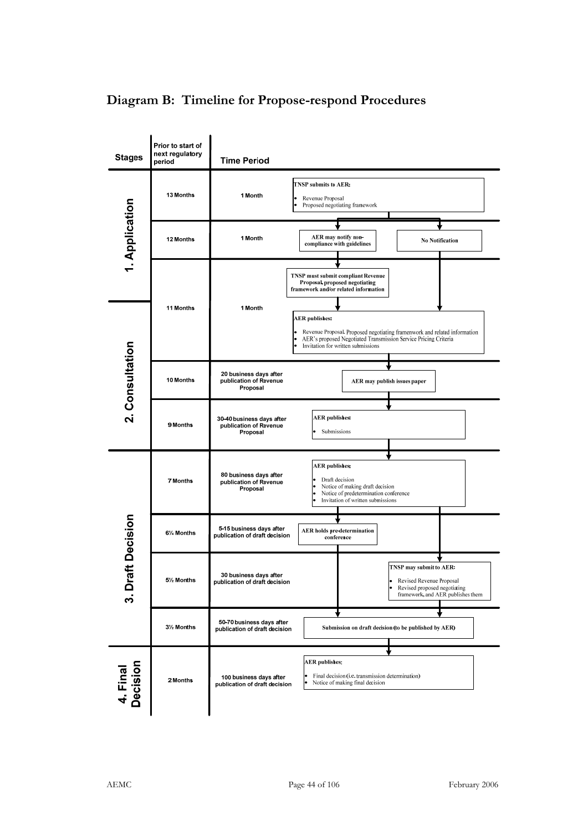# **Diagram B: Timeline for Propose-respond Procedures**

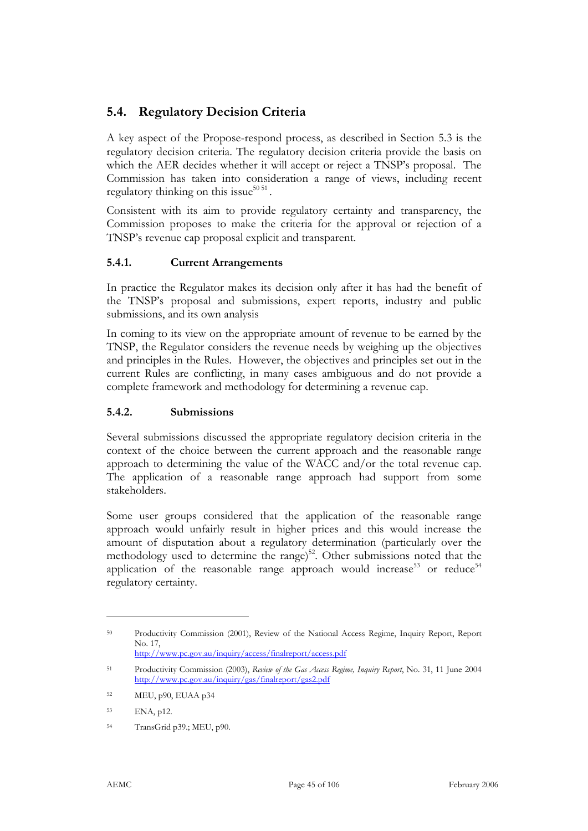# **5.4. Regulatory Decision Criteria**

A key aspect of the Propose-respond process, as described in Section 5.3 is the regulatory decision criteria. The regulatory decision criteria provide the basis on which the AER decides whether it will accept or reject a TNSP's proposal. The Commission has taken into consideration a range of views, including recent regulatory thinking on this issue $50\,51$ .

Consistent with its aim to provide regulatory certainty and transparency, the Commission proposes to make the criteria for the approval or rejection of a TNSP's revenue cap proposal explicit and transparent.

### **5.4.1. Current Arrangements**

In practice the Regulator makes its decision only after it has had the benefit of the TNSP's proposal and submissions, expert reports, industry and public submissions, and its own analysis

In coming to its view on the appropriate amount of revenue to be earned by the TNSP, the Regulator considers the revenue needs by weighing up the objectives and principles in the Rules. However, the objectives and principles set out in the current Rules are conflicting, in many cases ambiguous and do not provide a complete framework and methodology for determining a revenue cap.

#### **5.4.2. Submissions**

Several submissions discussed the appropriate regulatory decision criteria in the context of the choice between the current approach and the reasonable range approach to determining the value of the WACC and/or the total revenue cap. The application of a reasonable range approach had support from some stakeholders.

Some user groups considered that the application of the reasonable range approach would unfairly result in higher prices and this would increase the amount of disputation about a regulatory determination (particularly over the methodology used to determine the range)<sup>52</sup>. Other submissions noted that the application of the reasonable range approach would increase<sup>53</sup> or reduce<sup>54</sup> regulatory certainty.

<sup>50</sup> Productivity Commission (2001), Review of the National Access Regime, Inquiry Report, Report No. 17, http://www.pc.gov.au/inquiry/access/finalreport/access.pdf

<sup>51</sup> Productivity Commission (2003), *Review of the Gas Access Regime, Inquiry Report*, No. 31, 11 June 2004 http://www.pc.gov.au/inquiry/gas/finalreport/gas2.pdf

<sup>52</sup> MEU, p90, EUAA p34

<sup>53</sup> ENA, p12.

<sup>54</sup> TransGrid p39.; MEU, p90.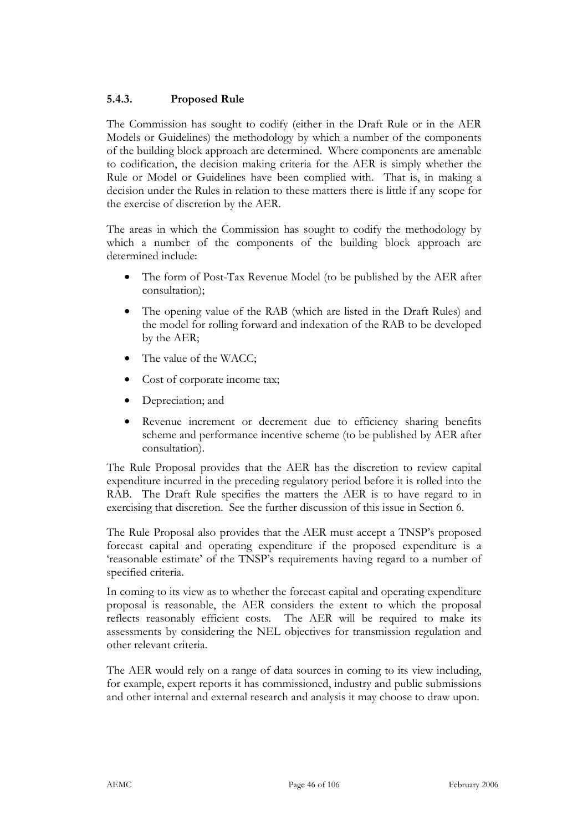## **5.4.3. Proposed Rule**

The Commission has sought to codify (either in the Draft Rule or in the AER Models or Guidelines) the methodology by which a number of the components of the building block approach are determined. Where components are amenable to codification, the decision making criteria for the AER is simply whether the Rule or Model or Guidelines have been complied with. That is, in making a decision under the Rules in relation to these matters there is little if any scope for the exercise of discretion by the AER.

The areas in which the Commission has sought to codify the methodology by which a number of the components of the building block approach are determined include:

- The form of Post-Tax Revenue Model (to be published by the AER after consultation);
- The opening value of the RAB (which are listed in the Draft Rules) and the model for rolling forward and indexation of the RAB to be developed by the AER;
- The value of the WACC;
- Cost of corporate income tax;
- Depreciation; and
- Revenue increment or decrement due to efficiency sharing benefits scheme and performance incentive scheme (to be published by AER after consultation).

The Rule Proposal provides that the AER has the discretion to review capital expenditure incurred in the preceding regulatory period before it is rolled into the RAB. The Draft Rule specifies the matters the AER is to have regard to in exercising that discretion. See the further discussion of this issue in Section 6.

The Rule Proposal also provides that the AER must accept a TNSP's proposed forecast capital and operating expenditure if the proposed expenditure is a 'reasonable estimate' of the TNSP's requirements having regard to a number of specified criteria.

In coming to its view as to whether the forecast capital and operating expenditure proposal is reasonable, the AER considers the extent to which the proposal reflects reasonably efficient costs. The AER will be required to make its assessments by considering the NEL objectives for transmission regulation and other relevant criteria.

The AER would rely on a range of data sources in coming to its view including, for example, expert reports it has commissioned, industry and public submissions and other internal and external research and analysis it may choose to draw upon.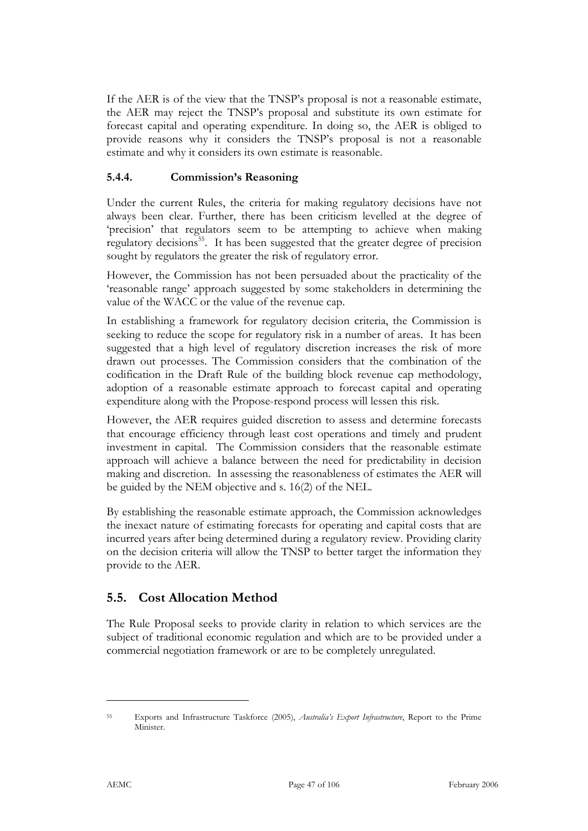If the AER is of the view that the TNSP's proposal is not a reasonable estimate, the AER may reject the TNSP's proposal and substitute its own estimate for forecast capital and operating expenditure. In doing so, the AER is obliged to provide reasons why it considers the TNSP's proposal is not a reasonable estimate and why it considers its own estimate is reasonable.

#### **5.4.4. Commission's Reasoning**

Under the current Rules, the criteria for making regulatory decisions have not always been clear. Further, there has been criticism levelled at the degree of 'precision' that regulators seem to be attempting to achieve when making regulatory decisions<sup>55</sup>. It has been suggested that the greater degree of precision sought by regulators the greater the risk of regulatory error.

However, the Commission has not been persuaded about the practicality of the 'reasonable range' approach suggested by some stakeholders in determining the value of the WACC or the value of the revenue cap.

In establishing a framework for regulatory decision criteria, the Commission is seeking to reduce the scope for regulatory risk in a number of areas. It has been suggested that a high level of regulatory discretion increases the risk of more drawn out processes. The Commission considers that the combination of the codification in the Draft Rule of the building block revenue cap methodology, adoption of a reasonable estimate approach to forecast capital and operating expenditure along with the Propose-respond process will lessen this risk.

However, the AER requires guided discretion to assess and determine forecasts that encourage efficiency through least cost operations and timely and prudent investment in capital. The Commission considers that the reasonable estimate approach will achieve a balance between the need for predictability in decision making and discretion. In assessing the reasonableness of estimates the AER will be guided by the NEM objective and s. 16(2) of the NEL.

By establishing the reasonable estimate approach, the Commission acknowledges the inexact nature of estimating forecasts for operating and capital costs that are incurred years after being determined during a regulatory review. Providing clarity on the decision criteria will allow the TNSP to better target the information they provide to the AER.

# **5.5. Cost Allocation Method**

The Rule Proposal seeks to provide clarity in relation to which services are the subject of traditional economic regulation and which are to be provided under a commercial negotiation framework or are to be completely unregulated.

<sup>55</sup> Exports and Infrastructure Taskforce (2005), *Australia's Export Infrastructure*, Report to the Prime Minister.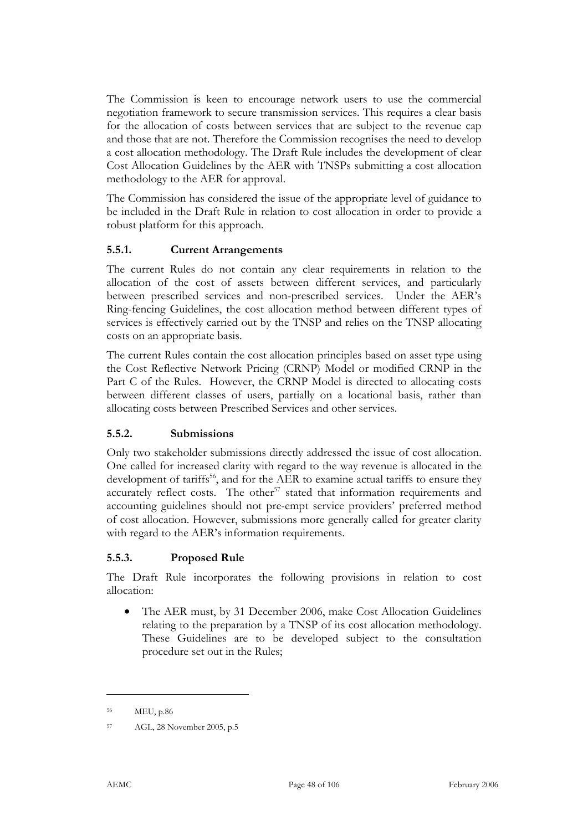The Commission is keen to encourage network users to use the commercial negotiation framework to secure transmission services. This requires a clear basis for the allocation of costs between services that are subject to the revenue cap and those that are not. Therefore the Commission recognises the need to develop a cost allocation methodology. The Draft Rule includes the development of clear Cost Allocation Guidelines by the AER with TNSPs submitting a cost allocation methodology to the AER for approval.

The Commission has considered the issue of the appropriate level of guidance to be included in the Draft Rule in relation to cost allocation in order to provide a robust platform for this approach.

#### **5.5.1. Current Arrangements**

The current Rules do not contain any clear requirements in relation to the allocation of the cost of assets between different services, and particularly between prescribed services and non-prescribed services. Under the AER's Ring-fencing Guidelines, the cost allocation method between different types of services is effectively carried out by the TNSP and relies on the TNSP allocating costs on an appropriate basis.

The current Rules contain the cost allocation principles based on asset type using the Cost Reflective Network Pricing (CRNP) Model or modified CRNP in the Part C of the Rules. However, the CRNP Model is directed to allocating costs between different classes of users, partially on a locational basis, rather than allocating costs between Prescribed Services and other services.

#### **5.5.2. Submissions**

Only two stakeholder submissions directly addressed the issue of cost allocation. One called for increased clarity with regard to the way revenue is allocated in the development of tariffs<sup>56</sup>, and for the AER to examine actual tariffs to ensure they accurately reflect costs. The other<sup>57</sup> stated that information requirements and accounting guidelines should not pre-empt service providers' preferred method of cost allocation. However, submissions more generally called for greater clarity with regard to the AER's information requirements.

#### **5.5.3. Proposed Rule**

The Draft Rule incorporates the following provisions in relation to cost allocation:

• The AER must, by 31 December 2006, make Cost Allocation Guidelines relating to the preparation by a TNSP of its cost allocation methodology. These Guidelines are to be developed subject to the consultation procedure set out in the Rules;

<sup>56</sup> MEU, p.86

<sup>57</sup> AGL, 28 November 2005, p.5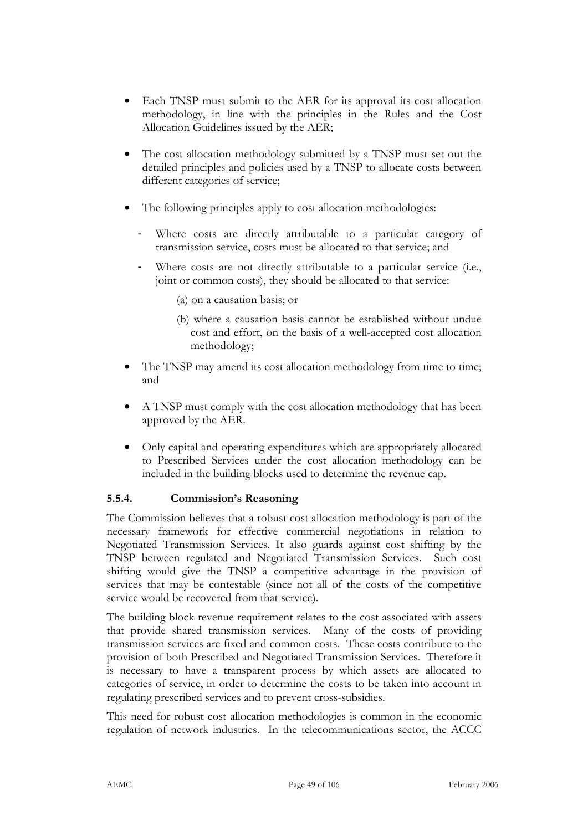- Each TNSP must submit to the AER for its approval its cost allocation methodology, in line with the principles in the Rules and the Cost Allocation Guidelines issued by the AER;
- The cost allocation methodology submitted by a TNSP must set out the detailed principles and policies used by a TNSP to allocate costs between different categories of service;
- The following principles apply to cost allocation methodologies:
	- Where costs are directly attributable to a particular category of transmission service, costs must be allocated to that service; and
	- Where costs are not directly attributable to a particular service (i.e., joint or common costs), they should be allocated to that service:
		- (a) on a causation basis; or
		- (b) where a causation basis cannot be established without undue cost and effort, on the basis of a well-accepted cost allocation methodology;
- The TNSP may amend its cost allocation methodology from time to time; and
- A TNSP must comply with the cost allocation methodology that has been approved by the AER.
- Only capital and operating expenditures which are appropriately allocated to Prescribed Services under the cost allocation methodology can be included in the building blocks used to determine the revenue cap.

## **5.5.4. Commission's Reasoning**

The Commission believes that a robust cost allocation methodology is part of the necessary framework for effective commercial negotiations in relation to Negotiated Transmission Services. It also guards against cost shifting by the TNSP between regulated and Negotiated Transmission Services. Such cost shifting would give the TNSP a competitive advantage in the provision of services that may be contestable (since not all of the costs of the competitive service would be recovered from that service).

The building block revenue requirement relates to the cost associated with assets that provide shared transmission services. Many of the costs of providing transmission services are fixed and common costs. These costs contribute to the provision of both Prescribed and Negotiated Transmission Services. Therefore it is necessary to have a transparent process by which assets are allocated to categories of service, in order to determine the costs to be taken into account in regulating prescribed services and to prevent cross-subsidies.

This need for robust cost allocation methodologies is common in the economic regulation of network industries. In the telecommunications sector, the ACCC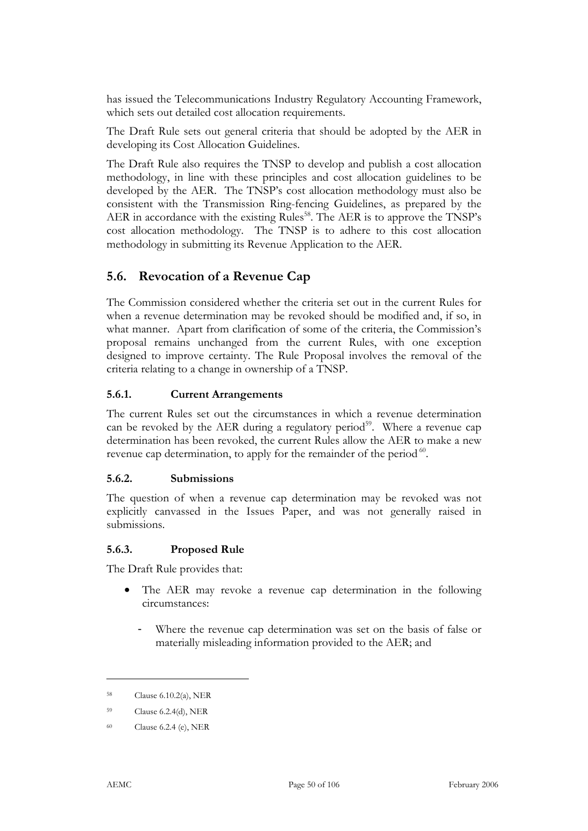has issued the Telecommunications Industry Regulatory Accounting Framework, which sets out detailed cost allocation requirements.

The Draft Rule sets out general criteria that should be adopted by the AER in developing its Cost Allocation Guidelines.

The Draft Rule also requires the TNSP to develop and publish a cost allocation methodology, in line with these principles and cost allocation guidelines to be developed by the AER. The TNSP's cost allocation methodology must also be consistent with the Transmission Ring-fencing Guidelines, as prepared by the AER in accordance with the existing Rules<sup>58</sup>. The AER is to approve the TNSP's cost allocation methodology. The TNSP is to adhere to this cost allocation methodology in submitting its Revenue Application to the AER.

## **5.6. Revocation of a Revenue Cap**

The Commission considered whether the criteria set out in the current Rules for when a revenue determination may be revoked should be modified and, if so, in what manner. Apart from clarification of some of the criteria, the Commission's proposal remains unchanged from the current Rules, with one exception designed to improve certainty. The Rule Proposal involves the removal of the criteria relating to a change in ownership of a TNSP.

#### **5.6.1. Current Arrangements**

The current Rules set out the circumstances in which a revenue determination can be revoked by the AER during a regulatory period<sup>59</sup>. Where a revenue cap determination has been revoked, the current Rules allow the AER to make a new revenue cap determination, to apply for the remainder of the period <sup>60</sup>.

## **5.6.2. Submissions**

The question of when a revenue cap determination may be revoked was not explicitly canvassed in the Issues Paper, and was not generally raised in submissions.

## **5.6.3. Proposed Rule**

The Draft Rule provides that:

- The AER may revoke a revenue cap determination in the following circumstances:
	- Where the revenue cap determination was set on the basis of false or materially misleading information provided to the AER; and

<sup>58</sup> Clause 6.10.2(a), NER

<sup>59</sup> Clause 6.2.4(d), NER

<sup>60</sup> Clause 6.2.4 (e), NER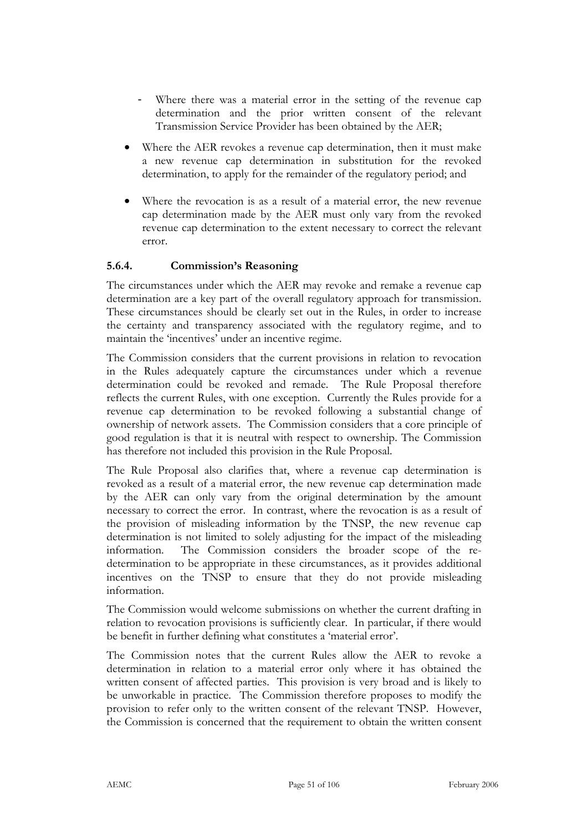- Where there was a material error in the setting of the revenue cap determination and the prior written consent of the relevant Transmission Service Provider has been obtained by the AER;
- Where the AER revokes a revenue cap determination, then it must make a new revenue cap determination in substitution for the revoked determination, to apply for the remainder of the regulatory period; and
- Where the revocation is as a result of a material error, the new revenue cap determination made by the AER must only vary from the revoked revenue cap determination to the extent necessary to correct the relevant error.

### **5.6.4. Commission's Reasoning**

The circumstances under which the AER may revoke and remake a revenue cap determination are a key part of the overall regulatory approach for transmission. These circumstances should be clearly set out in the Rules, in order to increase the certainty and transparency associated with the regulatory regime, and to maintain the 'incentives' under an incentive regime.

The Commission considers that the current provisions in relation to revocation in the Rules adequately capture the circumstances under which a revenue determination could be revoked and remade. The Rule Proposal therefore reflects the current Rules, with one exception. Currently the Rules provide for a revenue cap determination to be revoked following a substantial change of ownership of network assets. The Commission considers that a core principle of good regulation is that it is neutral with respect to ownership. The Commission has therefore not included this provision in the Rule Proposal.

The Rule Proposal also clarifies that, where a revenue cap determination is revoked as a result of a material error, the new revenue cap determination made by the AER can only vary from the original determination by the amount necessary to correct the error. In contrast, where the revocation is as a result of the provision of misleading information by the TNSP, the new revenue cap determination is not limited to solely adjusting for the impact of the misleading information. The Commission considers the broader scope of the redetermination to be appropriate in these circumstances, as it provides additional incentives on the TNSP to ensure that they do not provide misleading information.

The Commission would welcome submissions on whether the current drafting in relation to revocation provisions is sufficiently clear. In particular, if there would be benefit in further defining what constitutes a 'material error'.

The Commission notes that the current Rules allow the AER to revoke a determination in relation to a material error only where it has obtained the written consent of affected parties. This provision is very broad and is likely to be unworkable in practice. The Commission therefore proposes to modify the provision to refer only to the written consent of the relevant TNSP. However, the Commission is concerned that the requirement to obtain the written consent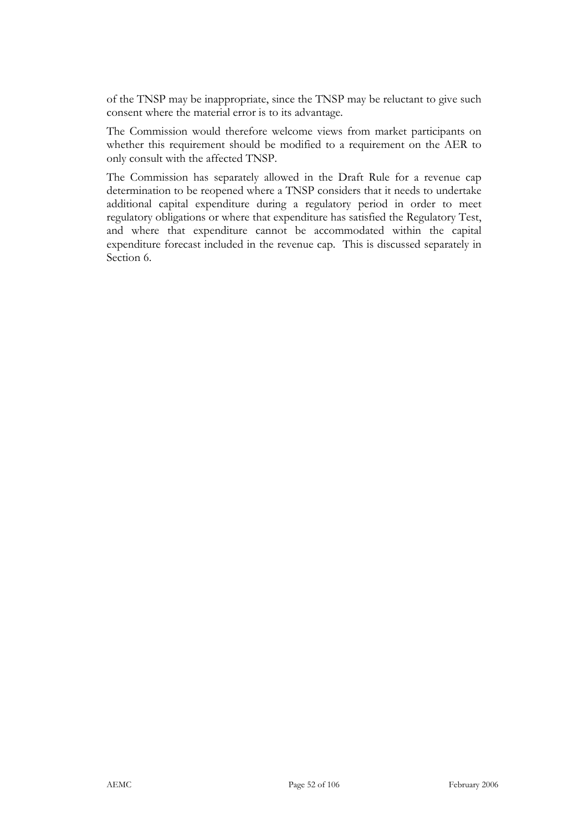of the TNSP may be inappropriate, since the TNSP may be reluctant to give such consent where the material error is to its advantage.

The Commission would therefore welcome views from market participants on whether this requirement should be modified to a requirement on the AER to only consult with the affected TNSP.

The Commission has separately allowed in the Draft Rule for a revenue cap determination to be reopened where a TNSP considers that it needs to undertake additional capital expenditure during a regulatory period in order to meet regulatory obligations or where that expenditure has satisfied the Regulatory Test, and where that expenditure cannot be accommodated within the capital expenditure forecast included in the revenue cap. This is discussed separately in Section 6.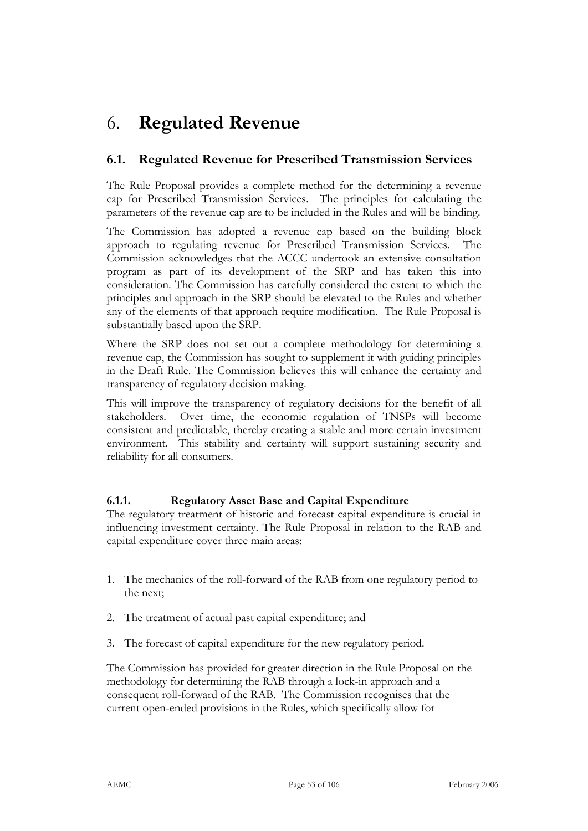# 6. **Regulated Revenue**

# **6.1. Regulated Revenue for Prescribed Transmission Services**

The Rule Proposal provides a complete method for the determining a revenue cap for Prescribed Transmission Services. The principles for calculating the parameters of the revenue cap are to be included in the Rules and will be binding.

The Commission has adopted a revenue cap based on the building block approach to regulating revenue for Prescribed Transmission Services. The Commission acknowledges that the ACCC undertook an extensive consultation program as part of its development of the SRP and has taken this into consideration. The Commission has carefully considered the extent to which the principles and approach in the SRP should be elevated to the Rules and whether any of the elements of that approach require modification. The Rule Proposal is substantially based upon the SRP.

Where the SRP does not set out a complete methodology for determining a revenue cap, the Commission has sought to supplement it with guiding principles in the Draft Rule. The Commission believes this will enhance the certainty and transparency of regulatory decision making.

This will improve the transparency of regulatory decisions for the benefit of all stakeholders. Over time, the economic regulation of TNSPs will become consistent and predictable, thereby creating a stable and more certain investment environment. This stability and certainty will support sustaining security and reliability for all consumers.

## **6.1.1. Regulatory Asset Base and Capital Expenditure**

The regulatory treatment of historic and forecast capital expenditure is crucial in influencing investment certainty. The Rule Proposal in relation to the RAB and capital expenditure cover three main areas:

- 1. The mechanics of the roll-forward of the RAB from one regulatory period to the next;
- 2. The treatment of actual past capital expenditure; and
- 3. The forecast of capital expenditure for the new regulatory period.

The Commission has provided for greater direction in the Rule Proposal on the methodology for determining the RAB through a lock-in approach and a consequent roll-forward of the RAB. The Commission recognises that the current open-ended provisions in the Rules, which specifically allow for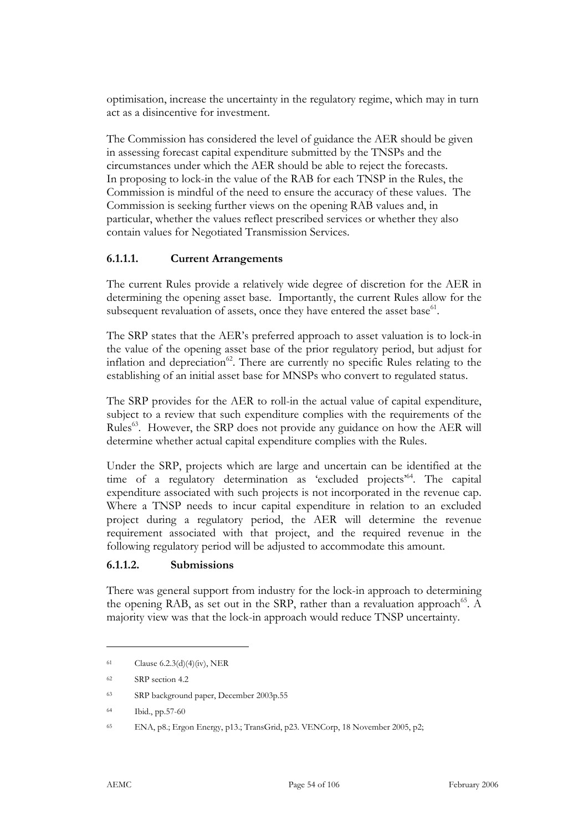optimisation, increase the uncertainty in the regulatory regime, which may in turn act as a disincentive for investment.

The Commission has considered the level of guidance the AER should be given in assessing forecast capital expenditure submitted by the TNSPs and the circumstances under which the AER should be able to reject the forecasts. In proposing to lock-in the value of the RAB for each TNSP in the Rules, the Commission is mindful of the need to ensure the accuracy of these values. The Commission is seeking further views on the opening RAB values and, in particular, whether the values reflect prescribed services or whether they also contain values for Negotiated Transmission Services.

#### **6.1.1.1. Current Arrangements**

The current Rules provide a relatively wide degree of discretion for the AER in determining the opening asset base. Importantly, the current Rules allow for the subsequent revaluation of assets, once they have entered the asset base $^{61}$ .

The SRP states that the AER's preferred approach to asset valuation is to lock-in the value of the opening asset base of the prior regulatory period, but adjust for inflation and depreciation<sup>62</sup>. There are currently no specific Rules relating to the establishing of an initial asset base for MNSPs who convert to regulated status.

The SRP provides for the AER to roll-in the actual value of capital expenditure, subject to a review that such expenditure complies with the requirements of the Rules<sup>63</sup>. However, the SRP does not provide any guidance on how the AER will determine whether actual capital expenditure complies with the Rules.

Under the SRP, projects which are large and uncertain can be identified at the time of a regulatory determination as 'excluded projects'64. The capital expenditure associated with such projects is not incorporated in the revenue cap. Where a TNSP needs to incur capital expenditure in relation to an excluded project during a regulatory period, the AER will determine the revenue requirement associated with that project, and the required revenue in the following regulatory period will be adjusted to accommodate this amount.

#### **6.1.1.2. Submissions**

There was general support from industry for the lock-in approach to determining the opening RAB, as set out in the SRP, rather than a revaluation approach<sup>65</sup>. A majority view was that the lock-in approach would reduce TNSP uncertainty.

<sup>61</sup> Clause 6.2.3(d)(4)(iv), NER

<sup>62</sup> SRP section 4.2

<sup>63</sup> SRP background paper, December 2003p.55

<sup>64</sup> Ibid., pp.57-60

<sup>65</sup> ENA, p8.; Ergon Energy, p13.; TransGrid, p23. VENCorp, 18 November 2005, p2;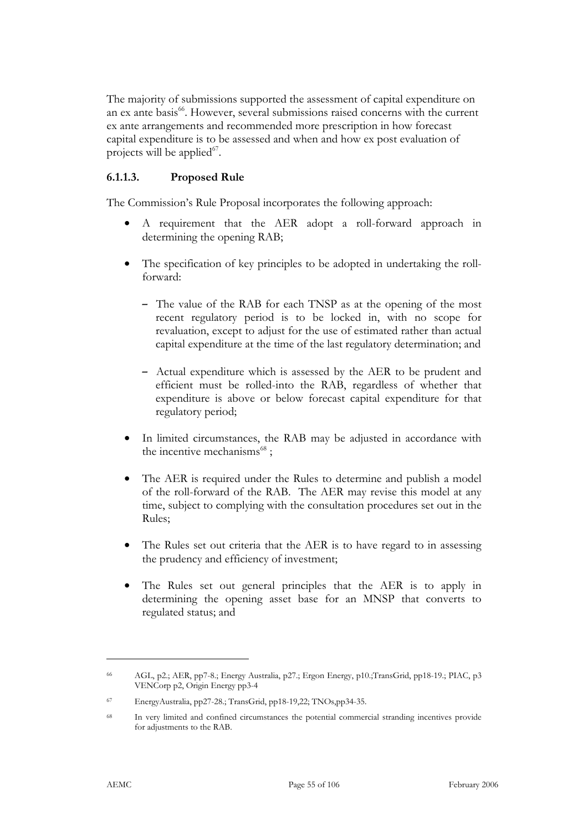The majority of submissions supported the assessment of capital expenditure on an ex ante basis<sup>66</sup>. However, several submissions raised concerns with the current ex ante arrangements and recommended more prescription in how forecast capital expenditure is to be assessed and when and how ex post evaluation of projects will be applied $^{67}$ .

#### **6.1.1.3. Proposed Rule**

The Commission's Rule Proposal incorporates the following approach:

- A requirement that the AER adopt a roll-forward approach in determining the opening RAB;
- The specification of key principles to be adopted in undertaking the rollforward:
	- The value of the RAB for each TNSP as at the opening of the most recent regulatory period is to be locked in, with no scope for revaluation, except to adjust for the use of estimated rather than actual capital expenditure at the time of the last regulatory determination; and
	- Actual expenditure which is assessed by the AER to be prudent and efficient must be rolled-into the RAB, regardless of whether that expenditure is above or below forecast capital expenditure for that regulatory period;
- In limited circumstances, the RAB may be adjusted in accordance with the incentive mechanisms<sup>68</sup>;
- The AER is required under the Rules to determine and publish a model of the roll-forward of the RAB. The AER may revise this model at any time, subject to complying with the consultation procedures set out in the Rules;
- The Rules set out criteria that the AER is to have regard to in assessing the prudency and efficiency of investment;
- The Rules set out general principles that the AER is to apply in determining the opening asset base for an MNSP that converts to regulated status; and

<sup>66</sup> AGL, p2.; AER, pp7-8.; Energy Australia, p27.; Ergon Energy, p10.;TransGrid, pp18-19.; PIAC, p3 VENCorp p2, Origin Energy pp3-4

<sup>67</sup> EnergyAustralia, pp27-28.; TransGrid, pp18-19,22; TNOs,pp34-35.

<sup>68</sup> In very limited and confined circumstances the potential commercial stranding incentives provide for adjustments to the RAB.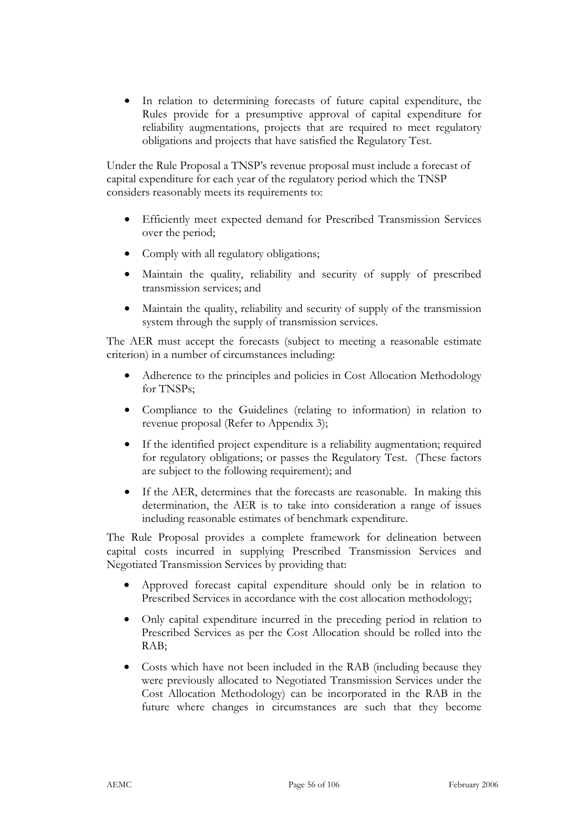• In relation to determining forecasts of future capital expenditure, the Rules provide for a presumptive approval of capital expenditure for reliability augmentations, projects that are required to meet regulatory obligations and projects that have satisfied the Regulatory Test.

Under the Rule Proposal a TNSP's revenue proposal must include a forecast of capital expenditure for each year of the regulatory period which the TNSP considers reasonably meets its requirements to:

- Efficiently meet expected demand for Prescribed Transmission Services over the period;
- Comply with all regulatory obligations;
- Maintain the quality, reliability and security of supply of prescribed transmission services; and
- Maintain the quality, reliability and security of supply of the transmission system through the supply of transmission services.

The AER must accept the forecasts (subject to meeting a reasonable estimate criterion) in a number of circumstances including:

- Adherence to the principles and policies in Cost Allocation Methodology for TNSPs;
- Compliance to the Guidelines (relating to information) in relation to revenue proposal (Refer to Appendix 3);
- If the identified project expenditure is a reliability augmentation; required for regulatory obligations; or passes the Regulatory Test. (These factors are subject to the following requirement); and
- If the AER, determines that the forecasts are reasonable. In making this determination, the AER is to take into consideration a range of issues including reasonable estimates of benchmark expenditure.

The Rule Proposal provides a complete framework for delineation between capital costs incurred in supplying Prescribed Transmission Services and Negotiated Transmission Services by providing that:

- Approved forecast capital expenditure should only be in relation to Prescribed Services in accordance with the cost allocation methodology;
- Only capital expenditure incurred in the preceding period in relation to Prescribed Services as per the Cost Allocation should be rolled into the RAB;
- Costs which have not been included in the RAB (including because they were previously allocated to Negotiated Transmission Services under the Cost Allocation Methodology) can be incorporated in the RAB in the future where changes in circumstances are such that they become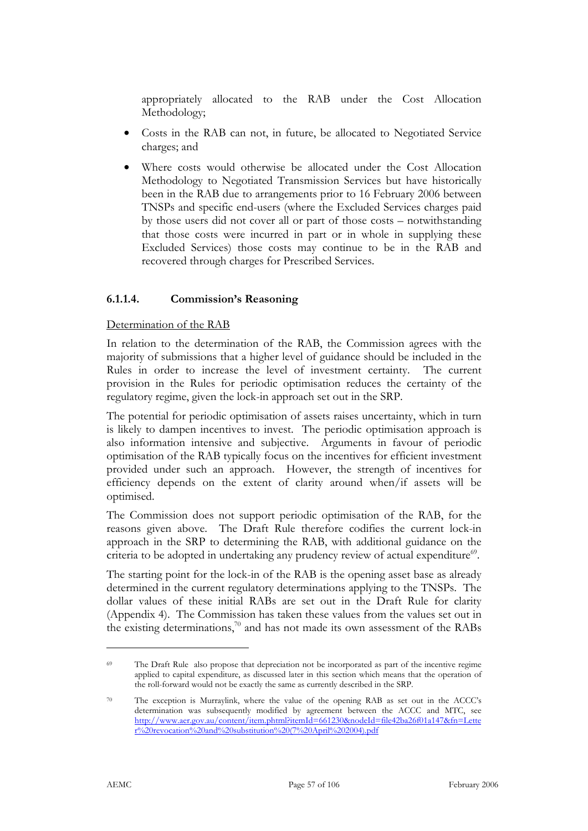appropriately allocated to the RAB under the Cost Allocation Methodology;

- Costs in the RAB can not, in future, be allocated to Negotiated Service charges; and
- Where costs would otherwise be allocated under the Cost Allocation Methodology to Negotiated Transmission Services but have historically been in the RAB due to arrangements prior to 16 February 2006 between TNSPs and specific end-users (where the Excluded Services charges paid by those users did not cover all or part of those costs – notwithstanding that those costs were incurred in part or in whole in supplying these Excluded Services) those costs may continue to be in the RAB and recovered through charges for Prescribed Services.

### **6.1.1.4. Commission's Reasoning**

#### Determination of the RAB

In relation to the determination of the RAB, the Commission agrees with the majority of submissions that a higher level of guidance should be included in the Rules in order to increase the level of investment certainty. The current provision in the Rules for periodic optimisation reduces the certainty of the regulatory regime, given the lock-in approach set out in the SRP.

The potential for periodic optimisation of assets raises uncertainty, which in turn is likely to dampen incentives to invest. The periodic optimisation approach is also information intensive and subjective. Arguments in favour of periodic optimisation of the RAB typically focus on the incentives for efficient investment provided under such an approach. However, the strength of incentives for efficiency depends on the extent of clarity around when/if assets will be optimised.

The Commission does not support periodic optimisation of the RAB, for the reasons given above. The Draft Rule therefore codifies the current lock-in approach in the SRP to determining the RAB, with additional guidance on the criteria to be adopted in undertaking any prudency review of actual expenditure<sup>69</sup>.

The starting point for the lock-in of the RAB is the opening asset base as already determined in the current regulatory determinations applying to the TNSPs. The dollar values of these initial RABs are set out in the Draft Rule for clarity (Appendix 4). The Commission has taken these values from the values set out in the existing determinations,<sup>70</sup> and has not made its own assessment of the RABs

<sup>69</sup> The Draft Rule also propose that depreciation not be incorporated as part of the incentive regime applied to capital expenditure, as discussed later in this section which means that the operation of the roll-forward would not be exactly the same as currently described in the SRP.

<sup>70</sup> The exception is Murraylink, where the value of the opening RAB as set out in the ACCC's determination was subsequently modified by agreement between the ACCC and MTC, see http://www.aer.gov.au/content/item.phtml?itemId=661230&nodeId=file42ba26f01a147&fn=Lette r%20revocation%20and%20substitution%20(7%20April%202004).pdf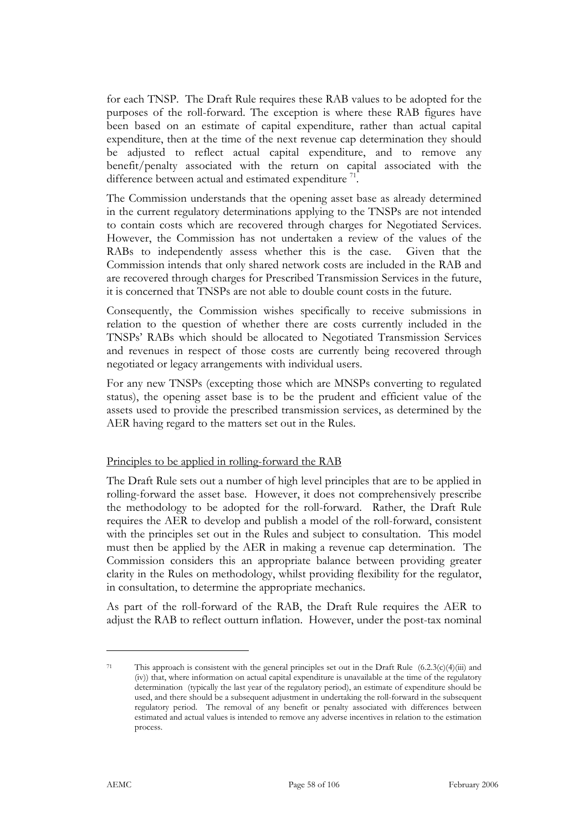for each TNSP. The Draft Rule requires these RAB values to be adopted for the purposes of the roll-forward. The exception is where these RAB figures have been based on an estimate of capital expenditure, rather than actual capital expenditure, then at the time of the next revenue cap determination they should be adjusted to reflect actual capital expenditure, and to remove any benefit/penalty associated with the return on capital associated with the difference between actual and estimated expenditure  $^{71}$ .

The Commission understands that the opening asset base as already determined in the current regulatory determinations applying to the TNSPs are not intended to contain costs which are recovered through charges for Negotiated Services. However, the Commission has not undertaken a review of the values of the RABs to independently assess whether this is the case. Given that the Commission intends that only shared network costs are included in the RAB and are recovered through charges for Prescribed Transmission Services in the future, it is concerned that TNSPs are not able to double count costs in the future.

Consequently, the Commission wishes specifically to receive submissions in relation to the question of whether there are costs currently included in the TNSPs' RABs which should be allocated to Negotiated Transmission Services and revenues in respect of those costs are currently being recovered through negotiated or legacy arrangements with individual users.

For any new TNSPs (excepting those which are MNSPs converting to regulated status), the opening asset base is to be the prudent and efficient value of the assets used to provide the prescribed transmission services, as determined by the AER having regard to the matters set out in the Rules.

#### Principles to be applied in rolling-forward the RAB

The Draft Rule sets out a number of high level principles that are to be applied in rolling-forward the asset base. However, it does not comprehensively prescribe the methodology to be adopted for the roll-forward. Rather, the Draft Rule requires the AER to develop and publish a model of the roll-forward, consistent with the principles set out in the Rules and subject to consultation. This model must then be applied by the AER in making a revenue cap determination. The Commission considers this an appropriate balance between providing greater clarity in the Rules on methodology, whilst providing flexibility for the regulator, in consultation, to determine the appropriate mechanics.

As part of the roll-forward of the RAB, the Draft Rule requires the AER to adjust the RAB to reflect outturn inflation. However, under the post-tax nominal

<sup>71</sup> This approach is consistent with the general principles set out in the Draft Rule  $(6.2.3(c)(4)(iii)$  and (iv)) that, where information on actual capital expenditure is unavailable at the time of the regulatory determination (typically the last year of the regulatory period), an estimate of expenditure should be used, and there should be a subsequent adjustment in undertaking the roll-forward in the subsequent regulatory period. The removal of any benefit or penalty associated with differences between estimated and actual values is intended to remove any adverse incentives in relation to the estimation process.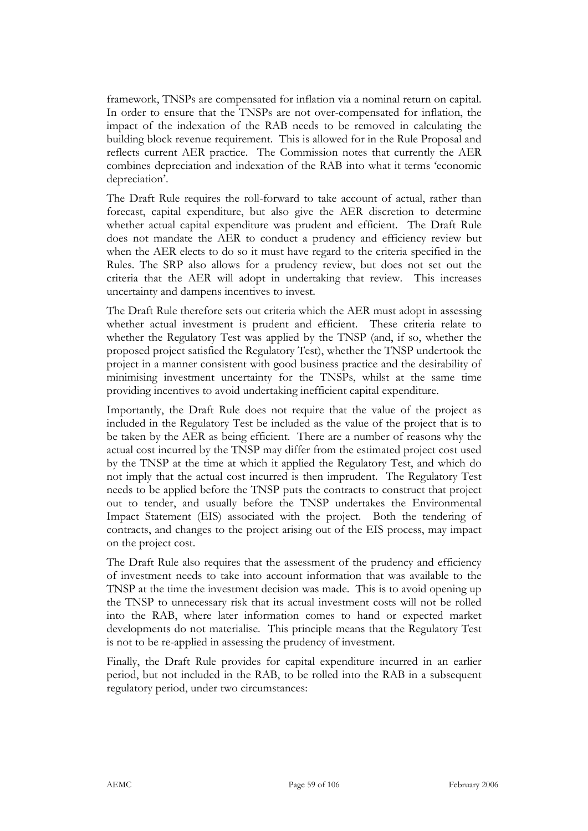framework, TNSPs are compensated for inflation via a nominal return on capital. In order to ensure that the TNSPs are not over-compensated for inflation, the impact of the indexation of the RAB needs to be removed in calculating the building block revenue requirement. This is allowed for in the Rule Proposal and reflects current AER practice. The Commission notes that currently the AER combines depreciation and indexation of the RAB into what it terms 'economic depreciation'.

The Draft Rule requires the roll-forward to take account of actual, rather than forecast, capital expenditure, but also give the AER discretion to determine whether actual capital expenditure was prudent and efficient. The Draft Rule does not mandate the AER to conduct a prudency and efficiency review but when the AER elects to do so it must have regard to the criteria specified in the Rules. The SRP also allows for a prudency review, but does not set out the criteria that the AER will adopt in undertaking that review. This increases uncertainty and dampens incentives to invest.

The Draft Rule therefore sets out criteria which the AER must adopt in assessing whether actual investment is prudent and efficient. These criteria relate to whether the Regulatory Test was applied by the TNSP (and, if so, whether the proposed project satisfied the Regulatory Test), whether the TNSP undertook the project in a manner consistent with good business practice and the desirability of minimising investment uncertainty for the TNSPs, whilst at the same time providing incentives to avoid undertaking inefficient capital expenditure.

Importantly, the Draft Rule does not require that the value of the project as included in the Regulatory Test be included as the value of the project that is to be taken by the AER as being efficient. There are a number of reasons why the actual cost incurred by the TNSP may differ from the estimated project cost used by the TNSP at the time at which it applied the Regulatory Test, and which do not imply that the actual cost incurred is then imprudent. The Regulatory Test needs to be applied before the TNSP puts the contracts to construct that project out to tender, and usually before the TNSP undertakes the Environmental Impact Statement (EIS) associated with the project. Both the tendering of contracts, and changes to the project arising out of the EIS process, may impact on the project cost.

The Draft Rule also requires that the assessment of the prudency and efficiency of investment needs to take into account information that was available to the TNSP at the time the investment decision was made. This is to avoid opening up the TNSP to unnecessary risk that its actual investment costs will not be rolled into the RAB, where later information comes to hand or expected market developments do not materialise. This principle means that the Regulatory Test is not to be re-applied in assessing the prudency of investment.

Finally, the Draft Rule provides for capital expenditure incurred in an earlier period, but not included in the RAB, to be rolled into the RAB in a subsequent regulatory period, under two circumstances: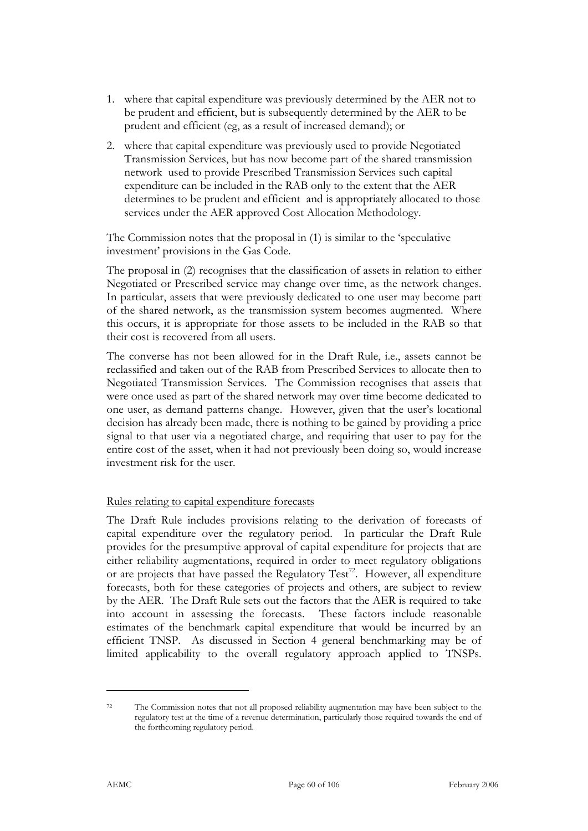- 1. where that capital expenditure was previously determined by the AER not to be prudent and efficient, but is subsequently determined by the AER to be prudent and efficient (eg, as a result of increased demand); or
- 2. where that capital expenditure was previously used to provide Negotiated Transmission Services, but has now become part of the shared transmission network used to provide Prescribed Transmission Services such capital expenditure can be included in the RAB only to the extent that the AER determines to be prudent and efficient and is appropriately allocated to those services under the AER approved Cost Allocation Methodology.

The Commission notes that the proposal in (1) is similar to the 'speculative investment' provisions in the Gas Code.

The proposal in (2) recognises that the classification of assets in relation to either Negotiated or Prescribed service may change over time, as the network changes. In particular, assets that were previously dedicated to one user may become part of the shared network, as the transmission system becomes augmented. Where this occurs, it is appropriate for those assets to be included in the RAB so that their cost is recovered from all users.

The converse has not been allowed for in the Draft Rule, i.e., assets cannot be reclassified and taken out of the RAB from Prescribed Services to allocate then to Negotiated Transmission Services. The Commission recognises that assets that were once used as part of the shared network may over time become dedicated to one user, as demand patterns change. However, given that the user's locational decision has already been made, there is nothing to be gained by providing a price signal to that user via a negotiated charge, and requiring that user to pay for the entire cost of the asset, when it had not previously been doing so, would increase investment risk for the user.

#### Rules relating to capital expenditure forecasts

The Draft Rule includes provisions relating to the derivation of forecasts of capital expenditure over the regulatory period. In particular the Draft Rule provides for the presumptive approval of capital expenditure for projects that are either reliability augmentations, required in order to meet regulatory obligations or are projects that have passed the Regulatory Test<sup>72</sup>. However, all expenditure forecasts, both for these categories of projects and others, are subject to review by the AER. The Draft Rule sets out the factors that the AER is required to take into account in assessing the forecasts. These factors include reasonable estimates of the benchmark capital expenditure that would be incurred by an efficient TNSP. As discussed in Section 4 general benchmarking may be of limited applicability to the overall regulatory approach applied to TNSPs.

<sup>72</sup> The Commission notes that not all proposed reliability augmentation may have been subject to the regulatory test at the time of a revenue determination, particularly those required towards the end of the forthcoming regulatory period.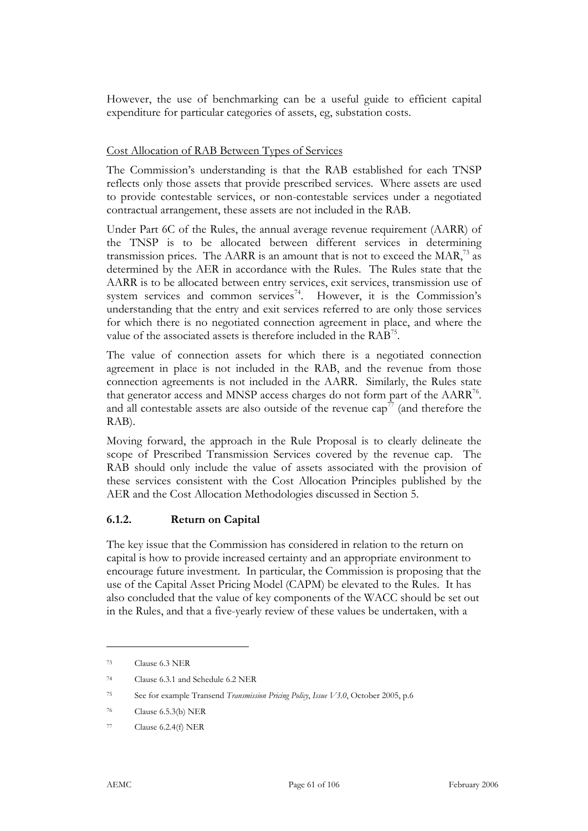However, the use of benchmarking can be a useful guide to efficient capital expenditure for particular categories of assets, eg, substation costs.

#### Cost Allocation of RAB Between Types of Services

The Commission's understanding is that the RAB established for each TNSP reflects only those assets that provide prescribed services. Where assets are used to provide contestable services, or non-contestable services under a negotiated contractual arrangement, these assets are not included in the RAB.

Under Part 6C of the Rules, the annual average revenue requirement (AARR) of the TNSP is to be allocated between different services in determining transmission prices. The  $AARR$  is an amount that is not to exceed the  $MAR$ ,<sup>73</sup> as determined by the AER in accordance with the Rules. The Rules state that the AARR is to be allocated between entry services, exit services, transmission use of system services and common services<sup>74</sup>. However, it is the Commission's understanding that the entry and exit services referred to are only those services for which there is no negotiated connection agreement in place, and where the value of the associated assets is therefore included in the RAB75.

The value of connection assets for which there is a negotiated connection agreement in place is not included in the RAB, and the revenue from those connection agreements is not included in the AARR. Similarly, the Rules state that generator access and MNSP access charges do not form part of the AARR<sup>76</sup>. and all contestable assets are also outside of the revenue  $cap^{77}$  (and therefore the RAB).

Moving forward, the approach in the Rule Proposal is to clearly delineate the scope of Prescribed Transmission Services covered by the revenue cap. The RAB should only include the value of assets associated with the provision of these services consistent with the Cost Allocation Principles published by the AER and the Cost Allocation Methodologies discussed in Section 5.

#### **6.1.2. Return on Capital**

The key issue that the Commission has considered in relation to the return on capital is how to provide increased certainty and an appropriate environment to encourage future investment. In particular, the Commission is proposing that the use of the Capital Asset Pricing Model (CAPM) be elevated to the Rules. It has also concluded that the value of key components of the WACC should be set out in the Rules, and that a five-yearly review of these values be undertaken, with a

<sup>73</sup> Clause 6.3 NER

<sup>74</sup> Clause 6.3.1 and Schedule 6.2 NER

<sup>75</sup> See for example Transend *Transmission Pricing Policy*, *Issue V3.0*, October 2005, p.6

<sup>76</sup> Clause 6.5.3(b) NER

<sup>77</sup> Clause 6.2.4(f) NER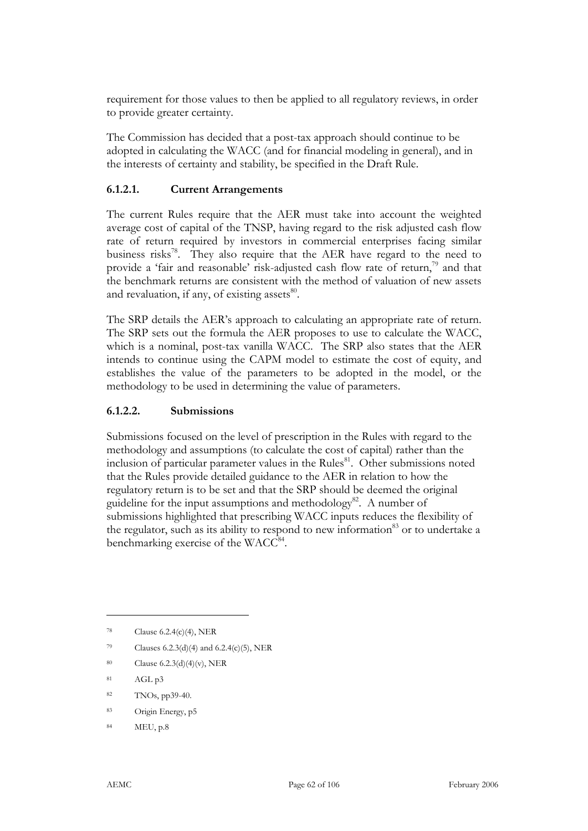requirement for those values to then be applied to all regulatory reviews, in order to provide greater certainty.

The Commission has decided that a post-tax approach should continue to be adopted in calculating the WACC (and for financial modeling in general), and in the interests of certainty and stability, be specified in the Draft Rule.

#### **6.1.2.1. Current Arrangements**

The current Rules require that the AER must take into account the weighted average cost of capital of the TNSP, having regard to the risk adjusted cash flow rate of return required by investors in commercial enterprises facing similar business risks<sup>78</sup>. They also require that the AER have regard to the need to provide a 'fair and reasonable' risk-adjusted cash flow rate of return, $\frac{7}{2}$  and that the benchmark returns are consistent with the method of valuation of new assets and revaluation, if any, of existing assets $^{80}$ .

The SRP details the AER's approach to calculating an appropriate rate of return. The SRP sets out the formula the AER proposes to use to calculate the WACC, which is a nominal, post-tax vanilla WACC. The SRP also states that the AER intends to continue using the CAPM model to estimate the cost of equity, and establishes the value of the parameters to be adopted in the model, or the methodology to be used in determining the value of parameters.

#### **6.1.2.2. Submissions**

Submissions focused on the level of prescription in the Rules with regard to the methodology and assumptions (to calculate the cost of capital) rather than the inclusion of particular parameter values in the Rules $81$ . Other submissions noted that the Rules provide detailed guidance to the AER in relation to how the regulatory return is to be set and that the SRP should be deemed the original guideline for the input assumptions and methodology<sup>82</sup>. A number of submissions highlighted that prescribing WACC inputs reduces the flexibility of the regulator, such as its ability to respond to new information<sup>83</sup> or to undertake a benchmarking exercise of the  $WACC^{84}$ .

- 79 Clauses  $6.2.3(d)(4)$  and  $6.2.4(c)(5)$ , NER
- 80 Clause 6.2.3(d)(4)(v), NER
- 81 AGL p3

- 82 TNOs, pp39-40.
- 83 Origin Energy, p5
- 84 MEU, p.8

<sup>78</sup> Clause 6.2.4(c)(4), NER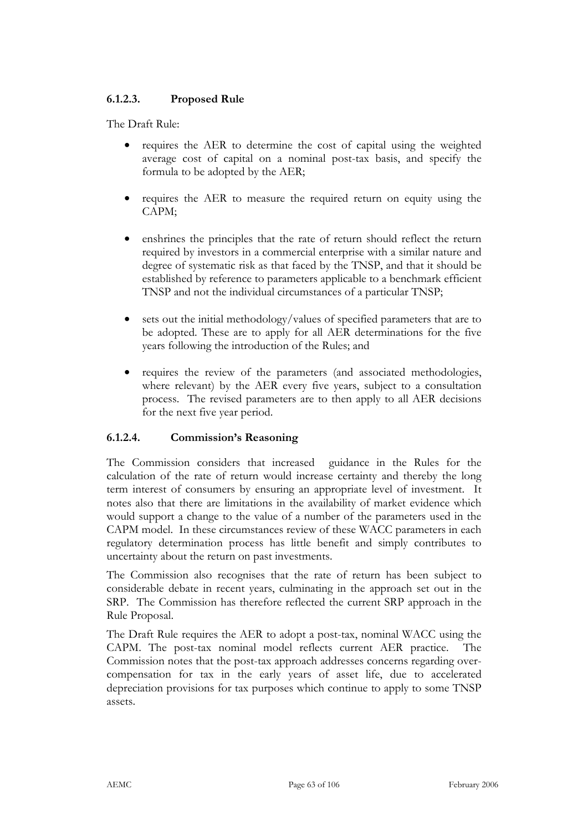## **6.1.2.3. Proposed Rule**

The Draft Rule:

- requires the AER to determine the cost of capital using the weighted average cost of capital on a nominal post-tax basis, and specify the formula to be adopted by the AER;
- requires the AER to measure the required return on equity using the CAPM;
- enshrines the principles that the rate of return should reflect the return required by investors in a commercial enterprise with a similar nature and degree of systematic risk as that faced by the TNSP, and that it should be established by reference to parameters applicable to a benchmark efficient TNSP and not the individual circumstances of a particular TNSP;
- sets out the initial methodology/values of specified parameters that are to be adopted. These are to apply for all AER determinations for the five years following the introduction of the Rules; and
- requires the review of the parameters (and associated methodologies, where relevant) by the AER every five years, subject to a consultation process. The revised parameters are to then apply to all AER decisions for the next five year period.

## **6.1.2.4. Commission's Reasoning**

The Commission considers that increased guidance in the Rules for the calculation of the rate of return would increase certainty and thereby the long term interest of consumers by ensuring an appropriate level of investment. It notes also that there are limitations in the availability of market evidence which would support a change to the value of a number of the parameters used in the CAPM model. In these circumstances review of these WACC parameters in each regulatory determination process has little benefit and simply contributes to uncertainty about the return on past investments.

The Commission also recognises that the rate of return has been subject to considerable debate in recent years, culminating in the approach set out in the SRP. The Commission has therefore reflected the current SRP approach in the Rule Proposal.

The Draft Rule requires the AER to adopt a post-tax, nominal WACC using the CAPM. The post-tax nominal model reflects current AER practice. The Commission notes that the post-tax approach addresses concerns regarding overcompensation for tax in the early years of asset life, due to accelerated depreciation provisions for tax purposes which continue to apply to some TNSP assets.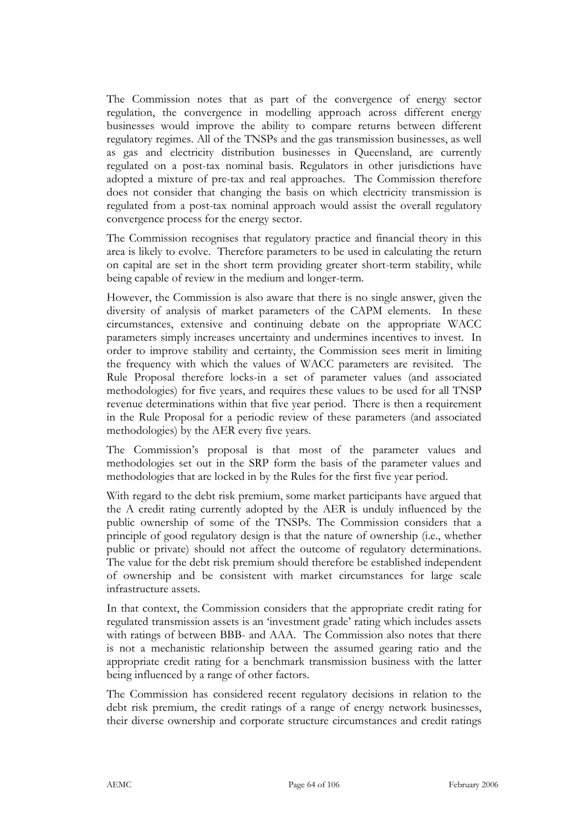The Commission notes that as part of the convergence of energy sector regulation, the convergence in modelling approach across different energy businesses would improve the ability to compare returns between different regulatory regimes. All of the TNSPs and the gas transmission businesses, as well as gas and electricity distribution businesses in Queensland, are currently regulated on a post-tax nominal basis. Regulators in other jurisdictions have adopted a mixture of pre-tax and real approaches. The Commission therefore does not consider that changing the basis on which electricity transmission is regulated from a post-tax nominal approach would assist the overall regulatory convergence process for the energy sector.

The Commission recognises that regulatory practice and financial theory in this area is likely to evolve. Therefore parameters to be used in calculating the return on capital are set in the short term providing greater short-term stability, while being capable of review in the medium and longer-term.

However, the Commission is also aware that there is no single answer, given the diversity of analysis of market parameters of the CAPM elements. In these circumstances, extensive and continuing debate on the appropriate WACC parameters simply increases uncertainty and undermines incentives to invest. In order to improve stability and certainty, the Commission sees merit in limiting the frequency with which the values of WACC parameters are revisited. The Rule Proposal therefore locks-in a set of parameter values (and associated methodologies) for five years, and requires these values to be used for all TNSP revenue determinations within that five year period. There is then a requirement in the Rule Proposal for a periodic review of these parameters (and associated methodologies) by the AER every five years.

The Commission's proposal is that most of the parameter values and methodologies set out in the SRP form the basis of the parameter values and methodologies that are locked in by the Rules for the first five year period.

With regard to the debt risk premium, some market participants have argued that the A credit rating currently adopted by the AER is unduly influenced by the public ownership of some of the TNSPs. The Commission considers that a principle of good regulatory design is that the nature of ownership (i.e., whether public or private) should not affect the outcome of regulatory determinations. The value for the debt risk premium should therefore be established independent of ownership and be consistent with market circumstances for large scale infrastructure assets.

In that context, the Commission considers that the appropriate credit rating for regulated transmission assets is an 'investment grade' rating which includes assets with ratings of between BBB- and AAA. The Commission also notes that there is not a mechanistic relationship between the assumed gearing ratio and the appropriate credit rating for a benchmark transmission business with the latter being influenced by a range of other factors.

The Commission has considered recent regulatory decisions in relation to the debt risk premium, the credit ratings of a range of energy network businesses, their diverse ownership and corporate structure circumstances and credit ratings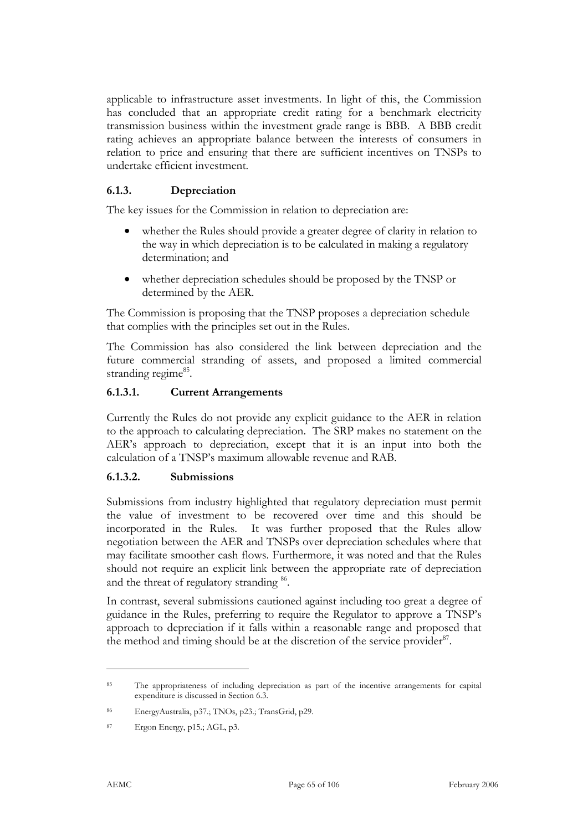applicable to infrastructure asset investments. In light of this, the Commission has concluded that an appropriate credit rating for a benchmark electricity transmission business within the investment grade range is BBB. A BBB credit rating achieves an appropriate balance between the interests of consumers in relation to price and ensuring that there are sufficient incentives on TNSPs to undertake efficient investment.

## **6.1.3. Depreciation**

The key issues for the Commission in relation to depreciation are:

- whether the Rules should provide a greater degree of clarity in relation to the way in which depreciation is to be calculated in making a regulatory determination; and
- whether depreciation schedules should be proposed by the TNSP or determined by the AER.

The Commission is proposing that the TNSP proposes a depreciation schedule that complies with the principles set out in the Rules.

The Commission has also considered the link between depreciation and the future commercial stranding of assets, and proposed a limited commercial stranding regime<sup>85</sup>.

### **6.1.3.1. Current Arrangements**

Currently the Rules do not provide any explicit guidance to the AER in relation to the approach to calculating depreciation. The SRP makes no statement on the AER's approach to depreciation, except that it is an input into both the calculation of a TNSP's maximum allowable revenue and RAB.

## **6.1.3.2. Submissions**

Submissions from industry highlighted that regulatory depreciation must permit the value of investment to be recovered over time and this should be incorporated in the Rules. It was further proposed that the Rules allow negotiation between the AER and TNSPs over depreciation schedules where that may facilitate smoother cash flows. Furthermore, it was noted and that the Rules should not require an explicit link between the appropriate rate of depreciation and the threat of regulatory stranding <sup>86</sup>.

In contrast, several submissions cautioned against including too great a degree of guidance in the Rules, preferring to require the Regulator to approve a TNSP's approach to depreciation if it falls within a reasonable range and proposed that the method and timing should be at the discretion of the service provider  $87$ .

<sup>&</sup>lt;sup>85</sup> The appropriateness of including depreciation as part of the incentive arrangements for capital expenditure is discussed in Section 6.3.

<sup>86</sup> EnergyAustralia, p37.; TNOs, p23.; TransGrid, p29.

<sup>87</sup> Ergon Energy, p15.; AGL, p3.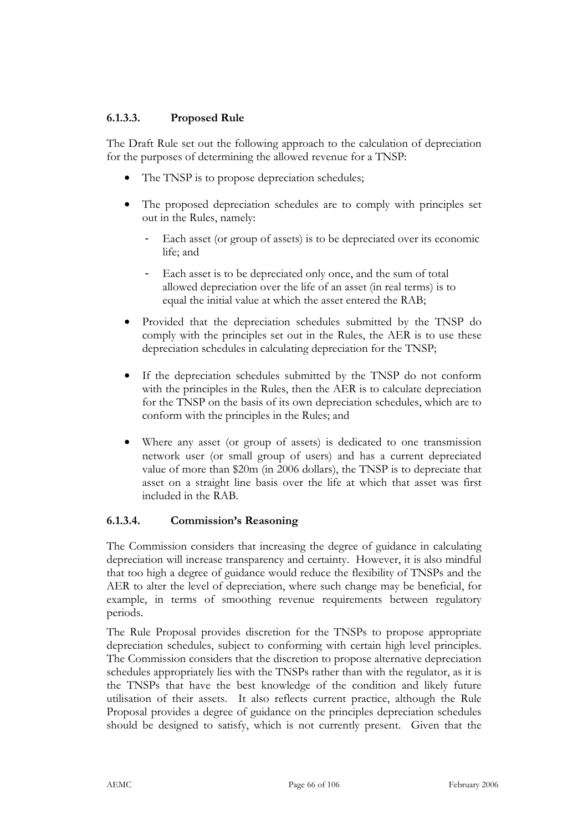## **6.1.3.3. Proposed Rule**

The Draft Rule set out the following approach to the calculation of depreciation for the purposes of determining the allowed revenue for a TNSP:

- The TNSP is to propose depreciation schedules;
- The proposed depreciation schedules are to comply with principles set out in the Rules, namely:
	- Each asset (or group of assets) is to be depreciated over its economic life; and
	- Each asset is to be depreciated only once, and the sum of total allowed depreciation over the life of an asset (in real terms) is to equal the initial value at which the asset entered the RAB;
- Provided that the depreciation schedules submitted by the TNSP do comply with the principles set out in the Rules, the AER is to use these depreciation schedules in calculating depreciation for the TNSP;
- If the depreciation schedules submitted by the TNSP do not conform with the principles in the Rules, then the AER is to calculate depreciation for the TNSP on the basis of its own depreciation schedules, which are to conform with the principles in the Rules; and
- Where any asset (or group of assets) is dedicated to one transmission network user (or small group of users) and has a current depreciated value of more than \$20m (in 2006 dollars), the TNSP is to depreciate that asset on a straight line basis over the life at which that asset was first included in the RAB.

## **6.1.3.4. Commission's Reasoning**

The Commission considers that increasing the degree of guidance in calculating depreciation will increase transparency and certainty. However, it is also mindful that too high a degree of guidance would reduce the flexibility of TNSPs and the AER to alter the level of depreciation, where such change may be beneficial, for example, in terms of smoothing revenue requirements between regulatory periods.

The Rule Proposal provides discretion for the TNSPs to propose appropriate depreciation schedules, subject to conforming with certain high level principles. The Commission considers that the discretion to propose alternative depreciation schedules appropriately lies with the TNSPs rather than with the regulator, as it is the TNSPs that have the best knowledge of the condition and likely future utilisation of their assets. It also reflects current practice, although the Rule Proposal provides a degree of guidance on the principles depreciation schedules should be designed to satisfy, which is not currently present. Given that the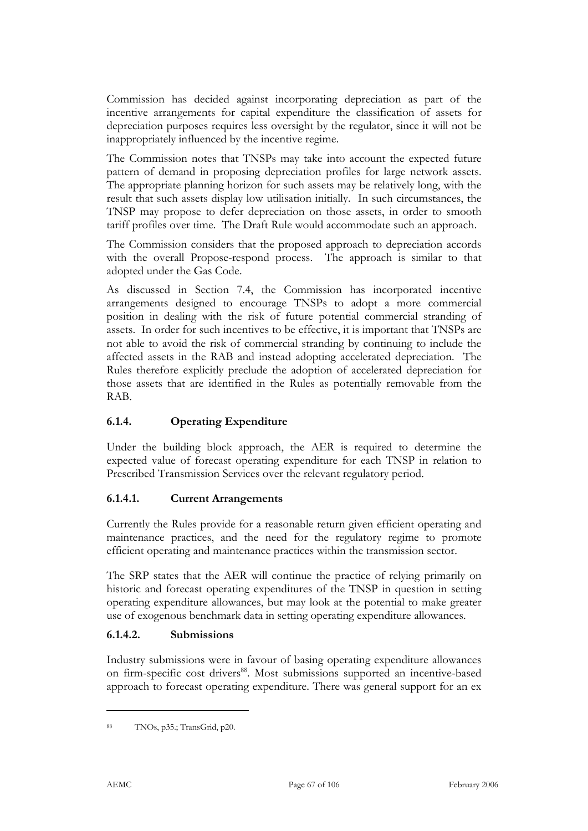Commission has decided against incorporating depreciation as part of the incentive arrangements for capital expenditure the classification of assets for depreciation purposes requires less oversight by the regulator, since it will not be inappropriately influenced by the incentive regime.

The Commission notes that TNSPs may take into account the expected future pattern of demand in proposing depreciation profiles for large network assets. The appropriate planning horizon for such assets may be relatively long, with the result that such assets display low utilisation initially. In such circumstances, the TNSP may propose to defer depreciation on those assets, in order to smooth tariff profiles over time. The Draft Rule would accommodate such an approach.

The Commission considers that the proposed approach to depreciation accords with the overall Propose-respond process. The approach is similar to that adopted under the Gas Code.

As discussed in Section 7.4, the Commission has incorporated incentive arrangements designed to encourage TNSPs to adopt a more commercial position in dealing with the risk of future potential commercial stranding of assets. In order for such incentives to be effective, it is important that TNSPs are not able to avoid the risk of commercial stranding by continuing to include the affected assets in the RAB and instead adopting accelerated depreciation. The Rules therefore explicitly preclude the adoption of accelerated depreciation for those assets that are identified in the Rules as potentially removable from the RAB.

## **6.1.4. Operating Expenditure**

Under the building block approach, the AER is required to determine the expected value of forecast operating expenditure for each TNSP in relation to Prescribed Transmission Services over the relevant regulatory period.

#### **6.1.4.1. Current Arrangements**

Currently the Rules provide for a reasonable return given efficient operating and maintenance practices, and the need for the regulatory regime to promote efficient operating and maintenance practices within the transmission sector.

The SRP states that the AER will continue the practice of relying primarily on historic and forecast operating expenditures of the TNSP in question in setting operating expenditure allowances, but may look at the potential to make greater use of exogenous benchmark data in setting operating expenditure allowances.

#### **6.1.4.2. Submissions**

Industry submissions were in favour of basing operating expenditure allowances on firm-specific cost drivers<sup>88</sup>. Most submissions supported an incentive-based approach to forecast operating expenditure. There was general support for an ex

<sup>88</sup> TNOs, p35.; TransGrid, p20.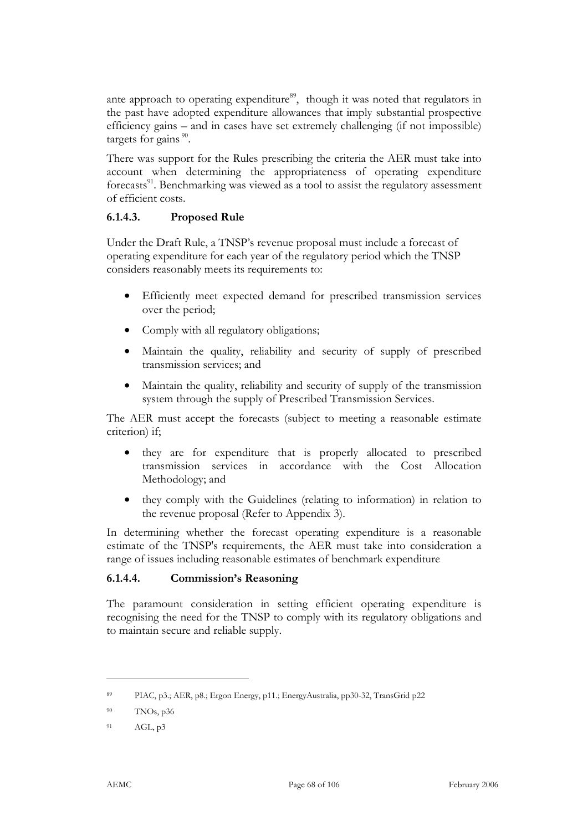ante approach to operating expenditure<sup>89</sup>, though it was noted that regulators in the past have adopted expenditure allowances that imply substantial prospective efficiency gains – and in cases have set extremely challenging (if not impossible) targets for gains<sup>90</sup>.

There was support for the Rules prescribing the criteria the AER must take into account when determining the appropriateness of operating expenditure forecasts<sup>91</sup>. Benchmarking was viewed as a tool to assist the regulatory assessment of efficient costs.

## **6.1.4.3. Proposed Rule**

Under the Draft Rule, a TNSP's revenue proposal must include a forecast of operating expenditure for each year of the regulatory period which the TNSP considers reasonably meets its requirements to:

- Efficiently meet expected demand for prescribed transmission services over the period;
- Comply with all regulatory obligations;
- Maintain the quality, reliability and security of supply of prescribed transmission services; and
- Maintain the quality, reliability and security of supply of the transmission system through the supply of Prescribed Transmission Services.

The AER must accept the forecasts (subject to meeting a reasonable estimate criterion) if;

- they are for expenditure that is properly allocated to prescribed transmission services in accordance with the Cost Allocation Methodology; and
- they comply with the Guidelines (relating to information) in relation to the revenue proposal (Refer to Appendix 3).

In determining whether the forecast operating expenditure is a reasonable estimate of the TNSP's requirements, the AER must take into consideration a range of issues including reasonable estimates of benchmark expenditure

#### **6.1.4.4. Commission's Reasoning**

The paramount consideration in setting efficient operating expenditure is recognising the need for the TNSP to comply with its regulatory obligations and to maintain secure and reliable supply.

<sup>89</sup> PIAC, p3.; AER, p8.; Ergon Energy, p11.; EnergyAustralia, pp30-32, TransGrid p22

<sup>90</sup> TNOs, p36

<sup>91</sup> AGL, p3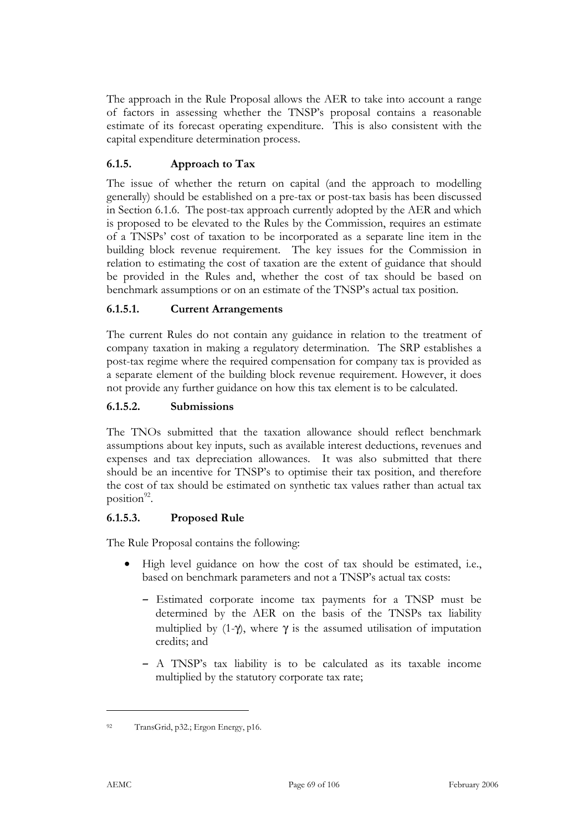The approach in the Rule Proposal allows the AER to take into account a range of factors in assessing whether the TNSP's proposal contains a reasonable estimate of its forecast operating expenditure. This is also consistent with the capital expenditure determination process.

## **6.1.5. Approach to Tax**

The issue of whether the return on capital (and the approach to modelling generally) should be established on a pre-tax or post-tax basis has been discussed in Section 6.1.6. The post-tax approach currently adopted by the AER and which is proposed to be elevated to the Rules by the Commission, requires an estimate of a TNSPs' cost of taxation to be incorporated as a separate line item in the building block revenue requirement. The key issues for the Commission in relation to estimating the cost of taxation are the extent of guidance that should be provided in the Rules and, whether the cost of tax should be based on benchmark assumptions or on an estimate of the TNSP's actual tax position.

### **6.1.5.1. Current Arrangements**

The current Rules do not contain any guidance in relation to the treatment of company taxation in making a regulatory determination. The SRP establishes a post-tax regime where the required compensation for company tax is provided as a separate element of the building block revenue requirement. However, it does not provide any further guidance on how this tax element is to be calculated.

### **6.1.5.2. Submissions**

The TNOs submitted that the taxation allowance should reflect benchmark assumptions about key inputs, such as available interest deductions, revenues and expenses and tax depreciation allowances. It was also submitted that there should be an incentive for TNSP's to optimise their tax position, and therefore the cost of tax should be estimated on synthetic tax values rather than actual tax position $^{92}$ .

## **6.1.5.3. Proposed Rule**

The Rule Proposal contains the following:

- High level guidance on how the cost of tax should be estimated, i.e., based on benchmark parameters and not a TNSP's actual tax costs:
	- Estimated corporate income tax payments for a TNSP must be determined by the AER on the basis of the TNSPs tax liability multiplied by  $(1-\gamma)$ , where  $\gamma$  is the assumed utilisation of imputation credits; and
	- A TNSP's tax liability is to be calculated as its taxable income multiplied by the statutory corporate tax rate;

<sup>92</sup> TransGrid, p32.; Ergon Energy, p16.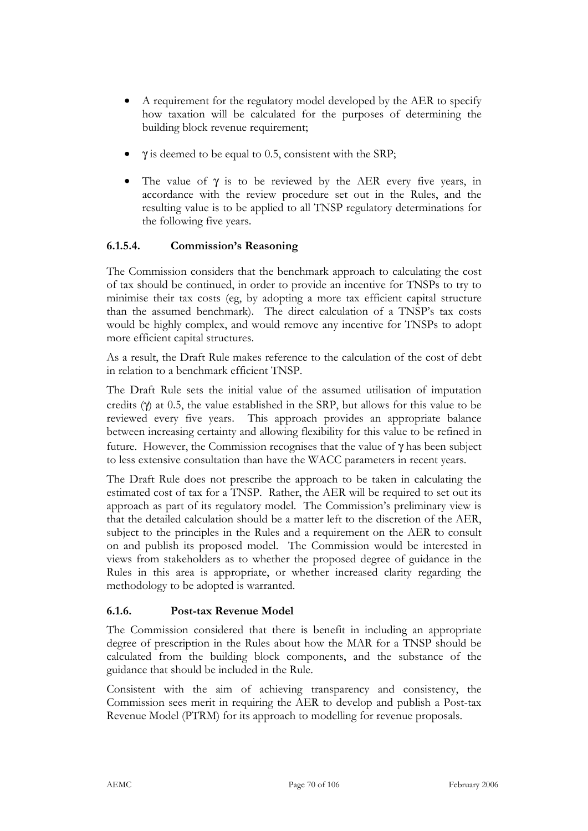- A requirement for the regulatory model developed by the AER to specify how taxation will be calculated for the purposes of determining the building block revenue requirement;
- $\gamma$  is deemed to be equal to 0.5, consistent with the SRP;
- The value of  $\gamma$  is to be reviewed by the AER every five years, in accordance with the review procedure set out in the Rules, and the resulting value is to be applied to all TNSP regulatory determinations for the following five years.

### **6.1.5.4. Commission's Reasoning**

The Commission considers that the benchmark approach to calculating the cost of tax should be continued, in order to provide an incentive for TNSPs to try to minimise their tax costs (eg, by adopting a more tax efficient capital structure than the assumed benchmark). The direct calculation of a TNSP's tax costs would be highly complex, and would remove any incentive for TNSPs to adopt more efficient capital structures.

As a result, the Draft Rule makes reference to the calculation of the cost of debt in relation to a benchmark efficient TNSP.

The Draft Rule sets the initial value of the assumed utilisation of imputation credits  $(\gamma)$  at 0.5, the value established in the SRP, but allows for this value to be reviewed every five years. This approach provides an appropriate balance between increasing certainty and allowing flexibility for this value to be refined in future. However, the Commission recognises that the value of  $\gamma$  has been subject to less extensive consultation than have the WACC parameters in recent years.

The Draft Rule does not prescribe the approach to be taken in calculating the estimated cost of tax for a TNSP. Rather, the AER will be required to set out its approach as part of its regulatory model. The Commission's preliminary view is that the detailed calculation should be a matter left to the discretion of the AER, subject to the principles in the Rules and a requirement on the AER to consult on and publish its proposed model. The Commission would be interested in views from stakeholders as to whether the proposed degree of guidance in the Rules in this area is appropriate, or whether increased clarity regarding the methodology to be adopted is warranted.

#### **6.1.6. Post-tax Revenue Model**

The Commission considered that there is benefit in including an appropriate degree of prescription in the Rules about how the MAR for a TNSP should be calculated from the building block components, and the substance of the guidance that should be included in the Rule.

Consistent with the aim of achieving transparency and consistency, the Commission sees merit in requiring the AER to develop and publish a Post-tax Revenue Model (PTRM) for its approach to modelling for revenue proposals.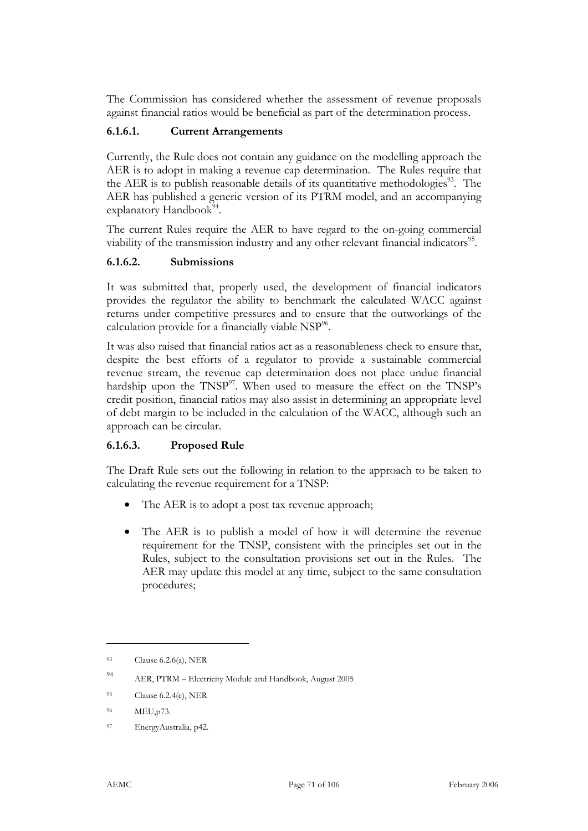The Commission has considered whether the assessment of revenue proposals against financial ratios would be beneficial as part of the determination process.

#### **6.1.6.1. Current Arrangements**

Currently, the Rule does not contain any guidance on the modelling approach the AER is to adopt in making a revenue cap determination. The Rules require that the AER is to publish reasonable details of its quantitative methodologies<sup>93</sup>. The AER has published a generic version of its PTRM model, and an accompanying explanatory Handbook $94$ .

The current Rules require the AER to have regard to the on-going commercial viability of the transmission industry and any other relevant financial indicators<sup>95</sup>.

#### **6.1.6.2. Submissions**

It was submitted that, properly used, the development of financial indicators provides the regulator the ability to benchmark the calculated WACC against returns under competitive pressures and to ensure that the outworkings of the calculation provide for a financially viable  $NSP<sup>96</sup>$ .

It was also raised that financial ratios act as a reasonableness check to ensure that, despite the best efforts of a regulator to provide a sustainable commercial revenue stream, the revenue cap determination does not place undue financial hardship upon the TNSP<sup>97</sup>. When used to measure the effect on the TNSP's credit position, financial ratios may also assist in determining an appropriate level of debt margin to be included in the calculation of the WACC, although such an approach can be circular.

## **6.1.6.3. Proposed Rule**

The Draft Rule sets out the following in relation to the approach to be taken to calculating the revenue requirement for a TNSP:

- The AER is to adopt a post tax revenue approach;
- The AER is to publish a model of how it will determine the revenue requirement for the TNSP, consistent with the principles set out in the Rules, subject to the consultation provisions set out in the Rules. The AER may update this model at any time, subject to the same consultation procedures;

<sup>93</sup> Clause 6.2.6(a), NER

<sup>94</sup> AER, PTRM – Electricity Module and Handbook, August 2005

 $^{95}$  Clause 6.2.4(c), NER

<sup>96</sup> MEU,p73.

<sup>97</sup> EnergyAustralia, p42.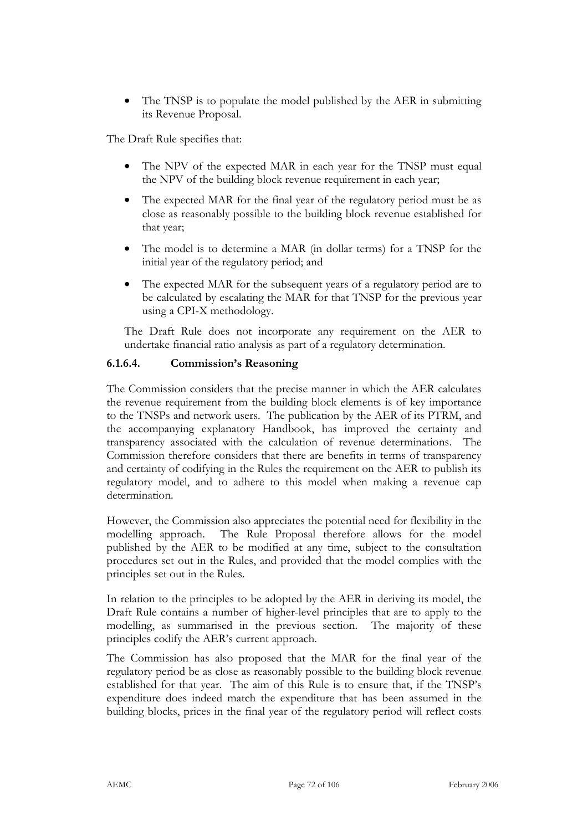The TNSP is to populate the model published by the AER in submitting its Revenue Proposal.

The Draft Rule specifies that:

- The NPV of the expected MAR in each year for the TNSP must equal the NPV of the building block revenue requirement in each year;
- The expected MAR for the final year of the regulatory period must be as close as reasonably possible to the building block revenue established for that year;
- The model is to determine a MAR (in dollar terms) for a TNSP for the initial year of the regulatory period; and
- The expected MAR for the subsequent years of a regulatory period are to be calculated by escalating the MAR for that TNSP for the previous year using a CPI-X methodology.

The Draft Rule does not incorporate any requirement on the AER to undertake financial ratio analysis as part of a regulatory determination.

### **6.1.6.4. Commission's Reasoning**

The Commission considers that the precise manner in which the AER calculates the revenue requirement from the building block elements is of key importance to the TNSPs and network users. The publication by the AER of its PTRM, and the accompanying explanatory Handbook, has improved the certainty and transparency associated with the calculation of revenue determinations. The Commission therefore considers that there are benefits in terms of transparency and certainty of codifying in the Rules the requirement on the AER to publish its regulatory model, and to adhere to this model when making a revenue cap determination.

However, the Commission also appreciates the potential need for flexibility in the modelling approach. The Rule Proposal therefore allows for the model published by the AER to be modified at any time, subject to the consultation procedures set out in the Rules, and provided that the model complies with the principles set out in the Rules.

In relation to the principles to be adopted by the AER in deriving its model, the Draft Rule contains a number of higher-level principles that are to apply to the modelling, as summarised in the previous section. The majority of these principles codify the AER's current approach.

The Commission has also proposed that the MAR for the final year of the regulatory period be as close as reasonably possible to the building block revenue established for that year. The aim of this Rule is to ensure that, if the TNSP's expenditure does indeed match the expenditure that has been assumed in the building blocks, prices in the final year of the regulatory period will reflect costs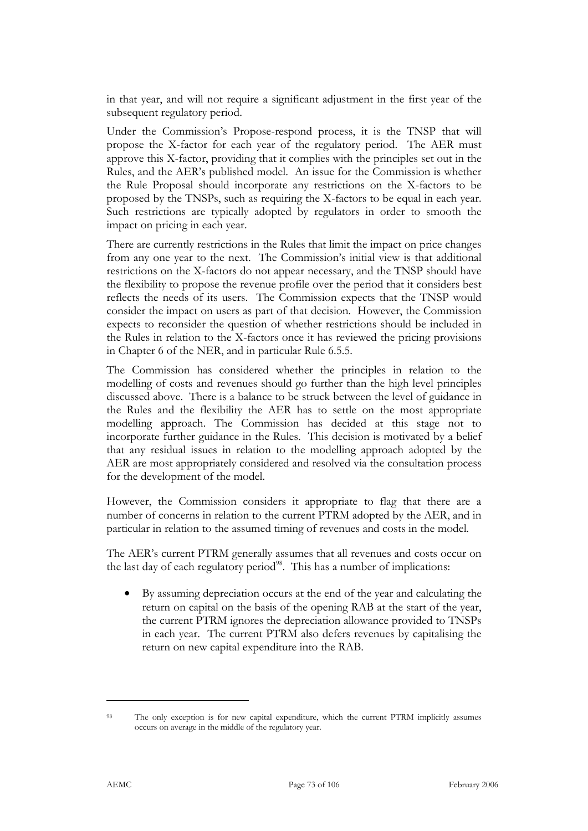in that year, and will not require a significant adjustment in the first year of the subsequent regulatory period.

Under the Commission's Propose-respond process, it is the TNSP that will propose the X-factor for each year of the regulatory period. The AER must approve this X-factor, providing that it complies with the principles set out in the Rules, and the AER's published model. An issue for the Commission is whether the Rule Proposal should incorporate any restrictions on the X-factors to be proposed by the TNSPs, such as requiring the X-factors to be equal in each year. Such restrictions are typically adopted by regulators in order to smooth the impact on pricing in each year.

There are currently restrictions in the Rules that limit the impact on price changes from any one year to the next. The Commission's initial view is that additional restrictions on the X-factors do not appear necessary, and the TNSP should have the flexibility to propose the revenue profile over the period that it considers best reflects the needs of its users. The Commission expects that the TNSP would consider the impact on users as part of that decision. However, the Commission expects to reconsider the question of whether restrictions should be included in the Rules in relation to the X-factors once it has reviewed the pricing provisions in Chapter 6 of the NER, and in particular Rule 6.5.5.

The Commission has considered whether the principles in relation to the modelling of costs and revenues should go further than the high level principles discussed above. There is a balance to be struck between the level of guidance in the Rules and the flexibility the AER has to settle on the most appropriate modelling approach. The Commission has decided at this stage not to incorporate further guidance in the Rules. This decision is motivated by a belief that any residual issues in relation to the modelling approach adopted by the AER are most appropriately considered and resolved via the consultation process for the development of the model.

However, the Commission considers it appropriate to flag that there are a number of concerns in relation to the current PTRM adopted by the AER, and in particular in relation to the assumed timing of revenues and costs in the model.

The AER's current PTRM generally assumes that all revenues and costs occur on the last day of each regulatory period<sup>98</sup>. This has a number of implications:

• By assuming depreciation occurs at the end of the year and calculating the return on capital on the basis of the opening RAB at the start of the year, the current PTRM ignores the depreciation allowance provided to TNSPs in each year. The current PTRM also defers revenues by capitalising the return on new capital expenditure into the RAB.

<sup>98</sup> The only exception is for new capital expenditure, which the current PTRM implicitly assumes occurs on average in the middle of the regulatory year.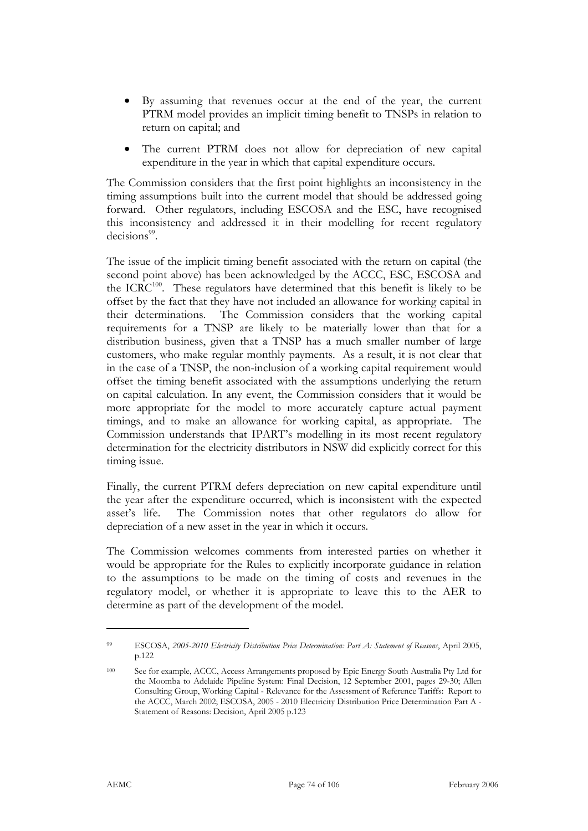- By assuming that revenues occur at the end of the year, the current PTRM model provides an implicit timing benefit to TNSPs in relation to return on capital; and
- The current PTRM does not allow for depreciation of new capital expenditure in the year in which that capital expenditure occurs.

The Commission considers that the first point highlights an inconsistency in the timing assumptions built into the current model that should be addressed going forward. Other regulators, including ESCOSA and the ESC, have recognised this inconsistency and addressed it in their modelling for recent regulatory  $decisions<sup>99</sup>$ 

The issue of the implicit timing benefit associated with the return on capital (the second point above) has been acknowledged by the ACCC, ESC, ESCOSA and the  $ICRC^{100}$ . These regulators have determined that this benefit is likely to be offset by the fact that they have not included an allowance for working capital in their determinations. The Commission considers that the working capital requirements for a TNSP are likely to be materially lower than that for a distribution business, given that a TNSP has a much smaller number of large customers, who make regular monthly payments. As a result, it is not clear that in the case of a TNSP, the non-inclusion of a working capital requirement would offset the timing benefit associated with the assumptions underlying the return on capital calculation. In any event, the Commission considers that it would be more appropriate for the model to more accurately capture actual payment timings, and to make an allowance for working capital, as appropriate. The Commission understands that IPART's modelling in its most recent regulatory determination for the electricity distributors in NSW did explicitly correct for this timing issue.

Finally, the current PTRM defers depreciation on new capital expenditure until the year after the expenditure occurred, which is inconsistent with the expected asset's life. The Commission notes that other regulators do allow for depreciation of a new asset in the year in which it occurs.

The Commission welcomes comments from interested parties on whether it would be appropriate for the Rules to explicitly incorporate guidance in relation to the assumptions to be made on the timing of costs and revenues in the regulatory model, or whether it is appropriate to leave this to the AER to determine as part of the development of the model.

<sup>99</sup> ESCOSA, *2005-2010 Electricity Distribution Price Determination: Part A: Statement of Reasons*, April 2005, p.122

<sup>100</sup> See for example, ACCC, Access Arrangements proposed by Epic Energy South Australia Pty Ltd for the Moomba to Adelaide Pipeline System: Final Decision, 12 September 2001, pages 29-30; Allen Consulting Group, Working Capital - Relevance for the Assessment of Reference Tariffs: Report to the ACCC, March 2002; ESCOSA, 2005 - 2010 Electricity Distribution Price Determination Part A - Statement of Reasons: Decision, April 2005 p.123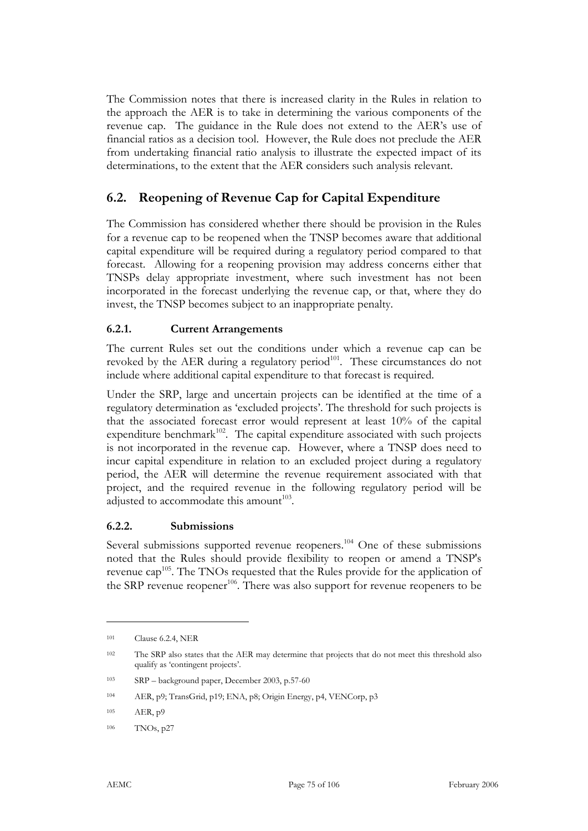The Commission notes that there is increased clarity in the Rules in relation to the approach the AER is to take in determining the various components of the revenue cap. The guidance in the Rule does not extend to the AER's use of financial ratios as a decision tool. However, the Rule does not preclude the AER from undertaking financial ratio analysis to illustrate the expected impact of its determinations, to the extent that the AER considers such analysis relevant.

# **6.2. Reopening of Revenue Cap for Capital Expenditure**

The Commission has considered whether there should be provision in the Rules for a revenue cap to be reopened when the TNSP becomes aware that additional capital expenditure will be required during a regulatory period compared to that forecast. Allowing for a reopening provision may address concerns either that TNSPs delay appropriate investment, where such investment has not been incorporated in the forecast underlying the revenue cap, or that, where they do invest, the TNSP becomes subject to an inappropriate penalty.

#### **6.2.1. Current Arrangements**

The current Rules set out the conditions under which a revenue cap can be revoked by the AER during a regulatory period $101$ . These circumstances do not include where additional capital expenditure to that forecast is required.

Under the SRP, large and uncertain projects can be identified at the time of a regulatory determination as 'excluded projects'. The threshold for such projects is that the associated forecast error would represent at least 10% of the capital expenditure benchmark $102$ . The capital expenditure associated with such projects is not incorporated in the revenue cap. However, where a TNSP does need to incur capital expenditure in relation to an excluded project during a regulatory period, the AER will determine the revenue requirement associated with that project, and the required revenue in the following regulatory period will be adjusted to accommodate this amount $103$ .

#### **6.2.2. Submissions**

Several submissions supported revenue reopeners.<sup>104</sup> One of these submissions noted that the Rules should provide flexibility to reopen or amend a TNSP's revenue cap<sup>105</sup>. The TNOs requested that the Rules provide for the application of the SRP revenue reopener<sup>106</sup>. There was also support for revenue reopeners to be

<sup>101</sup> Clause 6.2.4, NER

<sup>102</sup> The SRP also states that the AER may determine that projects that do not meet this threshold also qualify as 'contingent projects'.

<sup>103</sup> SRP – background paper, December 2003, p.57-60

<sup>104</sup> AER, p9; TransGrid, p19; ENA, p8; Origin Energy, p4, VENCorp, p3

<sup>105</sup> AER, p9

<sup>106</sup> TNOs, p27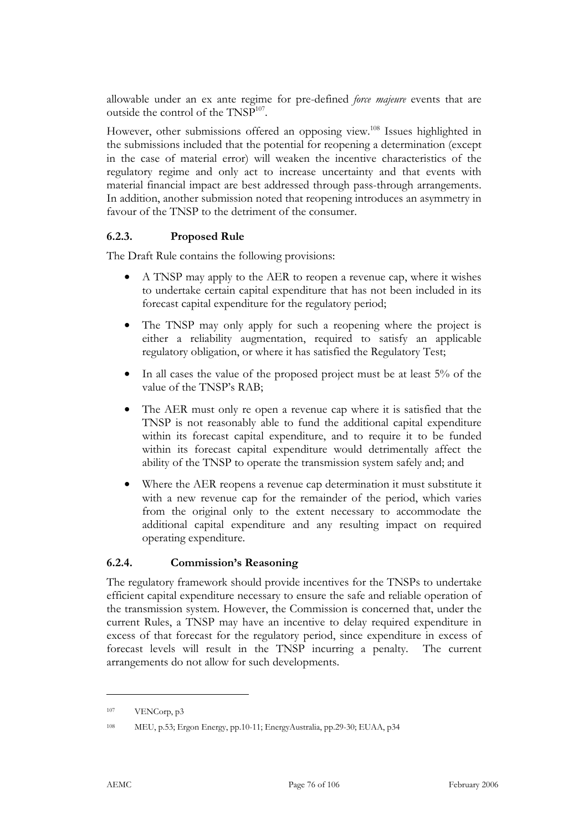allowable under an ex ante regime for pre-defined *force majeure* events that are outside the control of the TNSP<sup>107</sup>.

However, other submissions offered an opposing view.<sup>108</sup> Issues highlighted in the submissions included that the potential for reopening a determination (except in the case of material error) will weaken the incentive characteristics of the regulatory regime and only act to increase uncertainty and that events with material financial impact are best addressed through pass-through arrangements. In addition, another submission noted that reopening introduces an asymmetry in favour of the TNSP to the detriment of the consumer.

#### **6.2.3. Proposed Rule**

The Draft Rule contains the following provisions:

- A TNSP may apply to the AER to reopen a revenue cap, where it wishes to undertake certain capital expenditure that has not been included in its forecast capital expenditure for the regulatory period;
- The TNSP may only apply for such a reopening where the project is either a reliability augmentation, required to satisfy an applicable regulatory obligation, or where it has satisfied the Regulatory Test;
- In all cases the value of the proposed project must be at least 5% of the value of the TNSP's RAB;
- The AER must only re open a revenue cap where it is satisfied that the TNSP is not reasonably able to fund the additional capital expenditure within its forecast capital expenditure, and to require it to be funded within its forecast capital expenditure would detrimentally affect the ability of the TNSP to operate the transmission system safely and; and
- Where the AER reopens a revenue cap determination it must substitute it with a new revenue cap for the remainder of the period, which varies from the original only to the extent necessary to accommodate the additional capital expenditure and any resulting impact on required operating expenditure.

#### **6.2.4. Commission's Reasoning**

The regulatory framework should provide incentives for the TNSPs to undertake efficient capital expenditure necessary to ensure the safe and reliable operation of the transmission system. However, the Commission is concerned that, under the current Rules, a TNSP may have an incentive to delay required expenditure in excess of that forecast for the regulatory period, since expenditure in excess of forecast levels will result in the TNSP incurring a penalty. The current arrangements do not allow for such developments.

<sup>107</sup> VENCorp, p3

<sup>108</sup> MEU, p.53; Ergon Energy, pp.10-11; EnergyAustralia, pp.29-30; EUAA, p34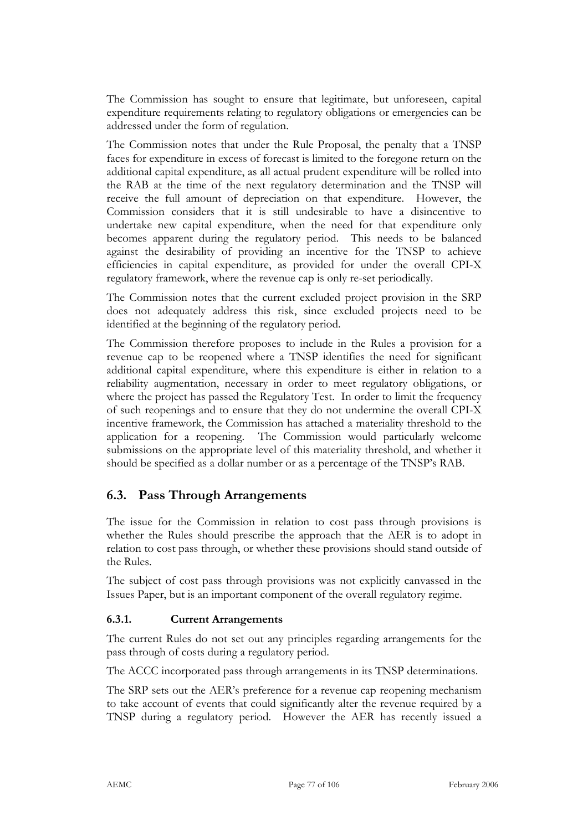The Commission has sought to ensure that legitimate, but unforeseen, capital expenditure requirements relating to regulatory obligations or emergencies can be addressed under the form of regulation.

The Commission notes that under the Rule Proposal, the penalty that a TNSP faces for expenditure in excess of forecast is limited to the foregone return on the additional capital expenditure, as all actual prudent expenditure will be rolled into the RAB at the time of the next regulatory determination and the TNSP will receive the full amount of depreciation on that expenditure. However, the Commission considers that it is still undesirable to have a disincentive to undertake new capital expenditure, when the need for that expenditure only becomes apparent during the regulatory period. This needs to be balanced against the desirability of providing an incentive for the TNSP to achieve efficiencies in capital expenditure, as provided for under the overall CPI-X regulatory framework, where the revenue cap is only re-set periodically.

The Commission notes that the current excluded project provision in the SRP does not adequately address this risk, since excluded projects need to be identified at the beginning of the regulatory period.

The Commission therefore proposes to include in the Rules a provision for a revenue cap to be reopened where a TNSP identifies the need for significant additional capital expenditure, where this expenditure is either in relation to a reliability augmentation, necessary in order to meet regulatory obligations, or where the project has passed the Regulatory Test. In order to limit the frequency of such reopenings and to ensure that they do not undermine the overall CPI-X incentive framework, the Commission has attached a materiality threshold to the application for a reopening. The Commission would particularly welcome submissions on the appropriate level of this materiality threshold, and whether it should be specified as a dollar number or as a percentage of the TNSP's RAB.

# **6.3. Pass Through Arrangements**

The issue for the Commission in relation to cost pass through provisions is whether the Rules should prescribe the approach that the AER is to adopt in relation to cost pass through, or whether these provisions should stand outside of the Rules.

The subject of cost pass through provisions was not explicitly canvassed in the Issues Paper, but is an important component of the overall regulatory regime.

## **6.3.1. Current Arrangements**

The current Rules do not set out any principles regarding arrangements for the pass through of costs during a regulatory period.

The ACCC incorporated pass through arrangements in its TNSP determinations.

The SRP sets out the AER's preference for a revenue cap reopening mechanism to take account of events that could significantly alter the revenue required by a TNSP during a regulatory period. However the AER has recently issued a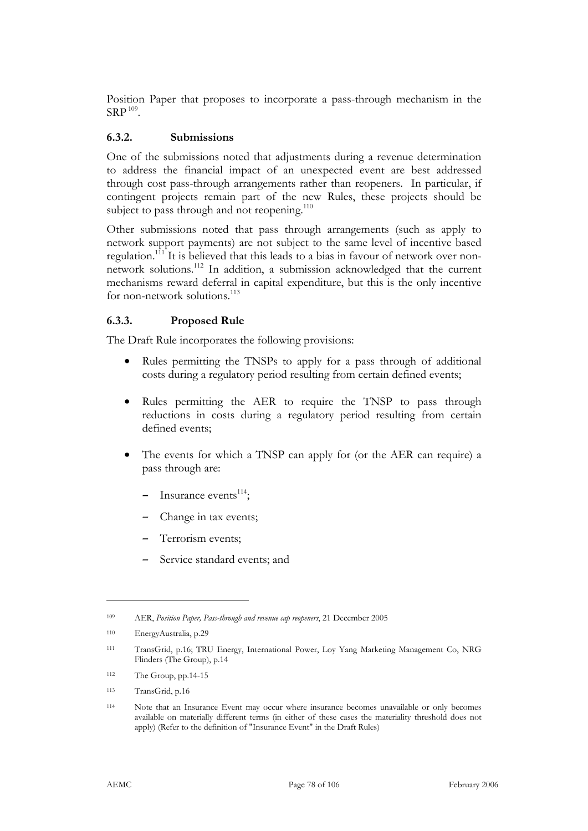Position Paper that proposes to incorporate a pass-through mechanism in the  $SRP<sup>109</sup>$ .

#### **6.3.2. Submissions**

One of the submissions noted that adjustments during a revenue determination to address the financial impact of an unexpected event are best addressed through cost pass-through arrangements rather than reopeners. In particular, if contingent projects remain part of the new Rules, these projects should be subject to pass through and not reopening.<sup>110</sup>

Other submissions noted that pass through arrangements (such as apply to network support payments) are not subject to the same level of incentive based regulation.<sup>111</sup> It is believed that this leads to a bias in favour of network over nonnetwork solutions.112 In addition, a submission acknowledged that the current mechanisms reward deferral in capital expenditure, but this is the only incentive for non-network solutions.<sup>113</sup>

#### **6.3.3. Proposed Rule**

The Draft Rule incorporates the following provisions:

- Rules permitting the TNSPs to apply for a pass through of additional costs during a regulatory period resulting from certain defined events;
- Rules permitting the AER to require the TNSP to pass through reductions in costs during a regulatory period resulting from certain defined events;
- The events for which a TNSP can apply for (or the AER can require) a pass through are:
	- $-$  Insurance events<sup>114</sup>;
	- Change in tax events;
	- Terrorism events;
	- Service standard events; and

<sup>109</sup> AER, *Position Paper, Pass-through and revenue cap reopeners*, 21 December 2005

<sup>110</sup> EnergyAustralia, p.29

<sup>111</sup> TransGrid, p.16; TRU Energy, International Power, Loy Yang Marketing Management Co, NRG Flinders (The Group), p.14

<sup>112</sup> The Group, pp.14-15

<sup>113</sup> TransGrid, p.16

<sup>114</sup> Note that an Insurance Event may occur where insurance becomes unavailable or only becomes available on materially different terms (in either of these cases the materiality threshold does not apply) (Refer to the definition of "Insurance Event" in the Draft Rules)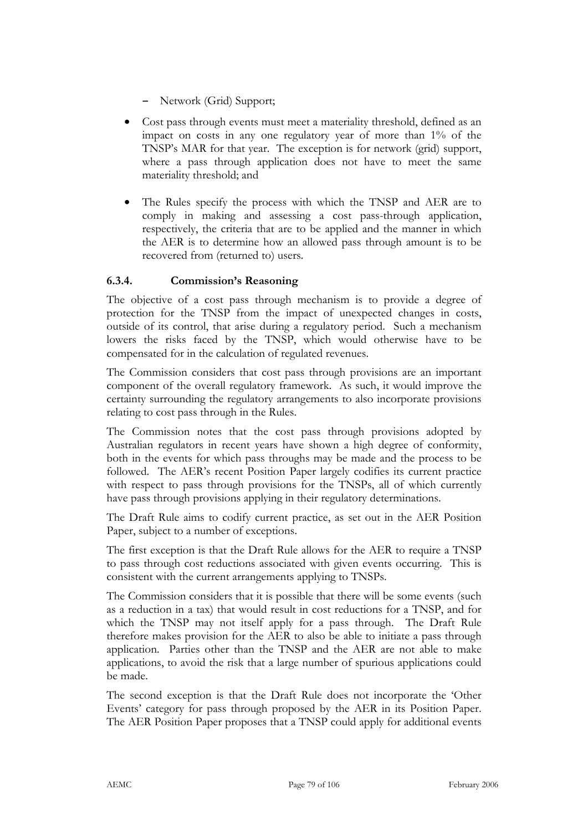- Network (Grid) Support;
- Cost pass through events must meet a materiality threshold, defined as an impact on costs in any one regulatory year of more than 1% of the TNSP's MAR for that year. The exception is for network (grid) support, where a pass through application does not have to meet the same materiality threshold; and
- The Rules specify the process with which the TNSP and AER are to comply in making and assessing a cost pass-through application, respectively, the criteria that are to be applied and the manner in which the AER is to determine how an allowed pass through amount is to be recovered from (returned to) users.

## **6.3.4. Commission's Reasoning**

The objective of a cost pass through mechanism is to provide a degree of protection for the TNSP from the impact of unexpected changes in costs, outside of its control, that arise during a regulatory period. Such a mechanism lowers the risks faced by the TNSP, which would otherwise have to be compensated for in the calculation of regulated revenues.

The Commission considers that cost pass through provisions are an important component of the overall regulatory framework. As such, it would improve the certainty surrounding the regulatory arrangements to also incorporate provisions relating to cost pass through in the Rules.

The Commission notes that the cost pass through provisions adopted by Australian regulators in recent years have shown a high degree of conformity, both in the events for which pass throughs may be made and the process to be followed. The AER's recent Position Paper largely codifies its current practice with respect to pass through provisions for the TNSPs, all of which currently have pass through provisions applying in their regulatory determinations.

The Draft Rule aims to codify current practice, as set out in the AER Position Paper, subject to a number of exceptions.

The first exception is that the Draft Rule allows for the AER to require a TNSP to pass through cost reductions associated with given events occurring. This is consistent with the current arrangements applying to TNSPs.

The Commission considers that it is possible that there will be some events (such as a reduction in a tax) that would result in cost reductions for a TNSP, and for which the TNSP may not itself apply for a pass through. The Draft Rule therefore makes provision for the AER to also be able to initiate a pass through application. Parties other than the TNSP and the AER are not able to make applications, to avoid the risk that a large number of spurious applications could be made.

The second exception is that the Draft Rule does not incorporate the 'Other Events' category for pass through proposed by the AER in its Position Paper. The AER Position Paper proposes that a TNSP could apply for additional events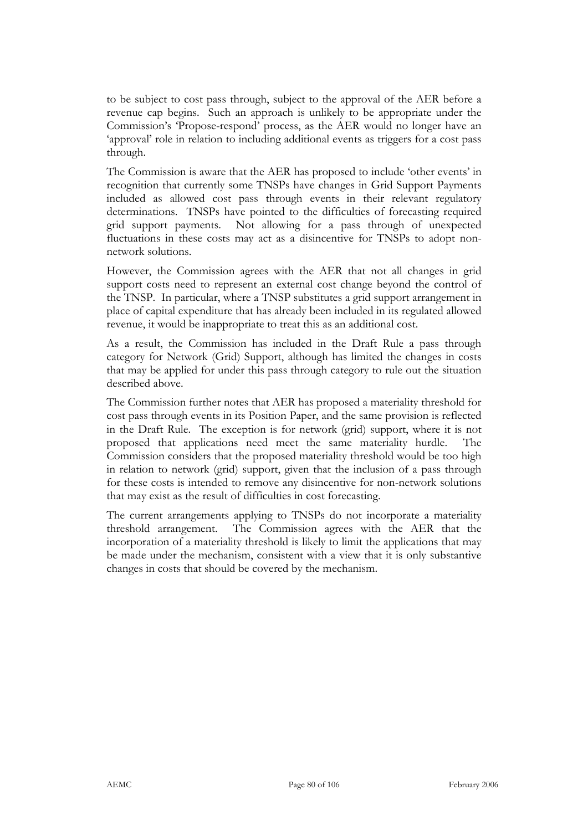to be subject to cost pass through, subject to the approval of the AER before a revenue cap begins. Such an approach is unlikely to be appropriate under the Commission's 'Propose-respond' process, as the AER would no longer have an 'approval' role in relation to including additional events as triggers for a cost pass through.

The Commission is aware that the AER has proposed to include 'other events' in recognition that currently some TNSPs have changes in Grid Support Payments included as allowed cost pass through events in their relevant regulatory determinations. TNSPs have pointed to the difficulties of forecasting required grid support payments. Not allowing for a pass through of unexpected fluctuations in these costs may act as a disincentive for TNSPs to adopt nonnetwork solutions.

However, the Commission agrees with the AER that not all changes in grid support costs need to represent an external cost change beyond the control of the TNSP. In particular, where a TNSP substitutes a grid support arrangement in place of capital expenditure that has already been included in its regulated allowed revenue, it would be inappropriate to treat this as an additional cost.

As a result, the Commission has included in the Draft Rule a pass through category for Network (Grid) Support, although has limited the changes in costs that may be applied for under this pass through category to rule out the situation described above.

The Commission further notes that AER has proposed a materiality threshold for cost pass through events in its Position Paper, and the same provision is reflected in the Draft Rule. The exception is for network (grid) support, where it is not proposed that applications need meet the same materiality hurdle. The Commission considers that the proposed materiality threshold would be too high in relation to network (grid) support, given that the inclusion of a pass through for these costs is intended to remove any disincentive for non-network solutions that may exist as the result of difficulties in cost forecasting.

The current arrangements applying to TNSPs do not incorporate a materiality threshold arrangement. The Commission agrees with the AER that the incorporation of a materiality threshold is likely to limit the applications that may be made under the mechanism, consistent with a view that it is only substantive changes in costs that should be covered by the mechanism.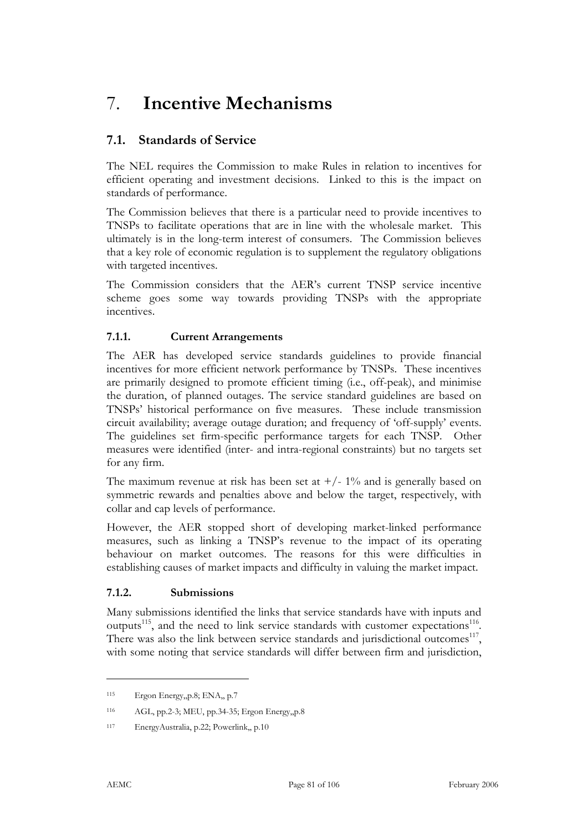# 7. **Incentive Mechanisms**

# **7.1. Standards of Service**

The NEL requires the Commission to make Rules in relation to incentives for efficient operating and investment decisions. Linked to this is the impact on standards of performance.

The Commission believes that there is a particular need to provide incentives to TNSPs to facilitate operations that are in line with the wholesale market. This ultimately is in the long-term interest of consumers. The Commission believes that a key role of economic regulation is to supplement the regulatory obligations with targeted incentives.

The Commission considers that the AER's current TNSP service incentive scheme goes some way towards providing TNSPs with the appropriate incentives.

## **7.1.1. Current Arrangements**

The AER has developed service standards guidelines to provide financial incentives for more efficient network performance by TNSPs. These incentives are primarily designed to promote efficient timing (i.e., off-peak), and minimise the duration, of planned outages. The service standard guidelines are based on TNSPs' historical performance on five measures. These include transmission circuit availability; average outage duration; and frequency of 'off-supply' events. The guidelines set firm-specific performance targets for each TNSP. Other measures were identified (inter- and intra-regional constraints) but no targets set for any firm.

The maximum revenue at risk has been set at  $+/- 1\%$  and is generally based on symmetric rewards and penalties above and below the target, respectively, with collar and cap levels of performance.

However, the AER stopped short of developing market-linked performance measures, such as linking a TNSP's revenue to the impact of its operating behaviour on market outcomes. The reasons for this were difficulties in establishing causes of market impacts and difficulty in valuing the market impact.

#### **7.1.2. Submissions**

Many submissions identified the links that service standards have with inputs and outputs<sup>115</sup>, and the need to link service standards with customer expectations<sup>116</sup>. There was also the link between service standards and jurisdictional outcomes<sup>117</sup>, with some noting that service standards will differ between firm and jurisdiction,

<sup>115</sup> Ergon Energy,,p.8; ENA,, p.7

<sup>116</sup> AGL, pp.2-3; MEU, pp.34-35; Ergon Energy,,p.8

<sup>117</sup> EnergyAustralia, p.22; Powerlink,, p.10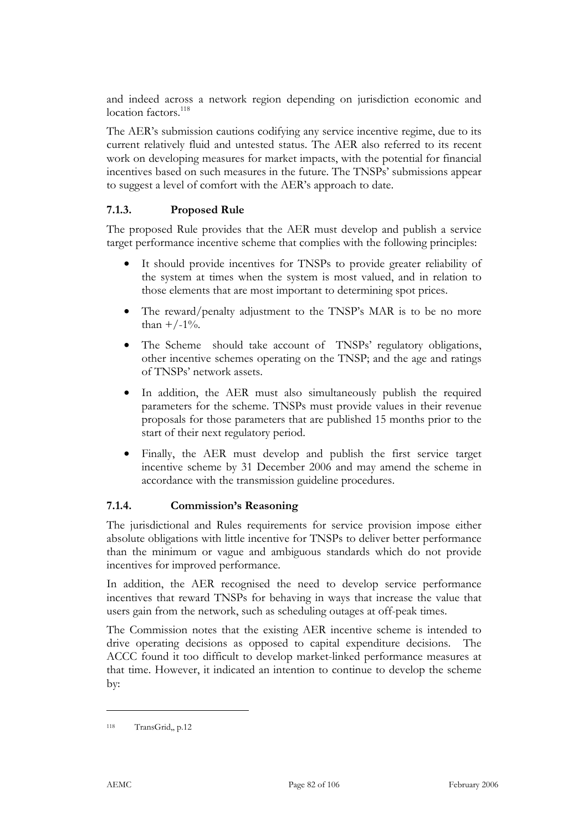and indeed across a network region depending on jurisdiction economic and location factors.<sup>118</sup>

The AER's submission cautions codifying any service incentive regime, due to its current relatively fluid and untested status. The AER also referred to its recent work on developing measures for market impacts, with the potential for financial incentives based on such measures in the future. The TNSPs' submissions appear to suggest a level of comfort with the AER's approach to date.

## **7.1.3. Proposed Rule**

The proposed Rule provides that the AER must develop and publish a service target performance incentive scheme that complies with the following principles:

- It should provide incentives for TNSPs to provide greater reliability of the system at times when the system is most valued, and in relation to those elements that are most important to determining spot prices.
- The reward/penalty adjustment to the TNSP's MAR is to be no more than  $+/-1\%$ .
- The Scheme should take account of TNSPs' regulatory obligations, other incentive schemes operating on the TNSP; and the age and ratings of TNSPs' network assets.
- In addition, the AER must also simultaneously publish the required parameters for the scheme. TNSPs must provide values in their revenue proposals for those parameters that are published 15 months prior to the start of their next regulatory period.
- Finally, the AER must develop and publish the first service target incentive scheme by 31 December 2006 and may amend the scheme in accordance with the transmission guideline procedures.

#### **7.1.4. Commission's Reasoning**

The jurisdictional and Rules requirements for service provision impose either absolute obligations with little incentive for TNSPs to deliver better performance than the minimum or vague and ambiguous standards which do not provide incentives for improved performance.

In addition, the AER recognised the need to develop service performance incentives that reward TNSPs for behaving in ways that increase the value that users gain from the network, such as scheduling outages at off-peak times.

The Commission notes that the existing AER incentive scheme is intended to drive operating decisions as opposed to capital expenditure decisions. The ACCC found it too difficult to develop market-linked performance measures at that time. However, it indicated an intention to continue to develop the scheme by:

<sup>118</sup> TransGrid,, p.12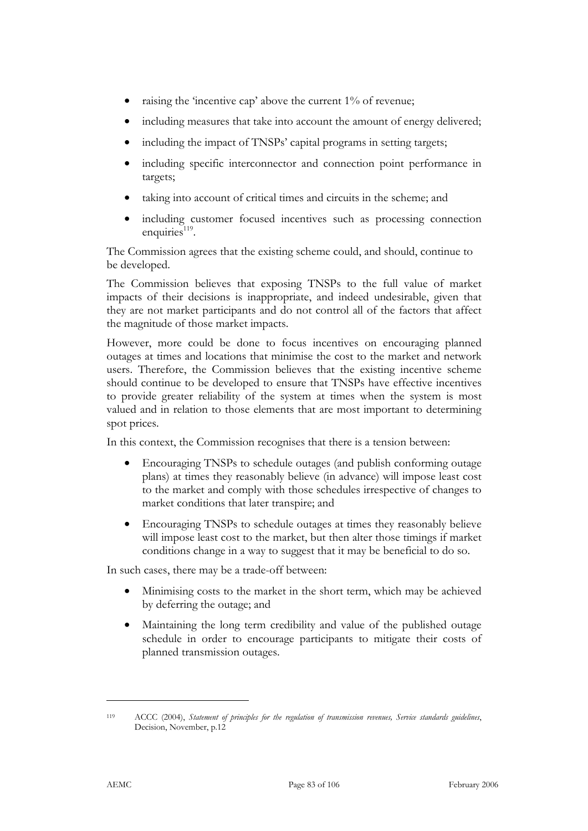- raising the 'incentive cap' above the current 1% of revenue;
- including measures that take into account the amount of energy delivered;
- including the impact of TNSPs' capital programs in setting targets;
- including specific interconnector and connection point performance in targets;
- taking into account of critical times and circuits in the scheme; and
- including customer focused incentives such as processing connection enquiries $119$ .

The Commission agrees that the existing scheme could, and should, continue to be developed.

The Commission believes that exposing TNSPs to the full value of market impacts of their decisions is inappropriate, and indeed undesirable, given that they are not market participants and do not control all of the factors that affect the magnitude of those market impacts.

However, more could be done to focus incentives on encouraging planned outages at times and locations that minimise the cost to the market and network users. Therefore, the Commission believes that the existing incentive scheme should continue to be developed to ensure that TNSPs have effective incentives to provide greater reliability of the system at times when the system is most valued and in relation to those elements that are most important to determining spot prices.

In this context, the Commission recognises that there is a tension between:

- Encouraging TNSPs to schedule outages (and publish conforming outage plans) at times they reasonably believe (in advance) will impose least cost to the market and comply with those schedules irrespective of changes to market conditions that later transpire; and
- Encouraging TNSPs to schedule outages at times they reasonably believe will impose least cost to the market, but then alter those timings if market conditions change in a way to suggest that it may be beneficial to do so.

In such cases, there may be a trade-off between:

- Minimising costs to the market in the short term, which may be achieved by deferring the outage; and
- Maintaining the long term credibility and value of the published outage schedule in order to encourage participants to mitigate their costs of planned transmission outages.

<sup>119</sup> ACCC (2004), *Statement of principles for the regulation of transmission revenues, Service standards guidelines*, Decision, November, p.12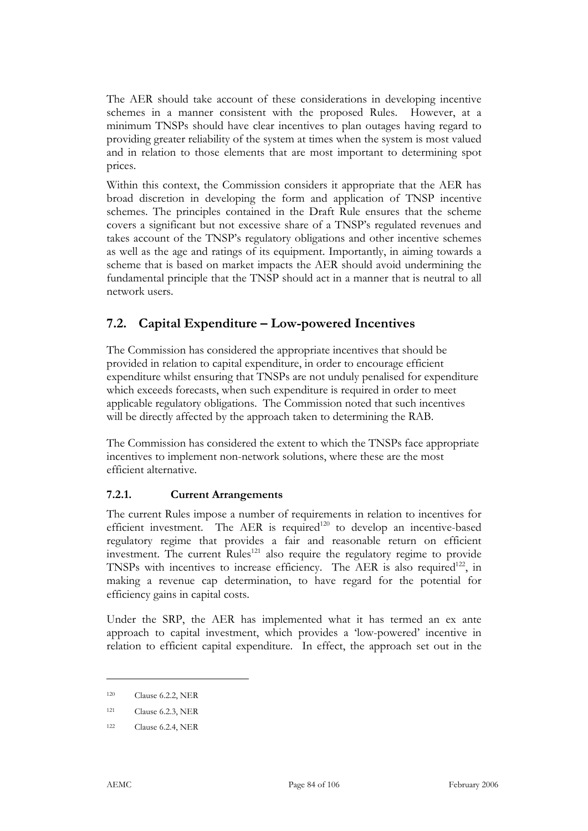The AER should take account of these considerations in developing incentive schemes in a manner consistent with the proposed Rules. However, at a minimum TNSPs should have clear incentives to plan outages having regard to providing greater reliability of the system at times when the system is most valued and in relation to those elements that are most important to determining spot prices.

Within this context, the Commission considers it appropriate that the AER has broad discretion in developing the form and application of TNSP incentive schemes. The principles contained in the Draft Rule ensures that the scheme covers a significant but not excessive share of a TNSP's regulated revenues and takes account of the TNSP's regulatory obligations and other incentive schemes as well as the age and ratings of its equipment. Importantly, in aiming towards a scheme that is based on market impacts the AER should avoid undermining the fundamental principle that the TNSP should act in a manner that is neutral to all network users.

# **7.2. Capital Expenditure – Low-powered Incentives**

The Commission has considered the appropriate incentives that should be provided in relation to capital expenditure, in order to encourage efficient expenditure whilst ensuring that TNSPs are not unduly penalised for expenditure which exceeds forecasts, when such expenditure is required in order to meet applicable regulatory obligations. The Commission noted that such incentives will be directly affected by the approach taken to determining the RAB.

The Commission has considered the extent to which the TNSPs face appropriate incentives to implement non-network solutions, where these are the most efficient alternative.

## **7.2.1. Current Arrangements**

The current Rules impose a number of requirements in relation to incentives for efficient investment. The AER is required<sup>120</sup> to develop an incentive-based regulatory regime that provides a fair and reasonable return on efficient investment. The current  $\text{Rules}^{121}$  also require the regulatory regime to provide TNSPs with incentives to increase efficiency. The AER is also required<sup>122</sup>, in making a revenue cap determination, to have regard for the potential for efficiency gains in capital costs.

Under the SRP, the AER has implemented what it has termed an ex ante approach to capital investment, which provides a 'low-powered' incentive in relation to efficient capital expenditure. In effect, the approach set out in the

<sup>120</sup> Clause 6.2.2, NER

<sup>121</sup> Clause 6.2.3, NER

<sup>122</sup> Clause 6.2.4, NER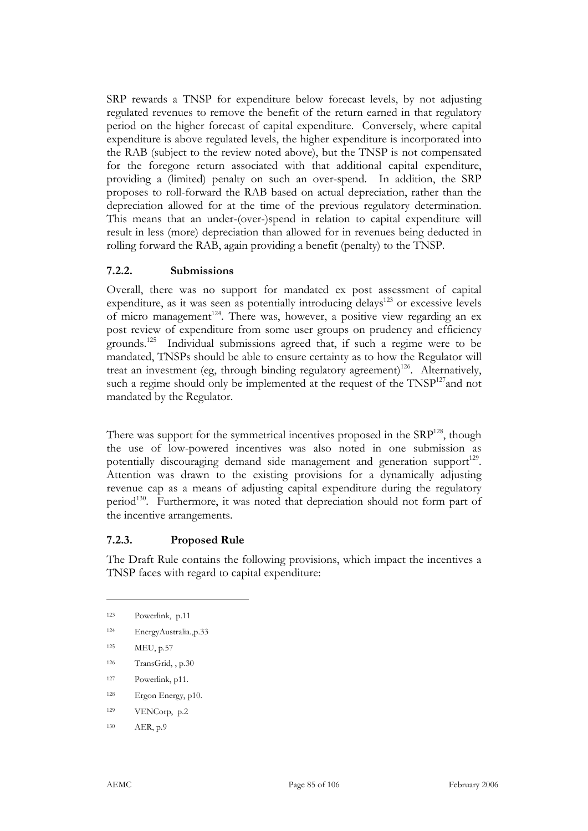SRP rewards a TNSP for expenditure below forecast levels, by not adjusting regulated revenues to remove the benefit of the return earned in that regulatory period on the higher forecast of capital expenditure. Conversely, where capital expenditure is above regulated levels, the higher expenditure is incorporated into the RAB (subject to the review noted above), but the TNSP is not compensated for the foregone return associated with that additional capital expenditure, providing a (limited) penalty on such an over-spend. In addition, the SRP proposes to roll-forward the RAB based on actual depreciation, rather than the depreciation allowed for at the time of the previous regulatory determination. This means that an under-(over-)spend in relation to capital expenditure will result in less (more) depreciation than allowed for in revenues being deducted in rolling forward the RAB, again providing a benefit (penalty) to the TNSP.

#### **7.2.2. Submissions**

Overall, there was no support for mandated ex post assessment of capital expenditure, as it was seen as potentially introducing delays<sup>123</sup> or excessive levels of micro management<sup>124</sup>. There was, however, a positive view regarding an ex post review of expenditure from some user groups on prudency and efficiency grounds.125 Individual submissions agreed that, if such a regime were to be mandated, TNSPs should be able to ensure certainty as to how the Regulator will treat an investment (eg, through binding regulatory agreement)<sup>126</sup>. Alternatively, such a regime should only be implemented at the request of the TNSP<sup>127</sup>and not mandated by the Regulator.

There was support for the symmetrical incentives proposed in the SRP<sup>128</sup>, though the use of low-powered incentives was also noted in one submission as potentially discouraging demand side management and generation support<sup>129</sup>. Attention was drawn to the existing provisions for a dynamically adjusting revenue cap as a means of adjusting capital expenditure during the regulatory period<sup>130</sup>. Furthermore, it was noted that depreciation should not form part of the incentive arrangements.

## **7.2.3. Proposed Rule**

The Draft Rule contains the following provisions, which impact the incentives a TNSP faces with regard to capital expenditure:

- 126 TransGrid, , p.30
- 127 Powerlink, p11.
- 128 Ergon Energy, p10.
- 129 VENCorp, p.2
- 130 AER, p.9

<sup>123</sup> Powerlink, p.11

<sup>124</sup> EnergyAustralia.,p.33

<sup>125</sup> MEU, p.57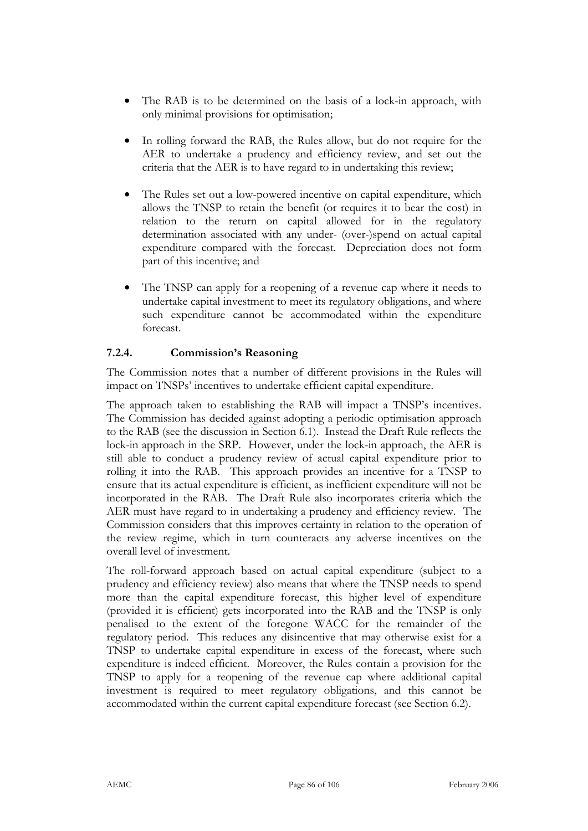- The RAB is to be determined on the basis of a lock-in approach, with only minimal provisions for optimisation;
- In rolling forward the RAB, the Rules allow, but do not require for the AER to undertake a prudency and efficiency review, and set out the criteria that the AER is to have regard to in undertaking this review;
- The Rules set out a low-powered incentive on capital expenditure, which allows the TNSP to retain the benefit (or requires it to bear the cost) in relation to the return on capital allowed for in the regulatory determination associated with any under- (over-)spend on actual capital expenditure compared with the forecast. Depreciation does not form part of this incentive; and
- The TNSP can apply for a reopening of a revenue cap where it needs to undertake capital investment to meet its regulatory obligations, and where such expenditure cannot be accommodated within the expenditure forecast.

## **7.2.4. Commission's Reasoning**

The Commission notes that a number of different provisions in the Rules will impact on TNSPs' incentives to undertake efficient capital expenditure.

The approach taken to establishing the RAB will impact a TNSP's incentives. The Commission has decided against adopting a periodic optimisation approach to the RAB (see the discussion in Section 6.1). Instead the Draft Rule reflects the lock-in approach in the SRP. However, under the lock-in approach, the AER is still able to conduct a prudency review of actual capital expenditure prior to rolling it into the RAB. This approach provides an incentive for a TNSP to ensure that its actual expenditure is efficient, as inefficient expenditure will not be incorporated in the RAB. The Draft Rule also incorporates criteria which the AER must have regard to in undertaking a prudency and efficiency review. The Commission considers that this improves certainty in relation to the operation of the review regime, which in turn counteracts any adverse incentives on the overall level of investment.

The roll-forward approach based on actual capital expenditure (subject to a prudency and efficiency review) also means that where the TNSP needs to spend more than the capital expenditure forecast, this higher level of expenditure (provided it is efficient) gets incorporated into the RAB and the TNSP is only penalised to the extent of the foregone WACC for the remainder of the regulatory period. This reduces any disincentive that may otherwise exist for a TNSP to undertake capital expenditure in excess of the forecast, where such expenditure is indeed efficient. Moreover, the Rules contain a provision for the TNSP to apply for a reopening of the revenue cap where additional capital investment is required to meet regulatory obligations, and this cannot be accommodated within the current capital expenditure forecast (see Section 6.2).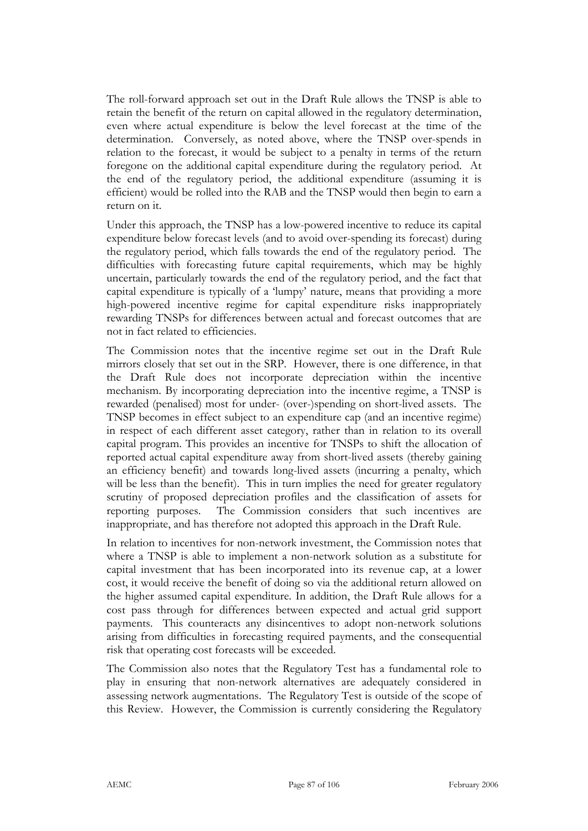The roll-forward approach set out in the Draft Rule allows the TNSP is able to retain the benefit of the return on capital allowed in the regulatory determination, even where actual expenditure is below the level forecast at the time of the determination. Conversely, as noted above, where the TNSP over-spends in relation to the forecast, it would be subject to a penalty in terms of the return foregone on the additional capital expenditure during the regulatory period. At the end of the regulatory period, the additional expenditure (assuming it is efficient) would be rolled into the RAB and the TNSP would then begin to earn a return on it.

Under this approach, the TNSP has a low-powered incentive to reduce its capital expenditure below forecast levels (and to avoid over-spending its forecast) during the regulatory period, which falls towards the end of the regulatory period. The difficulties with forecasting future capital requirements, which may be highly uncertain, particularly towards the end of the regulatory period, and the fact that capital expenditure is typically of a 'lumpy' nature, means that providing a more high-powered incentive regime for capital expenditure risks inappropriately rewarding TNSPs for differences between actual and forecast outcomes that are not in fact related to efficiencies.

The Commission notes that the incentive regime set out in the Draft Rule mirrors closely that set out in the SRP. However, there is one difference, in that the Draft Rule does not incorporate depreciation within the incentive mechanism. By incorporating depreciation into the incentive regime, a TNSP is rewarded (penalised) most for under- (over-)spending on short-lived assets. The TNSP becomes in effect subject to an expenditure cap (and an incentive regime) in respect of each different asset category, rather than in relation to its overall capital program. This provides an incentive for TNSPs to shift the allocation of reported actual capital expenditure away from short-lived assets (thereby gaining an efficiency benefit) and towards long-lived assets (incurring a penalty, which will be less than the benefit). This in turn implies the need for greater regulatory scrutiny of proposed depreciation profiles and the classification of assets for reporting purposes. The Commission considers that such incentives are inappropriate, and has therefore not adopted this approach in the Draft Rule.

In relation to incentives for non-network investment, the Commission notes that where a TNSP is able to implement a non-network solution as a substitute for capital investment that has been incorporated into its revenue cap, at a lower cost, it would receive the benefit of doing so via the additional return allowed on the higher assumed capital expenditure. In addition, the Draft Rule allows for a cost pass through for differences between expected and actual grid support payments. This counteracts any disincentives to adopt non-network solutions arising from difficulties in forecasting required payments, and the consequential risk that operating cost forecasts will be exceeded.

The Commission also notes that the Regulatory Test has a fundamental role to play in ensuring that non-network alternatives are adequately considered in assessing network augmentations. The Regulatory Test is outside of the scope of this Review. However, the Commission is currently considering the Regulatory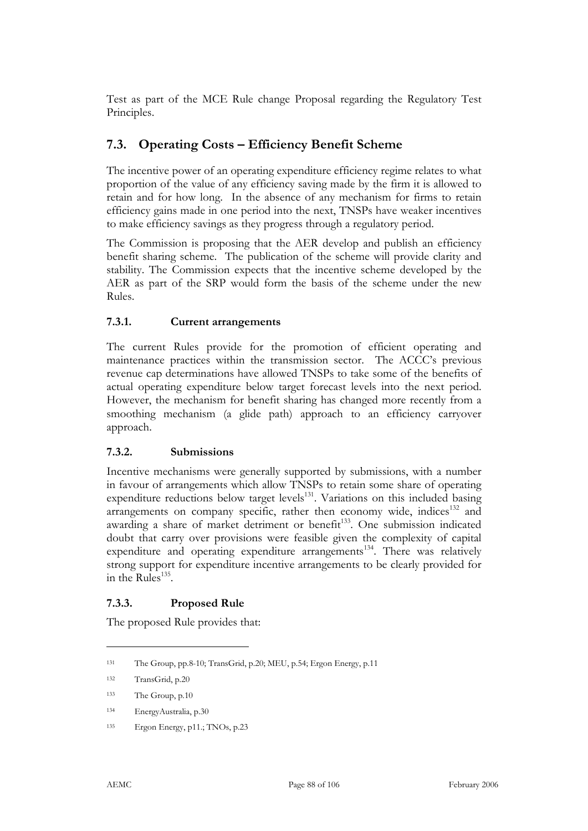Test as part of the MCE Rule change Proposal regarding the Regulatory Test Principles.

# **7.3. Operating Costs – Efficiency Benefit Scheme**

The incentive power of an operating expenditure efficiency regime relates to what proportion of the value of any efficiency saving made by the firm it is allowed to retain and for how long. In the absence of any mechanism for firms to retain efficiency gains made in one period into the next, TNSPs have weaker incentives to make efficiency savings as they progress through a regulatory period.

The Commission is proposing that the AER develop and publish an efficiency benefit sharing scheme. The publication of the scheme will provide clarity and stability. The Commission expects that the incentive scheme developed by the AER as part of the SRP would form the basis of the scheme under the new Rules.

## **7.3.1. Current arrangements**

The current Rules provide for the promotion of efficient operating and maintenance practices within the transmission sector. The ACCC's previous revenue cap determinations have allowed TNSPs to take some of the benefits of actual operating expenditure below target forecast levels into the next period. However, the mechanism for benefit sharing has changed more recently from a smoothing mechanism (a glide path) approach to an efficiency carryover approach.

## **7.3.2. Submissions**

Incentive mechanisms were generally supported by submissions, with a number in favour of arrangements which allow TNSPs to retain some share of operating expenditure reductions below target levels<sup>131</sup>. Variations on this included basing arrangements on company specific, rather then economy wide, indices $132$  and awarding a share of market detriment or benefit<sup>133</sup>. One submission indicated doubt that carry over provisions were feasible given the complexity of capital expenditure and operating expenditure arrangements<sup>134</sup>. There was relatively strong support for expenditure incentive arrangements to be clearly provided for in the Rules $^{135}$ .

## **7.3.3. Proposed Rule**

The proposed Rule provides that:

<sup>131</sup> The Group, pp.8-10; TransGrid, p.20; MEU, p.54; Ergon Energy, p.11

<sup>132</sup> TransGrid, p.20

<sup>133</sup> The Group, p.10

<sup>134</sup> EnergyAustralia, p.30

<sup>135</sup> Ergon Energy, p11.; TNOs, p.23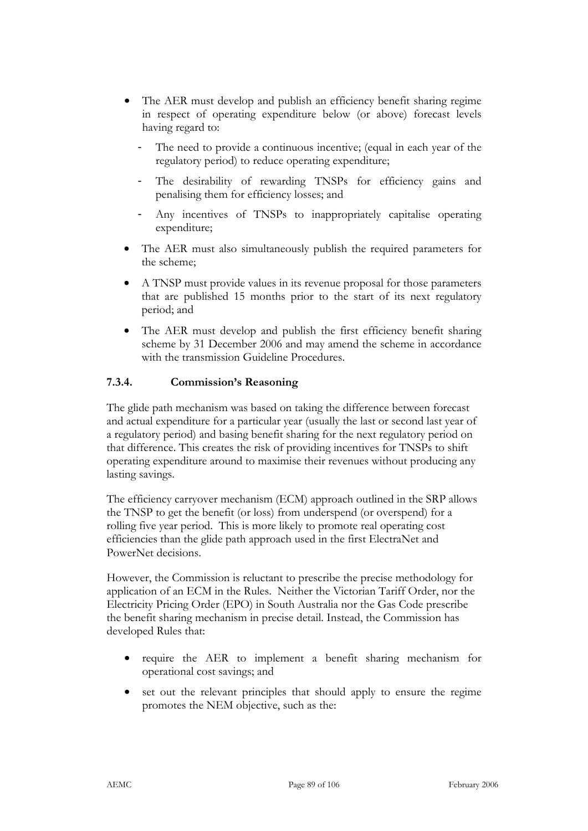- The AER must develop and publish an efficiency benefit sharing regime in respect of operating expenditure below (or above) forecast levels having regard to:
	- The need to provide a continuous incentive; (equal in each year of the regulatory period) to reduce operating expenditure;
	- The desirability of rewarding TNSPs for efficiency gains and penalising them for efficiency losses; and
	- Any incentives of TNSPs to inappropriately capitalise operating expenditure;
- The AER must also simultaneously publish the required parameters for the scheme;
- A TNSP must provide values in its revenue proposal for those parameters that are published 15 months prior to the start of its next regulatory period; and
- The AER must develop and publish the first efficiency benefit sharing scheme by 31 December 2006 and may amend the scheme in accordance with the transmission Guideline Procedures.

## **7.3.4. Commission's Reasoning**

The glide path mechanism was based on taking the difference between forecast and actual expenditure for a particular year (usually the last or second last year of a regulatory period) and basing benefit sharing for the next regulatory period on that difference. This creates the risk of providing incentives for TNSPs to shift operating expenditure around to maximise their revenues without producing any lasting savings.

The efficiency carryover mechanism (ECM) approach outlined in the SRP allows the TNSP to get the benefit (or loss) from underspend (or overspend) for a rolling five year period. This is more likely to promote real operating cost efficiencies than the glide path approach used in the first ElectraNet and PowerNet decisions.

However, the Commission is reluctant to prescribe the precise methodology for application of an ECM in the Rules. Neither the Victorian Tariff Order, nor the Electricity Pricing Order (EPO) in South Australia nor the Gas Code prescribe the benefit sharing mechanism in precise detail. Instead, the Commission has developed Rules that:

- require the AER to implement a benefit sharing mechanism for operational cost savings; and
- set out the relevant principles that should apply to ensure the regime promotes the NEM objective, such as the: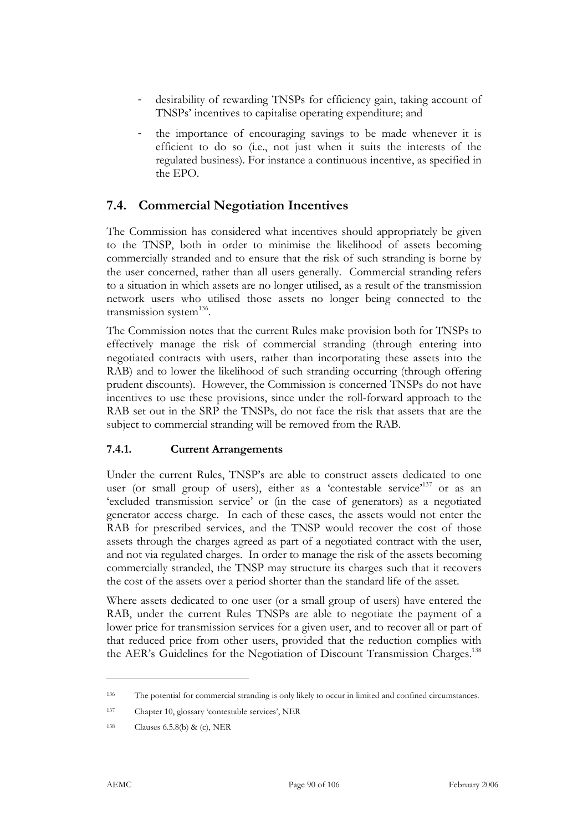- desirability of rewarding TNSPs for efficiency gain, taking account of TNSPs' incentives to capitalise operating expenditure; and
- the importance of encouraging savings to be made whenever it is efficient to do so (i.e., not just when it suits the interests of the regulated business). For instance a continuous incentive, as specified in the EPO.

## **7.4. Commercial Negotiation Incentives**

The Commission has considered what incentives should appropriately be given to the TNSP, both in order to minimise the likelihood of assets becoming commercially stranded and to ensure that the risk of such stranding is borne by the user concerned, rather than all users generally. Commercial stranding refers to a situation in which assets are no longer utilised, as a result of the transmission network users who utilised those assets no longer being connected to the transmission system $^{136}$ .

The Commission notes that the current Rules make provision both for TNSPs to effectively manage the risk of commercial stranding (through entering into negotiated contracts with users, rather than incorporating these assets into the RAB) and to lower the likelihood of such stranding occurring (through offering prudent discounts). However, the Commission is concerned TNSPs do not have incentives to use these provisions, since under the roll-forward approach to the RAB set out in the SRP the TNSPs, do not face the risk that assets that are the subject to commercial stranding will be removed from the RAB.

#### **7.4.1. Current Arrangements**

Under the current Rules, TNSP's are able to construct assets dedicated to one user (or small group of users), either as a 'contestable service'<sup>137</sup> or as an 'excluded transmission service' or (in the case of generators) as a negotiated generator access charge. In each of these cases, the assets would not enter the RAB for prescribed services, and the TNSP would recover the cost of those assets through the charges agreed as part of a negotiated contract with the user, and not via regulated charges. In order to manage the risk of the assets becoming commercially stranded, the TNSP may structure its charges such that it recovers the cost of the assets over a period shorter than the standard life of the asset.

Where assets dedicated to one user (or a small group of users) have entered the RAB, under the current Rules TNSPs are able to negotiate the payment of a lower price for transmission services for a given user, and to recover all or part of that reduced price from other users, provided that the reduction complies with the AER's Guidelines for the Negotiation of Discount Transmission Charges.<sup>138</sup>

<sup>136</sup> The potential for commercial stranding is only likely to occur in limited and confined circumstances.

<sup>137</sup> Chapter 10, glossary 'contestable services', NER

<sup>138</sup> Clauses 6.5.8(b) & (c), NER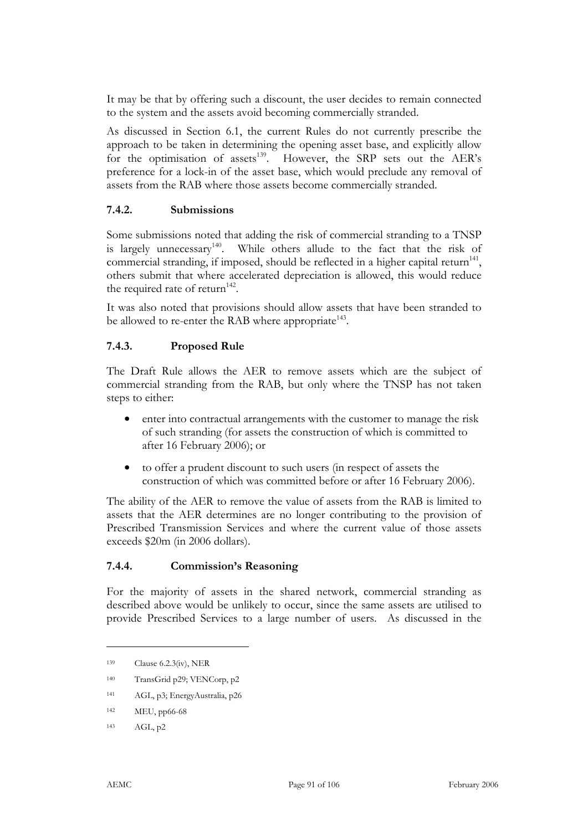It may be that by offering such a discount, the user decides to remain connected to the system and the assets avoid becoming commercially stranded.

As discussed in Section 6.1, the current Rules do not currently prescribe the approach to be taken in determining the opening asset base, and explicitly allow for the optimisation of assets<sup>139</sup>. However, the SRP sets out the AER's preference for a lock-in of the asset base, which would preclude any removal of assets from the RAB where those assets become commercially stranded.

#### **7.4.2. Submissions**

Some submissions noted that adding the risk of commercial stranding to a TNSP is largely unnecessary<sup>140</sup>. While others allude to the fact that the risk of commercial stranding, if imposed, should be reflected in a higher capital return<sup>141</sup>, others submit that where accelerated depreciation is allowed, this would reduce the required rate of return<sup>142</sup>.

It was also noted that provisions should allow assets that have been stranded to be allowed to re-enter the RAB where appropriate<sup>143</sup>.

#### **7.4.3. Proposed Rule**

The Draft Rule allows the AER to remove assets which are the subject of commercial stranding from the RAB, but only where the TNSP has not taken steps to either:

- enter into contractual arrangements with the customer to manage the risk of such stranding (for assets the construction of which is committed to after 16 February 2006); or
- to offer a prudent discount to such users (in respect of assets the construction of which was committed before or after 16 February 2006).

The ability of the AER to remove the value of assets from the RAB is limited to assets that the AER determines are no longer contributing to the provision of Prescribed Transmission Services and where the current value of those assets exceeds \$20m (in 2006 dollars).

#### **7.4.4. Commission's Reasoning**

For the majority of assets in the shared network, commercial stranding as described above would be unlikely to occur, since the same assets are utilised to provide Prescribed Services to a large number of users. As discussed in the

<sup>139</sup> Clause 6.2.3(iv), NER

<sup>140</sup> TransGrid p29; VENCorp, p2

<sup>141</sup> AGL, p3; EnergyAustralia, p26

<sup>142</sup> MEU, pp66-68

<sup>143</sup> AGL, p2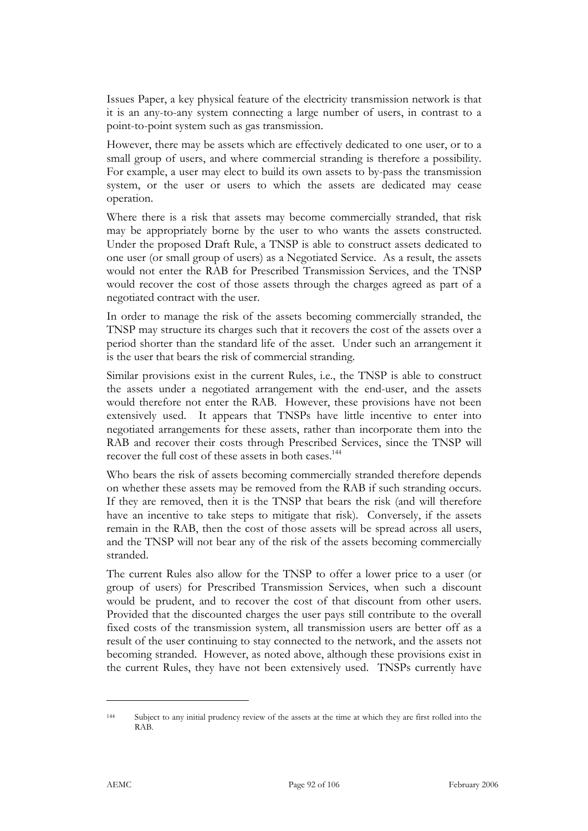Issues Paper, a key physical feature of the electricity transmission network is that it is an any-to-any system connecting a large number of users, in contrast to a point-to-point system such as gas transmission.

However, there may be assets which are effectively dedicated to one user, or to a small group of users, and where commercial stranding is therefore a possibility. For example, a user may elect to build its own assets to by-pass the transmission system, or the user or users to which the assets are dedicated may cease operation.

Where there is a risk that assets may become commercially stranded, that risk may be appropriately borne by the user to who wants the assets constructed. Under the proposed Draft Rule, a TNSP is able to construct assets dedicated to one user (or small group of users) as a Negotiated Service. As a result, the assets would not enter the RAB for Prescribed Transmission Services, and the TNSP would recover the cost of those assets through the charges agreed as part of a negotiated contract with the user.

In order to manage the risk of the assets becoming commercially stranded, the TNSP may structure its charges such that it recovers the cost of the assets over a period shorter than the standard life of the asset. Under such an arrangement it is the user that bears the risk of commercial stranding.

Similar provisions exist in the current Rules, i.e., the TNSP is able to construct the assets under a negotiated arrangement with the end-user, and the assets would therefore not enter the RAB. However, these provisions have not been extensively used. It appears that TNSPs have little incentive to enter into negotiated arrangements for these assets, rather than incorporate them into the RAB and recover their costs through Prescribed Services, since the TNSP will recover the full cost of these assets in both cases.<sup>144</sup>

Who bears the risk of assets becoming commercially stranded therefore depends on whether these assets may be removed from the RAB if such stranding occurs. If they are removed, then it is the TNSP that bears the risk (and will therefore have an incentive to take steps to mitigate that risk). Conversely, if the assets remain in the RAB, then the cost of those assets will be spread across all users, and the TNSP will not bear any of the risk of the assets becoming commercially stranded.

The current Rules also allow for the TNSP to offer a lower price to a user (or group of users) for Prescribed Transmission Services, when such a discount would be prudent, and to recover the cost of that discount from other users. Provided that the discounted charges the user pays still contribute to the overall fixed costs of the transmission system, all transmission users are better off as a result of the user continuing to stay connected to the network, and the assets not becoming stranded. However, as noted above, although these provisions exist in the current Rules, they have not been extensively used. TNSPs currently have

<sup>144</sup> Subject to any initial prudency review of the assets at the time at which they are first rolled into the RAB.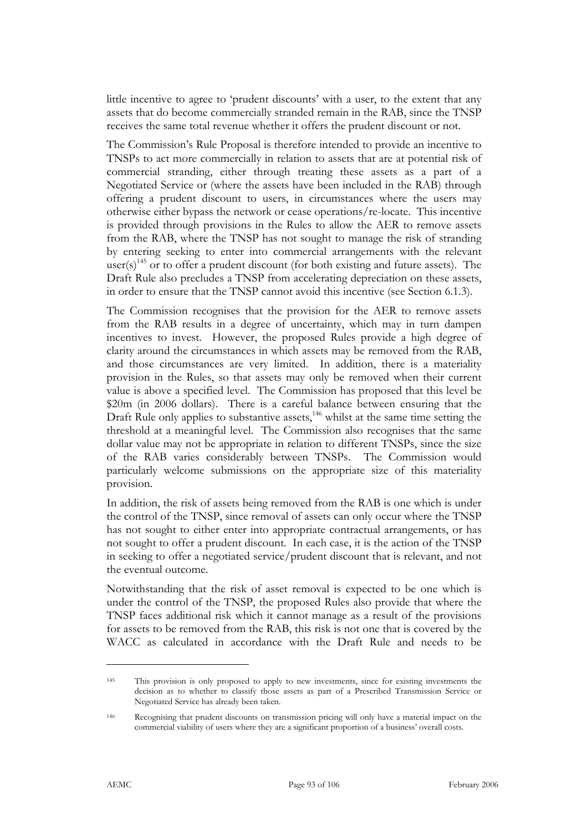little incentive to agree to 'prudent discounts' with a user, to the extent that any assets that do become commercially stranded remain in the RAB, since the TNSP receives the same total revenue whether it offers the prudent discount or not.

The Commission's Rule Proposal is therefore intended to provide an incentive to TNSPs to act more commercially in relation to assets that are at potential risk of commercial stranding, either through treating these assets as a part of a Negotiated Service or (where the assets have been included in the RAB) through offering a prudent discount to users, in circumstances where the users may otherwise either bypass the network or cease operations/re-locate. This incentive is provided through provisions in the Rules to allow the AER to remove assets from the RAB, where the TNSP has not sought to manage the risk of stranding by entering seeking to enter into commercial arrangements with the relevant user(s)<sup>145</sup> or to offer a prudent discount (for both existing and future assets). The Draft Rule also precludes a TNSP from accelerating depreciation on these assets, in order to ensure that the TNSP cannot avoid this incentive (see Section 6.1.3).

The Commission recognises that the provision for the AER to remove assets from the RAB results in a degree of uncertainty, which may in turn dampen incentives to invest. However, the proposed Rules provide a high degree of clarity around the circumstances in which assets may be removed from the RAB, and those circumstances are very limited. In addition, there is a materiality provision in the Rules, so that assets may only be removed when their current value is above a specified level. The Commission has proposed that this level be \$20m (in 2006 dollars). There is a careful balance between ensuring that the Draft Rule only applies to substantive assets,<sup>146</sup> whilst at the same time setting the threshold at a meaningful level. The Commission also recognises that the same dollar value may not be appropriate in relation to different TNSPs, since the size of the RAB varies considerably between TNSPs. The Commission would particularly welcome submissions on the appropriate size of this materiality provision.

In addition, the risk of assets being removed from the RAB is one which is under the control of the TNSP, since removal of assets can only occur where the TNSP has not sought to either enter into appropriate contractual arrangements, or has not sought to offer a prudent discount. In each case, it is the action of the TNSP in seeking to offer a negotiated service/prudent discount that is relevant, and not the eventual outcome.

Notwithstanding that the risk of asset removal is expected to be one which is under the control of the TNSP, the proposed Rules also provide that where the TNSP faces additional risk which it cannot manage as a result of the provisions for assets to be removed from the RAB, this risk is not one that is covered by the WACC as calculated in accordance with the Draft Rule and needs to be

<sup>145</sup> This provision is only proposed to apply to new investments, since for existing investments the decision as to whether to classify those assets as part of a Prescribed Transmission Service or Negotiated Service has already been taken.

<sup>146</sup> Recognising that prudent discounts on transmission pricing will only have a material impact on the commercial viability of users where they are a significant proportion of a business' overall costs.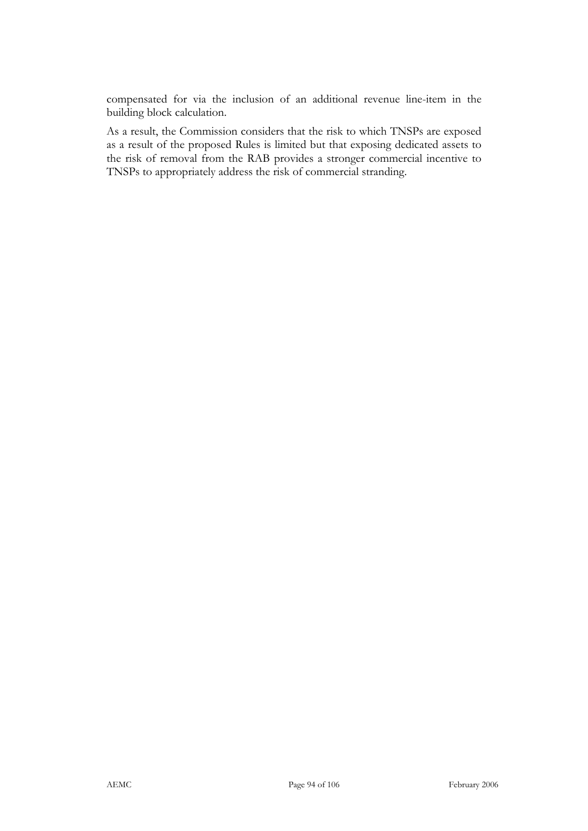compensated for via the inclusion of an additional revenue line-item in the building block calculation.

As a result, the Commission considers that the risk to which TNSPs are exposed as a result of the proposed Rules is limited but that exposing dedicated assets to the risk of removal from the RAB provides a stronger commercial incentive to TNSPs to appropriately address the risk of commercial stranding.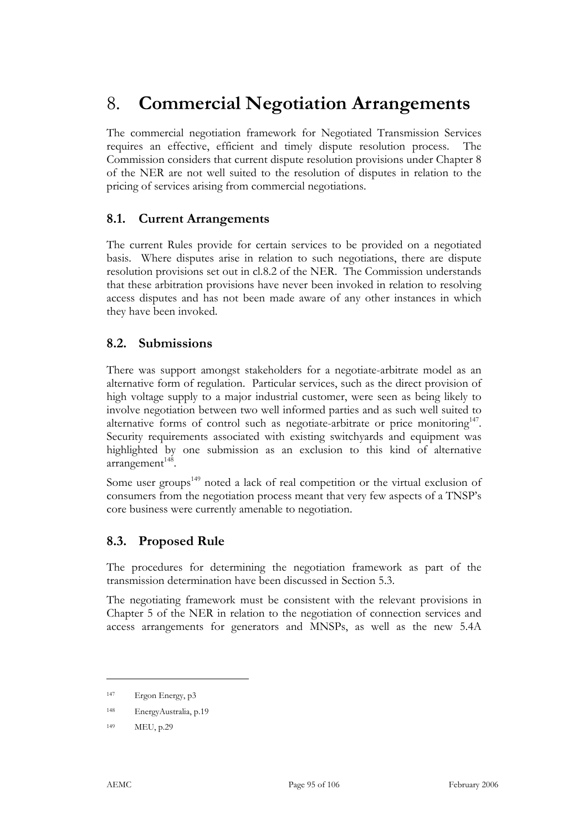# 8. **Commercial Negotiation Arrangements**

The commercial negotiation framework for Negotiated Transmission Services requires an effective, efficient and timely dispute resolution process. The Commission considers that current dispute resolution provisions under Chapter 8 of the NER are not well suited to the resolution of disputes in relation to the pricing of services arising from commercial negotiations.

## **8.1. Current Arrangements**

The current Rules provide for certain services to be provided on a negotiated basis. Where disputes arise in relation to such negotiations, there are dispute resolution provisions set out in cl.8.2 of the NER. The Commission understands that these arbitration provisions have never been invoked in relation to resolving access disputes and has not been made aware of any other instances in which they have been invoked.

## **8.2. Submissions**

There was support amongst stakeholders for a negotiate-arbitrate model as an alternative form of regulation. Particular services, such as the direct provision of high voltage supply to a major industrial customer, were seen as being likely to involve negotiation between two well informed parties and as such well suited to alternative forms of control such as negotiate-arbitrate or price monitoring $147$ . Security requirements associated with existing switchyards and equipment was highlighted by one submission as an exclusion to this kind of alternative  $arrangement<sup>148</sup>$ .

Some user groups<sup>149</sup> noted a lack of real competition or the virtual exclusion of consumers from the negotiation process meant that very few aspects of a TNSP's core business were currently amenable to negotiation.

## **8.3. Proposed Rule**

The procedures for determining the negotiation framework as part of the transmission determination have been discussed in Section 5.3.

The negotiating framework must be consistent with the relevant provisions in Chapter 5 of the NER in relation to the negotiation of connection services and access arrangements for generators and MNSPs, as well as the new 5.4A

<sup>147</sup> Ergon Energy, p3

<sup>148</sup> EnergyAustralia, p.19

<sup>149</sup> MEU, p.29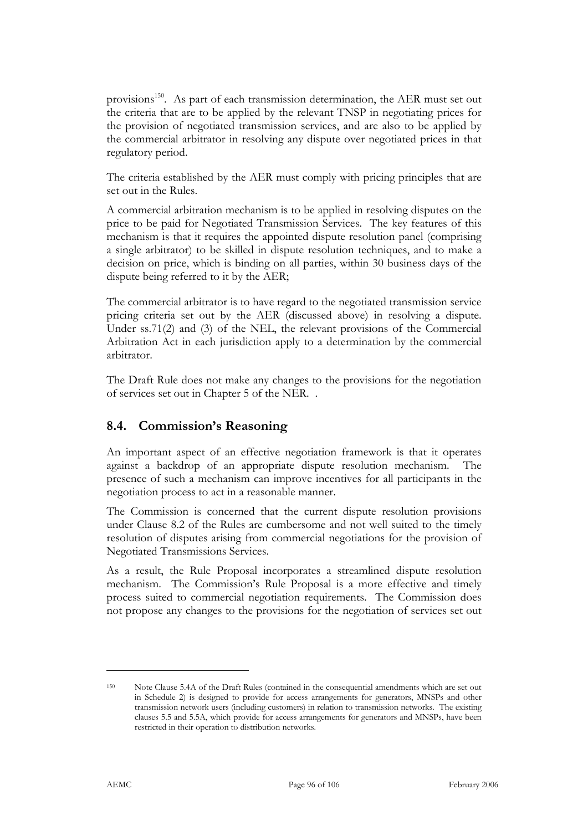provisions<sup>150</sup>. As part of each transmission determination, the AER must set out the criteria that are to be applied by the relevant TNSP in negotiating prices for the provision of negotiated transmission services, and are also to be applied by the commercial arbitrator in resolving any dispute over negotiated prices in that regulatory period.

The criteria established by the AER must comply with pricing principles that are set out in the Rules.

A commercial arbitration mechanism is to be applied in resolving disputes on the price to be paid for Negotiated Transmission Services. The key features of this mechanism is that it requires the appointed dispute resolution panel (comprising a single arbitrator) to be skilled in dispute resolution techniques, and to make a decision on price, which is binding on all parties, within 30 business days of the dispute being referred to it by the AER;

The commercial arbitrator is to have regard to the negotiated transmission service pricing criteria set out by the AER (discussed above) in resolving a dispute. Under ss.71(2) and (3) of the NEL, the relevant provisions of the Commercial Arbitration Act in each jurisdiction apply to a determination by the commercial arbitrator.

The Draft Rule does not make any changes to the provisions for the negotiation of services set out in Chapter 5 of the NER. .

## **8.4. Commission's Reasoning**

An important aspect of an effective negotiation framework is that it operates against a backdrop of an appropriate dispute resolution mechanism. The presence of such a mechanism can improve incentives for all participants in the negotiation process to act in a reasonable manner.

The Commission is concerned that the current dispute resolution provisions under Clause 8.2 of the Rules are cumbersome and not well suited to the timely resolution of disputes arising from commercial negotiations for the provision of Negotiated Transmissions Services.

As a result, the Rule Proposal incorporates a streamlined dispute resolution mechanism. The Commission's Rule Proposal is a more effective and timely process suited to commercial negotiation requirements. The Commission does not propose any changes to the provisions for the negotiation of services set out

<sup>150</sup> Note Clause 5.4A of the Draft Rules (contained in the consequential amendments which are set out in Schedule 2) is designed to provide for access arrangements for generators, MNSPs and other transmission network users (including customers) in relation to transmission networks. The existing clauses 5.5 and 5.5A, which provide for access arrangements for generators and MNSPs, have been restricted in their operation to distribution networks.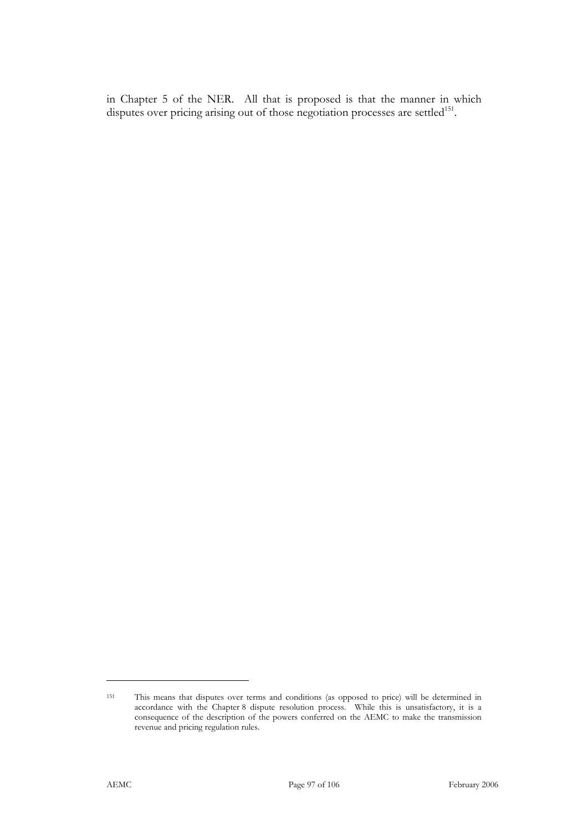in Chapter 5 of the NER. All that is proposed is that the manner in which disputes over pricing arising out of those negotiation processes are settled<sup>151</sup>.

<sup>151</sup> This means that disputes over terms and conditions (as opposed to price) will be determined in accordance with the Chapter 8 dispute resolution process. While this is unsatisfactory, it is a consequence of the description of the powers conferred on the AEMC to make the transmission revenue and pricing regulation rules.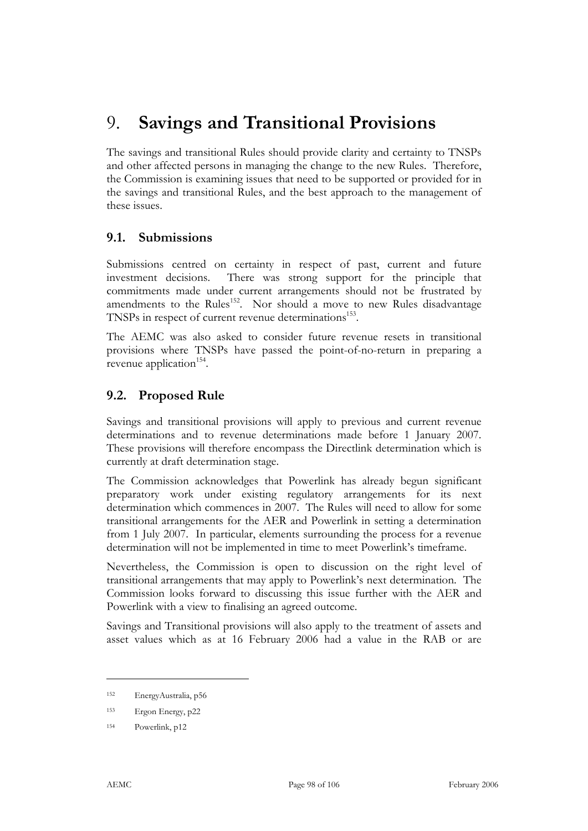# 9. **Savings and Transitional Provisions**

The savings and transitional Rules should provide clarity and certainty to TNSPs and other affected persons in managing the change to the new Rules. Therefore, the Commission is examining issues that need to be supported or provided for in the savings and transitional Rules, and the best approach to the management of these issues.

## **9.1. Submissions**

Submissions centred on certainty in respect of past, current and future investment decisions. There was strong support for the principle that commitments made under current arrangements should not be frustrated by amendments to the Rules<sup>152</sup>. Nor should a move to new Rules disadvantage TNSPs in respect of current revenue determinations<sup>153</sup>.

The AEMC was also asked to consider future revenue resets in transitional provisions where TNSPs have passed the point-of-no-return in preparing a revenue application<sup>154</sup>.

# **9.2. Proposed Rule**

Savings and transitional provisions will apply to previous and current revenue determinations and to revenue determinations made before 1 January 2007. These provisions will therefore encompass the Directlink determination which is currently at draft determination stage.

The Commission acknowledges that Powerlink has already begun significant preparatory work under existing regulatory arrangements for its next determination which commences in 2007. The Rules will need to allow for some transitional arrangements for the AER and Powerlink in setting a determination from 1 July 2007. In particular, elements surrounding the process for a revenue determination will not be implemented in time to meet Powerlink's timeframe.

Nevertheless, the Commission is open to discussion on the right level of transitional arrangements that may apply to Powerlink's next determination. The Commission looks forward to discussing this issue further with the AER and Powerlink with a view to finalising an agreed outcome.

Savings and Transitional provisions will also apply to the treatment of assets and asset values which as at 16 February 2006 had a value in the RAB or are

<sup>152</sup> EnergyAustralia, p56

<sup>153</sup> Ergon Energy, p22

<sup>154</sup> Powerlink, p12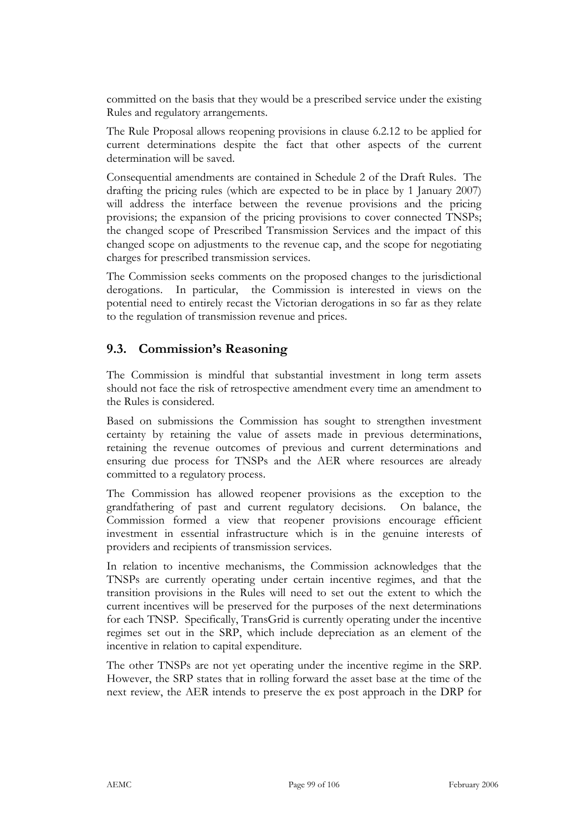committed on the basis that they would be a prescribed service under the existing Rules and regulatory arrangements.

The Rule Proposal allows reopening provisions in clause 6.2.12 to be applied for current determinations despite the fact that other aspects of the current determination will be saved.

Consequential amendments are contained in Schedule 2 of the Draft Rules. The drafting the pricing rules (which are expected to be in place by 1 January 2007) will address the interface between the revenue provisions and the pricing provisions; the expansion of the pricing provisions to cover connected TNSPs; the changed scope of Prescribed Transmission Services and the impact of this changed scope on adjustments to the revenue cap, and the scope for negotiating charges for prescribed transmission services.

The Commission seeks comments on the proposed changes to the jurisdictional derogations. In particular, the Commission is interested in views on the potential need to entirely recast the Victorian derogations in so far as they relate to the regulation of transmission revenue and prices.

## **9.3. Commission's Reasoning**

The Commission is mindful that substantial investment in long term assets should not face the risk of retrospective amendment every time an amendment to the Rules is considered.

Based on submissions the Commission has sought to strengthen investment certainty by retaining the value of assets made in previous determinations, retaining the revenue outcomes of previous and current determinations and ensuring due process for TNSPs and the AER where resources are already committed to a regulatory process.

The Commission has allowed reopener provisions as the exception to the grandfathering of past and current regulatory decisions. On balance, the Commission formed a view that reopener provisions encourage efficient investment in essential infrastructure which is in the genuine interests of providers and recipients of transmission services.

In relation to incentive mechanisms, the Commission acknowledges that the TNSPs are currently operating under certain incentive regimes, and that the transition provisions in the Rules will need to set out the extent to which the current incentives will be preserved for the purposes of the next determinations for each TNSP. Specifically, TransGrid is currently operating under the incentive regimes set out in the SRP, which include depreciation as an element of the incentive in relation to capital expenditure.

The other TNSPs are not yet operating under the incentive regime in the SRP. However, the SRP states that in rolling forward the asset base at the time of the next review, the AER intends to preserve the ex post approach in the DRP for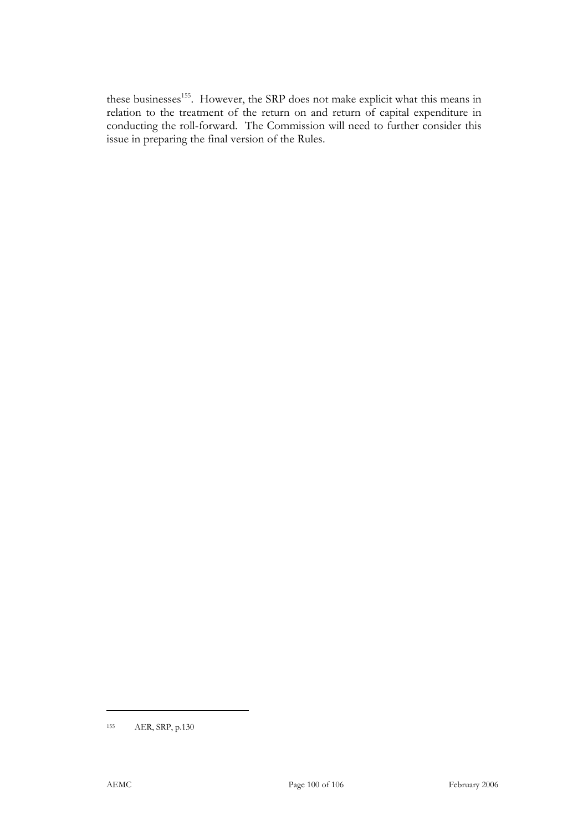these businesses<sup>155</sup>. However, the SRP does not make explicit what this means in relation to the treatment of the return on and return of capital expenditure in conducting the roll-forward. The Commission will need to further consider this issue in preparing the final version of the Rules.

<sup>155</sup> AER, SRP, p.130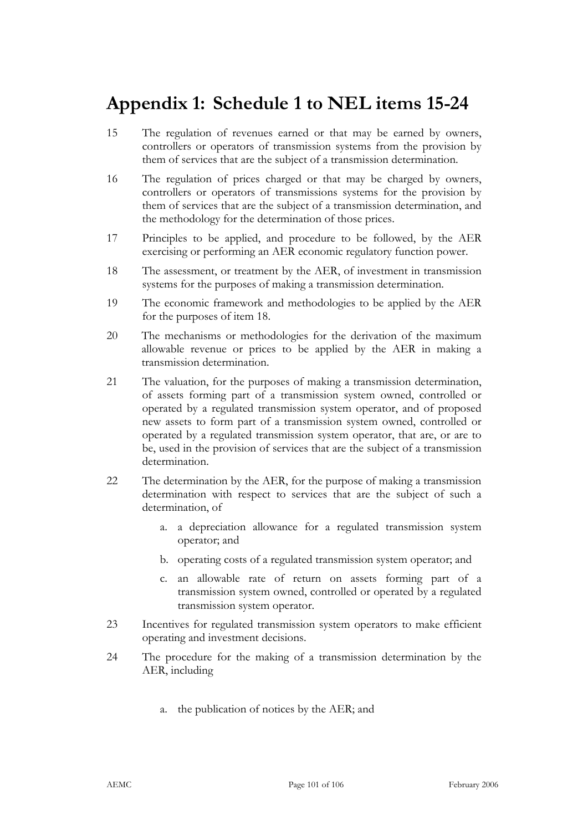# **Appendix 1: Schedule 1 to NEL items 15-24**

- 15 The regulation of revenues earned or that may be earned by owners, controllers or operators of transmission systems from the provision by them of services that are the subject of a transmission determination.
- 16 The regulation of prices charged or that may be charged by owners, controllers or operators of transmissions systems for the provision by them of services that are the subject of a transmission determination, and the methodology for the determination of those prices.
- 17 Principles to be applied, and procedure to be followed, by the AER exercising or performing an AER economic regulatory function power.
- 18 The assessment, or treatment by the AER, of investment in transmission systems for the purposes of making a transmission determination.
- 19 The economic framework and methodologies to be applied by the AER for the purposes of item 18.
- 20 The mechanisms or methodologies for the derivation of the maximum allowable revenue or prices to be applied by the AER in making a transmission determination.
- 21 The valuation, for the purposes of making a transmission determination, of assets forming part of a transmission system owned, controlled or operated by a regulated transmission system operator, and of proposed new assets to form part of a transmission system owned, controlled or operated by a regulated transmission system operator, that are, or are to be, used in the provision of services that are the subject of a transmission determination.
- 22 The determination by the AER, for the purpose of making a transmission determination with respect to services that are the subject of such a determination, of
	- a. a depreciation allowance for a regulated transmission system operator; and
	- b. operating costs of a regulated transmission system operator; and
	- c. an allowable rate of return on assets forming part of a transmission system owned, controlled or operated by a regulated transmission system operator.
- 23 Incentives for regulated transmission system operators to make efficient operating and investment decisions.
- 24 The procedure for the making of a transmission determination by the AER, including
	- a. the publication of notices by the AER; and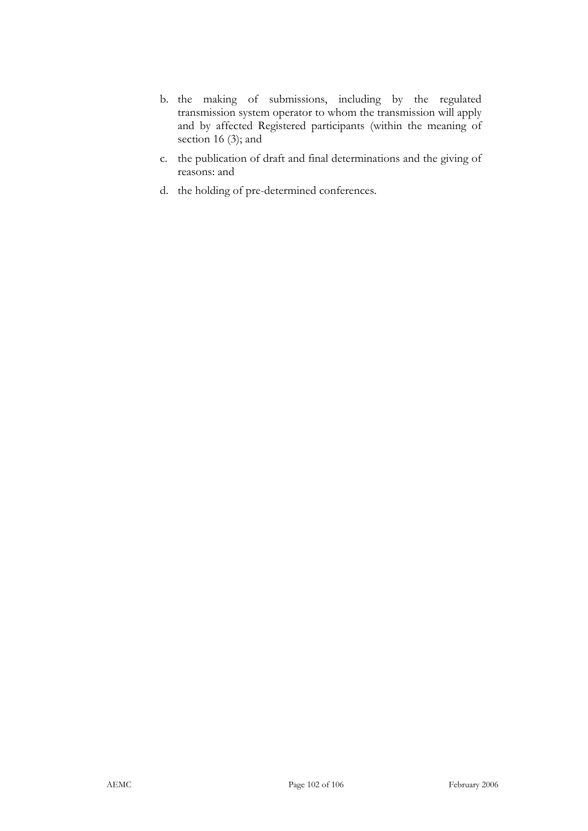- b. the making of submissions, including by the regulated transmission system operator to whom the transmission will apply and by affected Registered participants (within the meaning of section 16 (3); and
- c. the publication of draft and final determinations and the giving of reasons: and
- d. the holding of pre-determined conferences.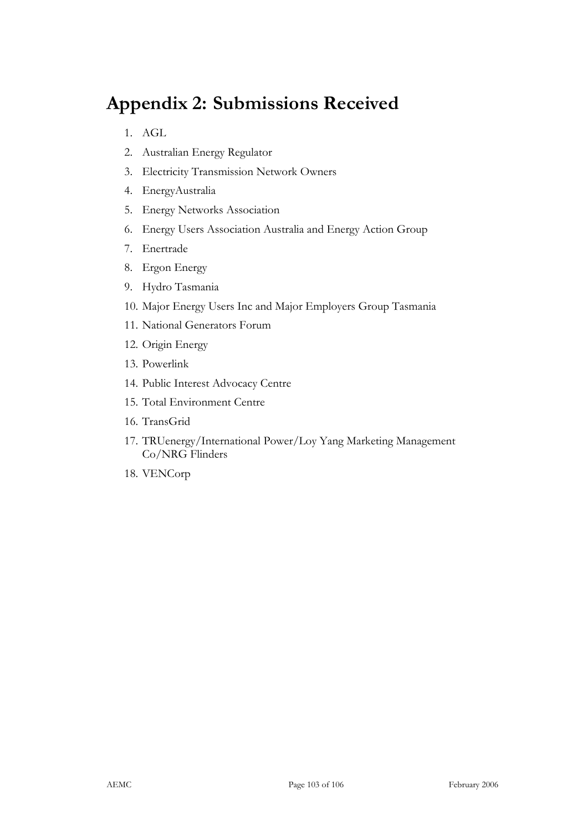# **Appendix 2: Submissions Received**

- 1. AGL
- 2. Australian Energy Regulator
- 3. Electricity Transmission Network Owners
- 4. EnergyAustralia
- 5. Energy Networks Association
- 6. Energy Users Association Australia and Energy Action Group
- 7. Enertrade
- 8. Ergon Energy
- 9. Hydro Tasmania
- 10. Major Energy Users Inc and Major Employers Group Tasmania
- 11. National Generators Forum
- 12. Origin Energy
- 13. Powerlink
- 14. Public Interest Advocacy Centre
- 15. Total Environment Centre
- 16. TransGrid
- 17. TRUenergy/International Power/Loy Yang Marketing Management Co/NRG Flinders
- 18. VENCorp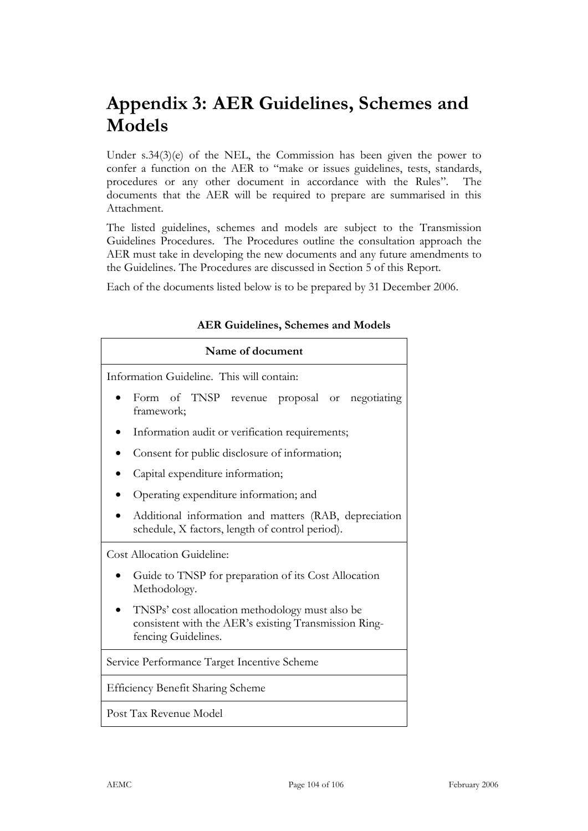# **Appendix 3: AER Guidelines, Schemes and Models**

Under s.34(3)(e) of the NEL, the Commission has been given the power to confer a function on the AER to "make or issues guidelines, tests, standards, procedures or any other document in accordance with the Rules". The documents that the AER will be required to prepare are summarised in this Attachment.

The listed guidelines, schemes and models are subject to the Transmission Guidelines Procedures. The Procedures outline the consultation approach the AER must take in developing the new documents and any future amendments to the Guidelines. The Procedures are discussed in Section 5 of this Report.

Each of the documents listed below is to be prepared by 31 December 2006.

| Name of document                                                                                                                |  |  |  |
|---------------------------------------------------------------------------------------------------------------------------------|--|--|--|
| Information Guideline. This will contain:                                                                                       |  |  |  |
| Form of TNSP revenue proposal or negotiating<br>framework;                                                                      |  |  |  |
| Information audit or verification requirements;                                                                                 |  |  |  |
| Consent for public disclosure of information;                                                                                   |  |  |  |
| Capital expenditure information;                                                                                                |  |  |  |
| Operating expenditure information; and                                                                                          |  |  |  |
| Additional information and matters (RAB, depreciation<br>schedule, X factors, length of control period).                        |  |  |  |
| <b>Cost Allocation Guideline:</b>                                                                                               |  |  |  |
| Guide to TNSP for preparation of its Cost Allocation<br>Methodology.                                                            |  |  |  |
| TNSPs' cost allocation methodology must also be<br>consistent with the AER's existing Transmission Ring-<br>fencing Guidelines. |  |  |  |
| Service Performance Target Incentive Scheme                                                                                     |  |  |  |
| <b>Efficiency Benefit Sharing Scheme</b>                                                                                        |  |  |  |
| Post Tax Revenue Model                                                                                                          |  |  |  |

#### **AER Guidelines, Schemes and Models**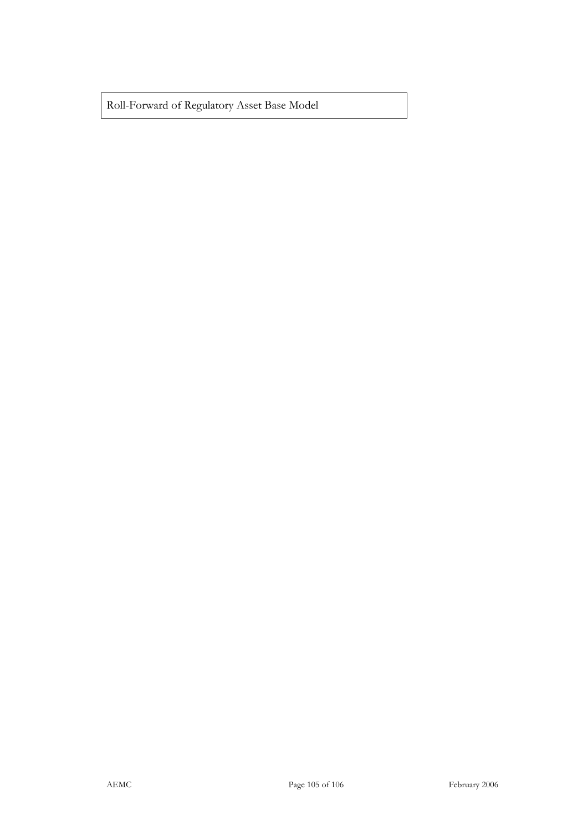Roll-Forward of Regulatory Asset Base Model